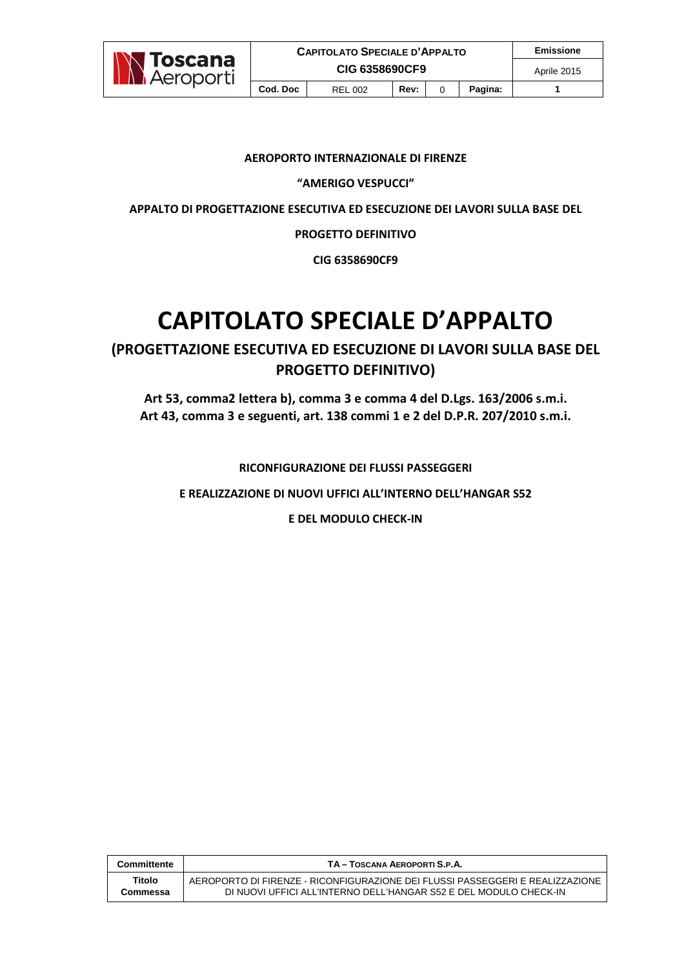

# **AEROPORTO INTERNAZIONALE DI FIRENZE**

## **"AMERIGO VESPUCCI"**

**APPALTO DI PROGETTAZIONE ESECUTIVA ED ESECUZIONE DEI LAVORI SULLA BASE DEL** 

**PROGETTO DEFINITIVO** 

**CIG 6358690CF9** 

# **CAPITOLATO SPECIALE D'APPALTO**

**(PROGETTAZIONE ESECUTIVA ED ESECUZIONE DI LAVORI SULLA BASE DEL PROGETTO DEFINITIVO)** 

**Art 53, comma2 lettera b), comma 3 e comma 4 del D.Lgs. 163/2006 s.m.i. Art 43, comma 3 e seguenti, art. 138 commi 1 e 2 del D.P.R. 207/2010 s.m.i.**

**RICONFIGURAZIONE DEI FLUSSI PASSEGGERI** 

**E REALIZZAZIONE DI NUOVI UFFICI ALL'INTERNO DELL'HANGAR S52** 

**E DEL MODULO CHECK-IN** 

| Committente | TA - TOSCANA AEROPORTI S.P.A.                                                 |
|-------------|-------------------------------------------------------------------------------|
| Titolo      | AEROPORTO DI FIRENZE - RICONFIGURAZIONE DEI FLUSSI PASSEGGERI E REALIZZAZIONE |
| Commessa    | DI NUOVI UFFICI ALL'INTERNO DELL'HANGAR S52 E DEL MODULO CHECK-IN             |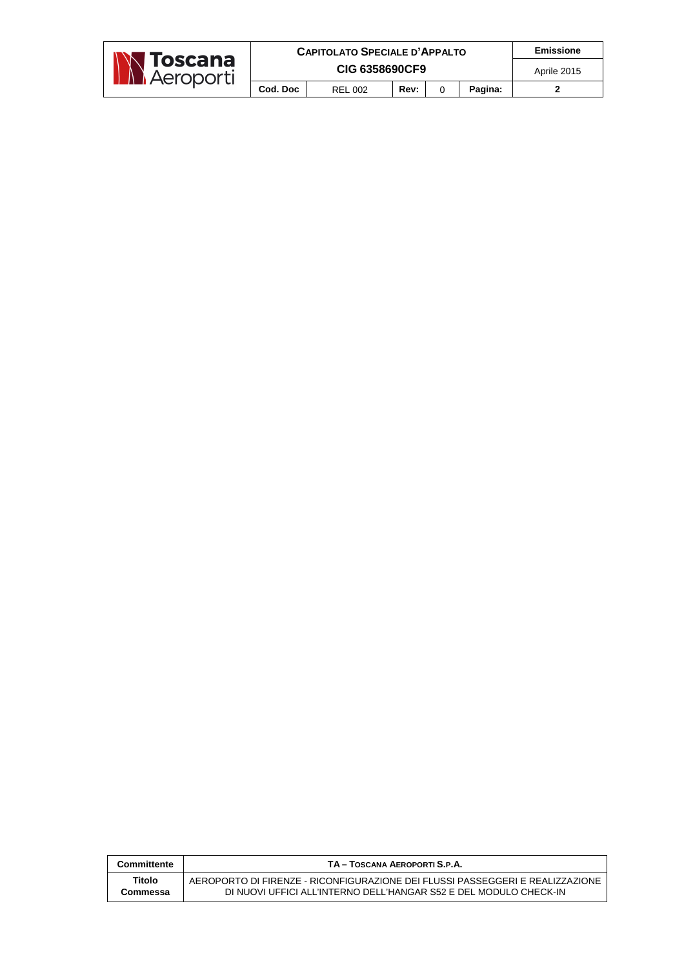|                                        | <b>CAPITOLATO SPECIALE D'APPALTO</b> |         |      |  |         | Emissione   |
|----------------------------------------|--------------------------------------|---------|------|--|---------|-------------|
| <b>N Toscana</b><br><b>N</b> Aeroporti | CIG 6358690CF9                       |         |      |  |         | Aprile 2015 |
|                                        | Cod. Doc                             | REL 002 | Rev: |  | Pagina: |             |

| Committente | TA - TOSCANA AEROPORTI S.P.A.                                                 |
|-------------|-------------------------------------------------------------------------------|
| Titolo      | AEROPORTO DI FIRENZE - RICONFIGURAZIONE DEI FLUSSI PASSEGGERI E REALIZZAZIONE |
| Commessa    | DI NUOVI UFFICI ALL'INTERNO DELL'HANGAR S52 E DEL MODULO CHECK-IN             |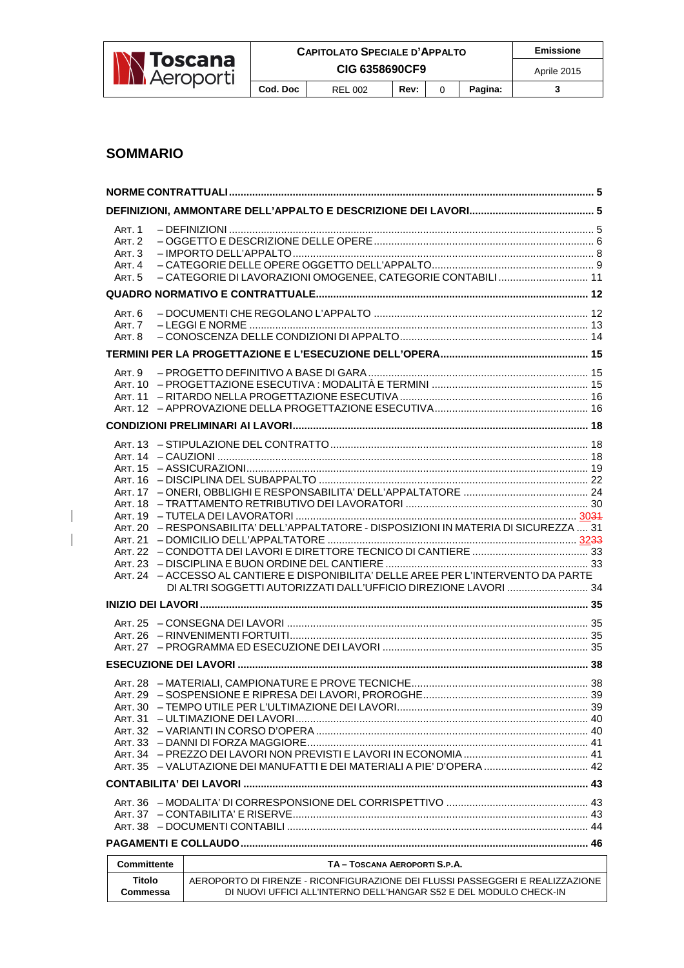

# **SOMMARIO**

 $\begin{array}{c} \hline \end{array}$  $\overline{\phantom{a}}$ 

| <b>ART. 1</b><br>ART. 2<br>ART. 3<br>ART. 4<br>- CATEGORIE DI LAVORAZIONI OMOGENEE, CATEGORIE CONTABILI  11<br><b>ART. 5</b>                           |  |
|--------------------------------------------------------------------------------------------------------------------------------------------------------|--|
|                                                                                                                                                        |  |
| ART. 6<br>ART. 7<br>ART. 8                                                                                                                             |  |
|                                                                                                                                                        |  |
| ART. 9                                                                                                                                                 |  |
|                                                                                                                                                        |  |
|                                                                                                                                                        |  |
| ART. 20 - RESPONSABILITA' DELL'APPALTATORE - DISPOSIZIONI IN MATERIA DI SICUREZZA  31                                                                  |  |
| ART. 24 - ACCESSO AL CANTIERE E DISPONIBILITA' DELLE AREE PER L'INTERVENTO DA PARTE<br>DI ALTRI SOGGETTI AUTORIZZATI DALL'UFFICIO DIREZIONE LAVORI  34 |  |
|                                                                                                                                                        |  |
|                                                                                                                                                        |  |
|                                                                                                                                                        |  |
|                                                                                                                                                        |  |
|                                                                                                                                                        |  |
|                                                                                                                                                        |  |
|                                                                                                                                                        |  |

| Committente | TA – TOSCANA AEROPORTI S.P.A.                                                 |
|-------------|-------------------------------------------------------------------------------|
| Titolo      | AEROPORTO DI FIRENZE - RICONFIGURAZIONE DEI FLUSSI PASSEGGERI E REALIZZAZIONE |
| Commessa    | DI NUOVI UFFICI ALL'INTERNO DELL'HANGAR S52 E DEL MODULO CHECK-IN             |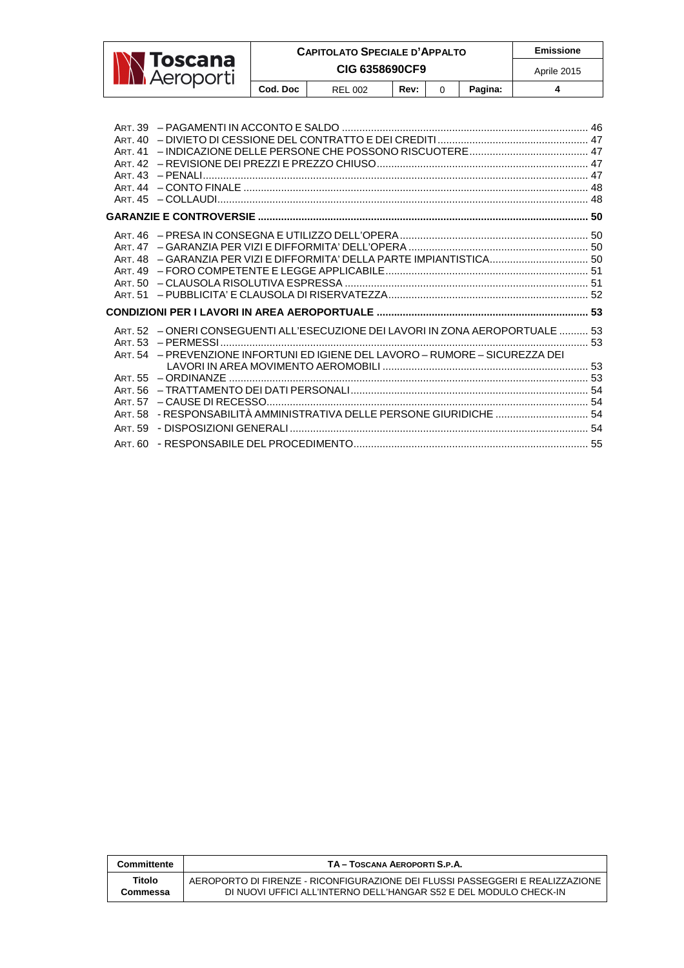|                                 | <b>CAPITOLATO SPECIALE D'APPALTO</b> | Emissione      |      |  |         |             |
|---------------------------------|--------------------------------------|----------------|------|--|---------|-------------|
| <b>N Toscana</b><br>A Aeroporti | CIG 6358690CF9                       |                |      |  |         | Aprile 2015 |
|                                 | Cod. Doc                             | <b>REL 002</b> | Rev: |  | Pagina: |             |

|                | ART. 48 - GARANZIA PER VIZI E DIFFORMITA' DELLA PARTE IMPIANTISTICA 50                                                                                              |  |
|----------------|---------------------------------------------------------------------------------------------------------------------------------------------------------------------|--|
|                |                                                                                                                                                                     |  |
|                | 83. ART, 52 - ONERI CONSEGUENTI ALL'ESECUZIONE DEI LAVORI IN ZONA AEROPORTUALE  53<br>ART. 54 - PREVENZIONE INFORTUNI ED IGIENE DEL LAVORO - RUMORE - SICUREZZA DEI |  |
|                |                                                                                                                                                                     |  |
| <b>ART. 58</b> | - RESPONSABILITÀ AMMINISTRATIVA DELLE PERSONE GIURIDICHE  54                                                                                                        |  |
| ART. 59        |                                                                                                                                                                     |  |
|                |                                                                                                                                                                     |  |

| Committente | TA - TOSCANA AEROPORTI S.P.A.                                                 |
|-------------|-------------------------------------------------------------------------------|
| Titolo      | AEROPORTO DI FIRENZE - RICONFIGURAZIONE DEI FLUSSI PASSEGGERI E REALIZZAZIONE |
| Commessa    | DI NUOVI UFFICI ALL'INTERNO DELL'HANGAR S52 E DEL MODULO CHECK-IN             |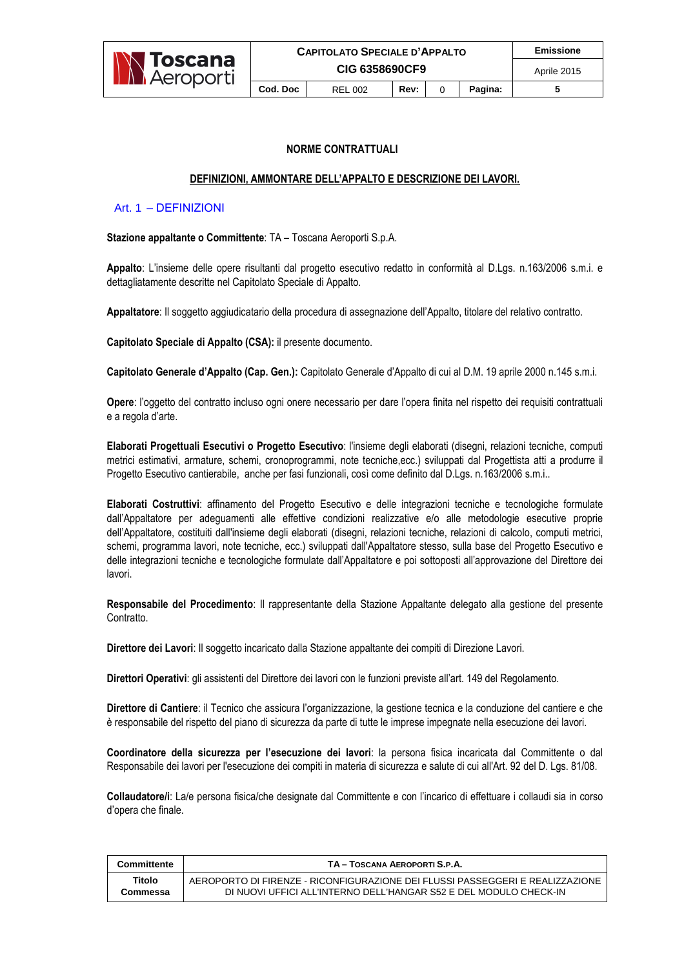

#### **NORME CONTRATTUALI**

#### **DEFINIZIONI, AMMONTARE DELL'APPALTO E DESCRIZIONE DEI LAVORI.**

#### Art. 1 – DEFINIZIONI

**Stazione appaltante o Committente**: TA – Toscana Aeroporti S.p.A.

**Appalto**: L'insieme delle opere risultanti dal progetto esecutivo redatto in conformità al D.Lgs. n.163/2006 s.m.i. e dettagliatamente descritte nel Capitolato Speciale di Appalto.

**Appaltatore**: Il soggetto aggiudicatario della procedura di assegnazione dell'Appalto, titolare del relativo contratto.

**Capitolato Speciale di Appalto (CSA):** il presente documento.

**Capitolato Generale d'Appalto (Cap. Gen.):** Capitolato Generale d'Appalto di cui al D.M. 19 aprile 2000 n.145 s.m.i.

**Opere**: l'oggetto del contratto incluso ogni onere necessario per dare l'opera finita nel rispetto dei requisiti contrattuali e a regola d'arte.

**Elaborati Progettuali Esecutivi o Progetto Esecutivo**: l'insieme degli elaborati (disegni, relazioni tecniche, computi metrici estimativi, armature, schemi, cronoprogrammi, note tecniche,ecc.) sviluppati dal Progettista atti a produrre il Progetto Esecutivo cantierabile, anche per fasi funzionali, così come definito dal D.Lgs. n.163/2006 s.m.i..

**Elaborati Costruttivi**: affinamento del Progetto Esecutivo e delle integrazioni tecniche e tecnologiche formulate dall'Appaltatore per adeguamenti alle effettive condizioni realizzative e/o alle metodologie esecutive proprie dell'Appaltatore, costituiti dall'insieme degli elaborati (disegni, relazioni tecniche, relazioni di calcolo, computi metrici, schemi, programma lavori, note tecniche, ecc.) sviluppati dall'Appaltatore stesso, sulla base del Progetto Esecutivo e delle integrazioni tecniche e tecnologiche formulate dall'Appaltatore e poi sottoposti all'approvazione del Direttore dei lavori.

**Responsabile del Procedimento**: Il rappresentante della Stazione Appaltante delegato alla gestione del presente Contratto.

**Direttore dei Lavori**: Il soggetto incaricato dalla Stazione appaltante dei compiti di Direzione Lavori.

**Direttori Operativi**: gli assistenti del Direttore dei lavori con le funzioni previste all'art. 149 del Regolamento.

**Direttore di Cantiere**: il Tecnico che assicura l'organizzazione, la gestione tecnica e la conduzione del cantiere e che è responsabile del rispetto del piano di sicurezza da parte di tutte le imprese impegnate nella esecuzione dei lavori.

**Coordinatore della sicurezza per l'esecuzione dei lavori**: la persona fisica incaricata dal Committente o dal Responsabile dei lavori per l'esecuzione dei compiti in materia di sicurezza e salute di cui all'Art. 92 del D. Lgs. 81/08.

**Collaudatore/i**: La/e persona fisica/che designate dal Committente e con l'incarico di effettuare i collaudi sia in corso d'opera che finale.

| Committente | TA - TOSCANA AEROPORTI S.P.A.                                                 |
|-------------|-------------------------------------------------------------------------------|
| Titolo      | AEROPORTO DI FIRENZE - RICONFIGURAZIONE DEI FLUSSI PASSEGGERI E REALIZZAZIONE |
| Commessa    | DI NUOVI UFFICI ALL'INTERNO DELL'HANGAR S52 E DEL MODULO CHECK-IN             |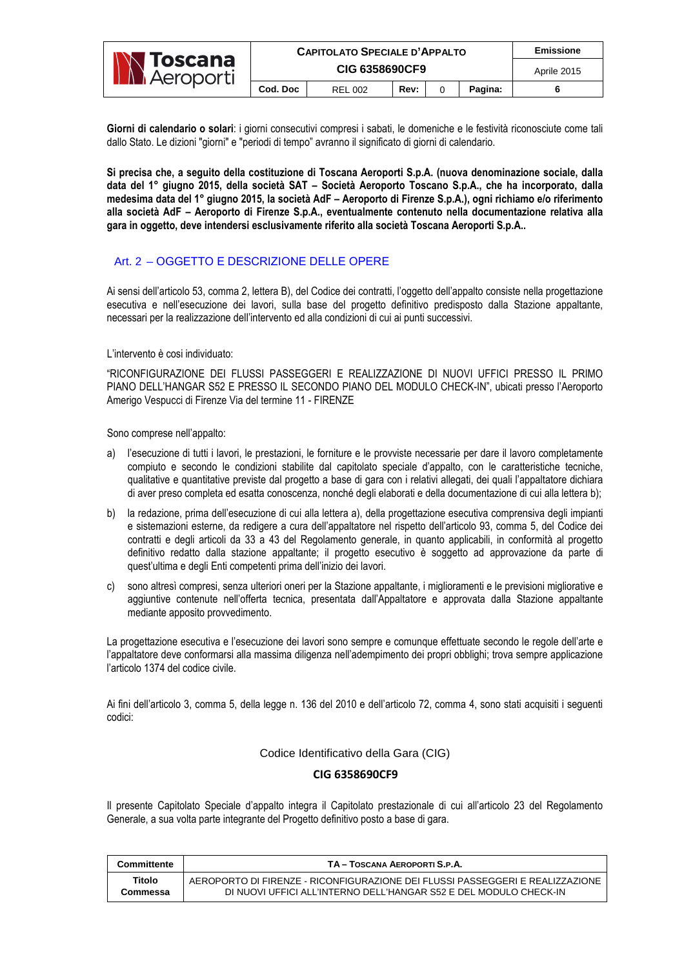|                                          | <b>CAPITOLATO SPECIALE D'APPALTO</b> | Emissione      |      |  |         |             |
|------------------------------------------|--------------------------------------|----------------|------|--|---------|-------------|
| <b>IN Toscana</b><br><b>NA</b> Aeroporti | CIG 6358690CF9                       |                |      |  |         | Aprile 2015 |
|                                          | Cod. Doc                             | <b>REL 002</b> | Rev: |  | Pagina: |             |

**Giorni di calendario o solari**: i giorni consecutivi compresi i sabati, le domeniche e le festività riconosciute come tali dallo Stato. Le dizioni "giorni" e "periodi di tempo" avranno il significato di giorni di calendario.

**Si precisa che, a seguito della costituzione di Toscana Aeroporti S.p.A. (nuova denominazione sociale, dalla data del 1° giugno 2015, della società SAT – Società Aeroporto Toscano S.p.A., che ha incorporato, dalla medesima data del 1° giugno 2015, la società AdF – Aeroporto di Firenze S.p.A.), ogni richiamo e/o riferimento alla società AdF – Aeroporto di Firenze S.p.A., eventualmente contenuto nella documentazione relativa alla gara in oggetto, deve intendersi esclusivamente riferito alla società Toscana Aeroporti S.p.A..** 

# Art. 2 – OGGETTO E DESCRIZIONE DELLE OPERE

Ai sensi dell'articolo 53, comma 2, lettera B), del Codice dei contratti, l'oggetto dell'appalto consiste nella progettazione esecutiva e nell'esecuzione dei lavori, sulla base del progetto definitivo predisposto dalla Stazione appaltante, necessari per la realizzazione dell'intervento ed alla condizioni di cui ai punti successivi.

L'intervento è cosi individuato:

"RICONFIGURAZIONE DEI FLUSSI PASSEGGERI E REALIZZAZIONE DI NUOVI UFFICI PRESSO IL PRIMO PIANO DELL'HANGAR S52 E PRESSO IL SECONDO PIANO DEL MODULO CHECK-IN", ubicati presso l'Aeroporto Amerigo Vespucci di Firenze Via del termine 11 - FIRENZE

Sono comprese nell'appalto:

- a) l'esecuzione di tutti i lavori, le prestazioni, le forniture e le provviste necessarie per dare il lavoro completamente compiuto e secondo le condizioni stabilite dal capitolato speciale d'appalto, con le caratteristiche tecniche, qualitative e quantitative previste dal progetto a base di gara con i relativi allegati, dei quali l'appaltatore dichiara di aver preso completa ed esatta conoscenza, nonché degli elaborati e della documentazione di cui alla lettera b);
- b) la redazione, prima dell'esecuzione di cui alla lettera a), della progettazione esecutiva comprensiva degli impianti e sistemazioni esterne, da redigere a cura dell'appaltatore nel rispetto dell'articolo 93, comma 5, del Codice dei contratti e degli articoli da 33 a 43 del Regolamento generale, in quanto applicabili, in conformità al progetto definitivo redatto dalla stazione appaltante; il progetto esecutivo è soggetto ad approvazione da parte di quest'ultima e degli Enti competenti prima dell'inizio dei lavori.
- c) sono altresì compresi, senza ulteriori oneri per la Stazione appaltante, i miglioramenti e le previsioni migliorative e aggiuntive contenute nell'offerta tecnica, presentata dall'Appaltatore e approvata dalla Stazione appaltante mediante apposito provvedimento.

La progettazione esecutiva e l'esecuzione dei lavori sono sempre e comunque effettuate secondo le regole dell'arte e l'appaltatore deve conformarsi alla massima diligenza nell'adempimento dei propri obblighi; trova sempre applicazione l'articolo 1374 del codice civile.

Ai fini dell'articolo 3, comma 5, della legge n. 136 del 2010 e dell'articolo 72, comma 4, sono stati acquisiti i seguenti codici:

Codice Identificativo della Gara (CIG)

## **CIG 6358690CF9**

Il presente Capitolato Speciale d'appalto integra il Capitolato prestazionale di cui all'articolo 23 del Regolamento Generale, a sua volta parte integrante del Progetto definitivo posto a base di gara.

| Committente | TA - TOSCANA AEROPORTI S.P.A.                                                 |
|-------------|-------------------------------------------------------------------------------|
| Titolo      | AEROPORTO DI FIRENZE - RICONFIGURAZIONE DEI FLUSSI PASSEGGERI E REALIZZAZIONE |
| Commessa    | DI NUOVI UFFICI ALL'INTERNO DELL'HANGAR S52 E DEL MODULO CHECK-IN             |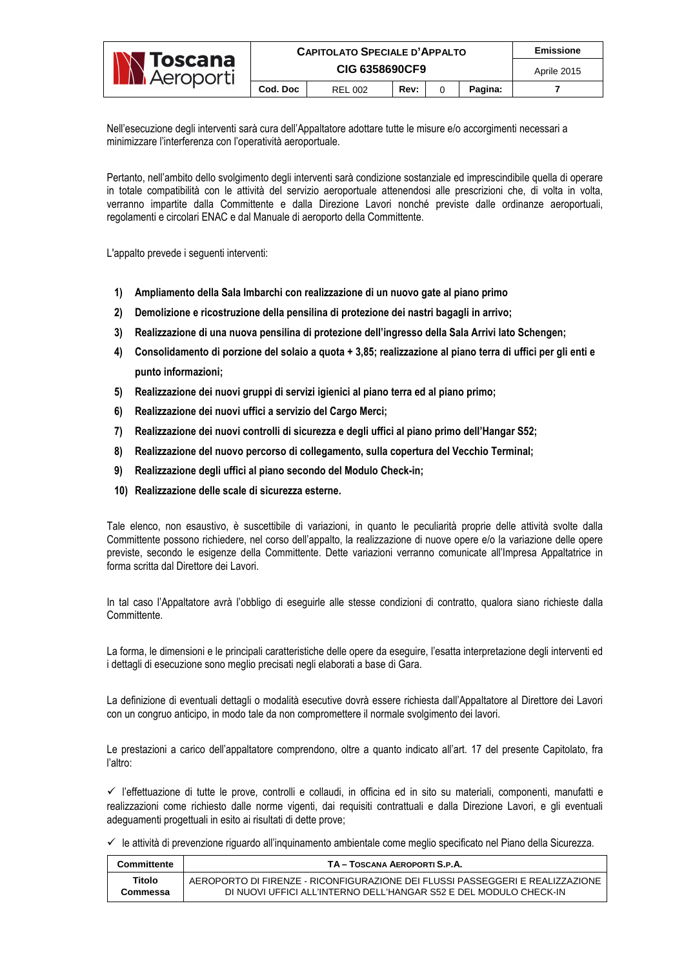|                                         | <b>CAPITOLATO SPECIALE D'APPALTO</b> |                |      |  |         | Emissione   |
|-----------------------------------------|--------------------------------------|----------------|------|--|---------|-------------|
| <u>√</u> Toscana<br><b>NA</b> Aeroporti | CIG 6358690CF9                       |                |      |  |         | Aprile 2015 |
|                                         | Cod. Doc                             | <b>REL 002</b> | Rev: |  | Pagina: |             |

Nell'esecuzione degli interventi sarà cura dell'Appaltatore adottare tutte le misure e/o accorgimenti necessari a minimizzare l'interferenza con l'operatività aeroportuale.

Pertanto, nell'ambito dello svolgimento degli interventi sarà condizione sostanziale ed imprescindibile quella di operare in totale compatibilità con le attività del servizio aeroportuale attenendosi alle prescrizioni che, di volta in volta, verranno impartite dalla Committente e dalla Direzione Lavori nonché previste dalle ordinanze aeroportuali, regolamenti e circolari ENAC e dal Manuale di aeroporto della Committente.

L'appalto prevede i seguenti interventi:

- **1) Ampliamento della Sala Imbarchi con realizzazione di un nuovo gate al piano primo**
- **2) Demolizione e ricostruzione della pensilina di protezione dei nastri bagagli in arrivo;**
- **3) Realizzazione di una nuova pensilina di protezione dell'ingresso della Sala Arrivi lato Schengen;**
- **4) Consolidamento di porzione del solaio a quota + 3,85; realizzazione al piano terra di uffici per gli enti e punto informazioni;**
- **5) Realizzazione dei nuovi gruppi di servizi igienici al piano terra ed al piano primo;**
- **6) Realizzazione dei nuovi uffici a servizio del Cargo Merci;**
- **7) Realizzazione dei nuovi controlli di sicurezza e degli uffici al piano primo dell'Hangar S52;**
- **8) Realizzazione del nuovo percorso di collegamento, sulla copertura del Vecchio Terminal;**
- **9) Realizzazione degli uffici al piano secondo del Modulo Check-in;**
- **10) Realizzazione delle scale di sicurezza esterne.**

Tale elenco, non esaustivo, è suscettibile di variazioni, in quanto le peculiarità proprie delle attività svolte dalla Committente possono richiedere, nel corso dell'appalto, la realizzazione di nuove opere e/o la variazione delle opere previste, secondo le esigenze della Committente. Dette variazioni verranno comunicate all'Impresa Appaltatrice in forma scritta dal Direttore dei Lavori.

In tal caso l'Appaltatore avrà l'obbligo di eseguirle alle stesse condizioni di contratto, qualora siano richieste dalla Committente.

La forma, le dimensioni e le principali caratteristiche delle opere da eseguire, l'esatta interpretazione degli interventi ed i dettagli di esecuzione sono meglio precisati negli elaborati a base di Gara.

La definizione di eventuali dettagli o modalità esecutive dovrà essere richiesta dall'Appaltatore al Direttore dei Lavori con un congruo anticipo, in modo tale da non compromettere il normale svolgimento dei lavori.

Le prestazioni a carico dell'appaltatore comprendono, oltre a quanto indicato all'art. 17 del presente Capitolato, fra l'altro:

 $\checkmark$  l'effettuazione di tutte le prove, controlli e collaudi, in officina ed in sito su materiali, componenti, manufatti e realizzazioni come richiesto dalle norme vigenti, dai requisiti contrattuali e dalla Direzione Lavori, e gli eventuali adeguamenti progettuali in esito ai risultati di dette prove;

 $\checkmark$  le attività di prevenzione riguardo all'inquinamento ambientale come meglio specificato nel Piano della Sicurezza.

| Committente | TA - TOSCANA AEROPORTI S.P.A.                                                 |
|-------------|-------------------------------------------------------------------------------|
| Titolo      | AEROPORTO DI FIRENZE - RICONFIGURAZIONE DEI FLUSSI PASSEGGERI E REALIZZAZIONE |
| Commessa    | DI NUOVI UFFICI ALL'INTERNO DELL'HANGAR S52 E DEL MODULO CHECK-IN             |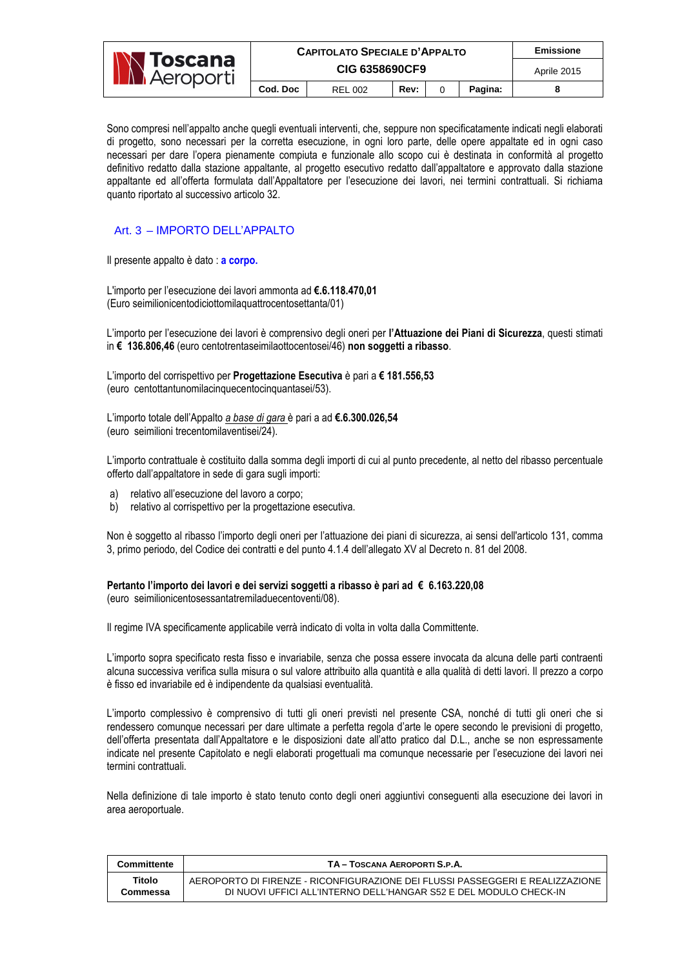|                                        | <b>CAPITOLATO SPECIALE D'APPALTO</b> | <b>Emissione</b>                  |  |  |  |  |
|----------------------------------------|--------------------------------------|-----------------------------------|--|--|--|--|
| <b>N Toscana</b><br><b>N</b> Aeroporti |                                      | Aprile 2015                       |  |  |  |  |
|                                        | Cod. Doc                             | Rev:<br>Pagina:<br><b>REL 002</b> |  |  |  |  |

Sono compresi nell'appalto anche quegli eventuali interventi, che, seppure non specificatamente indicati negli elaborati di progetto, sono necessari per la corretta esecuzione, in ogni loro parte, delle opere appaltate ed in ogni caso necessari per dare l'opera pienamente compiuta e funzionale allo scopo cui è destinata in conformità al progetto definitivo redatto dalla stazione appaltante, al progetto esecutivo redatto dall'appaltatore e approvato dalla stazione appaltante ed all'offerta formulata dall'Appaltatore per l'esecuzione dei lavori, nei termini contrattuali. Si richiama quanto riportato al successivo articolo 32.

# Art. 3 – IMPORTO DELL'APPALTO

Il presente appalto è dato : **a corpo.**

L'importo per l'esecuzione dei lavori ammonta ad **€.6.118.470,01** (Euro seimilionicentodiciottomilaquattrocentosettanta/01)

L'importo per l'esecuzione dei lavori è comprensivo degli oneri per **l'Attuazione dei Piani di Sicurezza**, questi stimati in **€ 136.806,46** (euro centotrentaseimilaottocentosei/46) **non soggetti a ribasso**.

L'importo del corrispettivo per **Progettazione Esecutiva** è pari a **€ 181.556,53**  (euro centottantunomilacinquecentocinquantasei/53).

L'importo totale dell'Appalto *a base di gara* è pari a ad **€.6.300.026,54**  (euro seimilioni trecentomilaventisei/24).

L'importo contrattuale è costituito dalla somma degli importi di cui al punto precedente, al netto del ribasso percentuale offerto dall'appaltatore in sede di gara sugli importi:

- a) relativo all'esecuzione del lavoro a corpo;
- b) relativo al corrispettivo per la progettazione esecutiva.

Non è soggetto al ribasso l'importo degli oneri per l'attuazione dei piani di sicurezza, ai sensi dell'articolo 131, comma 3, primo periodo, del Codice dei contratti e del punto 4.1.4 dell'allegato XV al Decreto n. 81 del 2008.

#### **Pertanto l'importo dei lavori e dei servizi soggetti a ribasso è pari ad € 6.163.220,08**  (euro seimilionicentosessantatremiladuecentoventi/08).

Il regime IVA specificamente applicabile verrà indicato di volta in volta dalla Committente.

L'importo sopra specificato resta fisso e invariabile, senza che possa essere invocata da alcuna delle parti contraenti alcuna successiva verifica sulla misura o sul valore attribuito alla quantità e alla qualità di detti lavori. Il prezzo a corpo è fisso ed invariabile ed è indipendente da qualsiasi eventualità.

L'importo complessivo è comprensivo di tutti gli oneri previsti nel presente CSA, nonché di tutti gli oneri che si rendessero comunque necessari per dare ultimate a perfetta regola d'arte le opere secondo le previsioni di progetto, dell'offerta presentata dall'Appaltatore e le disposizioni date all'atto pratico dal D.L., anche se non espressamente indicate nel presente Capitolato e negli elaborati progettuali ma comunque necessarie per l'esecuzione dei lavori nei termini contrattuali.

Nella definizione di tale importo è stato tenuto conto degli oneri aggiuntivi conseguenti alla esecuzione dei lavori in area aeroportuale.

| Committente | TA - TOSCANA AEROPORTI S.P.A.                                                 |
|-------------|-------------------------------------------------------------------------------|
| Titolo      | AEROPORTO DI FIRENZE - RICONFIGURAZIONE DEI FLUSSI PASSEGGERI E REALIZZAZIONE |
| Commessa    | DI NUOVI UFFICI ALL'INTERNO DELL'HANGAR S52 E DEL MODULO CHECK-IN             |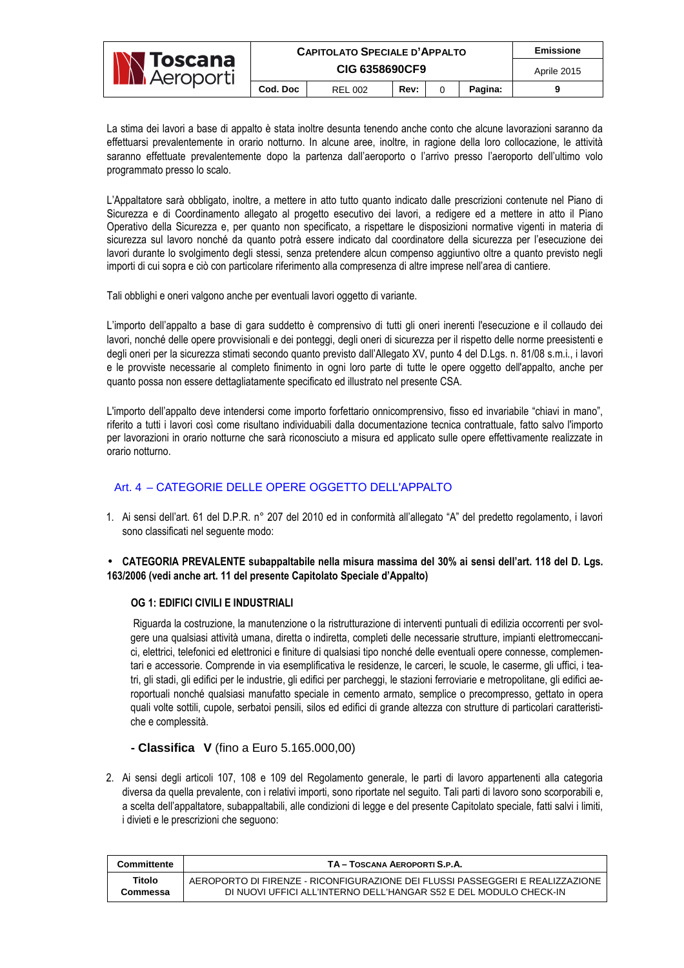|                                         | <b>CAPITOLATO SPECIALE D'APPALTO</b>   | Emissione   |  |  |  |  |
|-----------------------------------------|----------------------------------------|-------------|--|--|--|--|
| <b>N Toscana</b><br><b>IN</b> Aeroporti |                                        | Aprile 2015 |  |  |  |  |
|                                         | Cod. Doc<br>Rev:<br>Pagina:<br>REL 002 |             |  |  |  |  |

La stima dei lavori a base di appalto è stata inoltre desunta tenendo anche conto che alcune lavorazioni saranno da effettuarsi prevalentemente in orario notturno. In alcune aree, inoltre, in ragione della loro collocazione, le attività saranno effettuate prevalentemente dopo la partenza dall'aeroporto o l'arrivo presso l'aeroporto dell'ultimo volo programmato presso lo scalo.

L'Appaltatore sarà obbligato, inoltre, a mettere in atto tutto quanto indicato dalle prescrizioni contenute nel Piano di Sicurezza e di Coordinamento allegato al progetto esecutivo dei lavori, a redigere ed a mettere in atto il Piano Operativo della Sicurezza e, per quanto non specificato, a rispettare le disposizioni normative vigenti in materia di sicurezza sul lavoro nonché da quanto potrà essere indicato dal coordinatore della sicurezza per l'esecuzione dei lavori durante lo svolgimento degli stessi, senza pretendere alcun compenso aggiuntivo oltre a quanto previsto negli importi di cui sopra e ciò con particolare riferimento alla compresenza di altre imprese nell'area di cantiere.

Tali obblighi e oneri valgono anche per eventuali lavori oggetto di variante.

L'importo dell'appalto a base di gara suddetto è comprensivo di tutti gli oneri inerenti l'esecuzione e il collaudo dei lavori, nonché delle opere provvisionali e dei ponteggi, degli oneri di sicurezza per il rispetto delle norme preesistenti e degli oneri per la sicurezza stimati secondo quanto previsto dall'Allegato XV, punto 4 del D.Lgs. n. 81/08 s.m.i., i lavori e le provviste necessarie al completo finimento in ogni loro parte di tutte le opere oggetto dell'appalto, anche per quanto possa non essere dettagliatamente specificato ed illustrato nel presente CSA.

L'importo dell'appalto deve intendersi come importo forfettario onnicomprensivo, fisso ed invariabile "chiavi in mano", riferito a tutti i lavori così come risultano individuabili dalla documentazione tecnica contrattuale, fatto salvo l'importo per lavorazioni in orario notturne che sarà riconosciuto a misura ed applicato sulle opere effettivamente realizzate in orario notturno.

# Art. 4 – CATEGORIE DELLE OPERE OGGETTO DELL'APPALTO

1. Ai sensi dell'art. 61 del D.P.R. n° 207 del 2010 ed in conformità all'allegato "A" del predetto regolamento, i lavori sono classificati nel seguente modo:

## • **CATEGORIA PREVALENTE subappaltabile nella misura massima del 30% ai sensi dell'art. 118 del D. Lgs. 163/2006 (vedi anche art. 11 del presente Capitolato Speciale d'Appalto)**

## **OG 1: EDIFICI CIVILI E INDUSTRIALI**

 Riguarda la costruzione, la manutenzione o la ristrutturazione di interventi puntuali di edilizia occorrenti per svolgere una qualsiasi attività umana, diretta o indiretta, completi delle necessarie strutture, impianti elettromeccanici, elettrici, telefonici ed elettronici e finiture di qualsiasi tipo nonché delle eventuali opere connesse, complementari e accessorie. Comprende in via esemplificativa le residenze, le carceri, le scuole, le caserme, gli uffici, i teatri, gli stadi, gli edifici per le industrie, gli edifici per parcheggi, le stazioni ferroviarie e metropolitane, gli edifici aeroportuali nonché qualsiasi manufatto speciale in cemento armato, semplice o precompresso, gettato in opera quali volte sottili, cupole, serbatoi pensili, silos ed edifici di grande altezza con strutture di particolari caratteristiche e complessità.

## **- Classifica V** (fino a Euro 5.165.000,00)

2. Ai sensi degli articoli 107, 108 e 109 del Regolamento generale, le parti di lavoro appartenenti alla categoria diversa da quella prevalente, con i relativi importi, sono riportate nel seguito. Tali parti di lavoro sono scorporabili e, a scelta dell'appaltatore, subappaltabili, alle condizioni di legge e del presente Capitolato speciale, fatti salvi i limiti, i divieti e le prescrizioni che seguono:

| Committente | TA - TOSCANA AEROPORTI S.P.A.                                                 |
|-------------|-------------------------------------------------------------------------------|
| Titolo      | AEROPORTO DI FIRENZE - RICONFIGURAZIONE DEI FLUSSI PASSEGGERI E REALIZZAZIONE |
| Commessa    | DI NUOVI UFFICI ALL'INTERNO DELL'HANGAR S52 E DEL MODULO CHECK-IN             |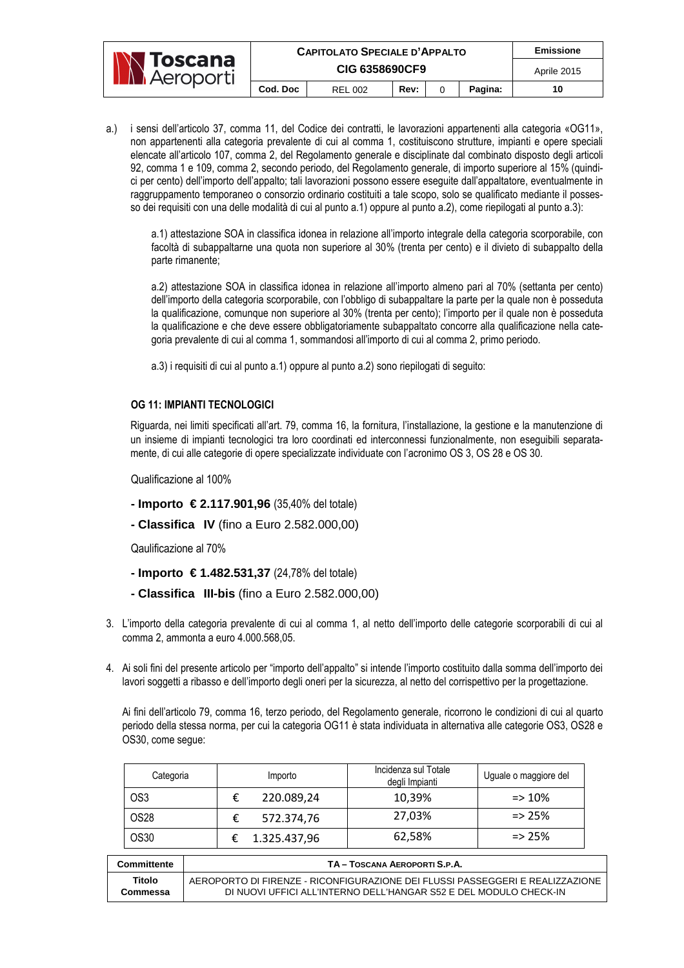|                    | <b>CAPITOLATO SPECIALE D'APPALTO</b>          | <b>Emissione</b> |  |  |  |    |
|--------------------|-----------------------------------------------|------------------|--|--|--|----|
| <b>IN Toscana</b>  |                                               | Aprile 2015      |  |  |  |    |
| <b>N</b> Aeroporti | Cod. Doc<br>Rev:<br>Pagina:<br><b>REL 002</b> |                  |  |  |  | 10 |

a.) i sensi dell'articolo 37, comma 11, del Codice dei contratti, le lavorazioni appartenenti alla categoria «OG11», non appartenenti alla categoria prevalente di cui al comma 1, costituiscono strutture, impianti e opere speciali elencate all'articolo 107, comma 2, del Regolamento generale e disciplinate dal combinato disposto degli articoli 92, comma 1 e 109, comma 2, secondo periodo, del Regolamento generale, di importo superiore al 15% (quindici per cento) dell'importo dell'appalto; tali lavorazioni possono essere eseguite dall'appaltatore, eventualmente in raggruppamento temporaneo o consorzio ordinario costituiti a tale scopo, solo se qualificato mediante il possesso dei requisiti con una delle modalità di cui al punto a.1) oppure al punto a.2), come riepilogati al punto a.3):

a.1) attestazione SOA in classifica idonea in relazione all'importo integrale della categoria scorporabile, con facoltà di subappaltarne una quota non superiore al 30% (trenta per cento) e il divieto di subappalto della parte rimanente;

a.2) attestazione SOA in classifica idonea in relazione all'importo almeno pari al 70% (settanta per cento) dell'importo della categoria scorporabile, con l'obbligo di subappaltare la parte per la quale non è posseduta la qualificazione, comunque non superiore al 30% (trenta per cento); l'importo per il quale non è posseduta la qualificazione e che deve essere obbligatoriamente subappaltato concorre alla qualificazione nella categoria prevalente di cui al comma 1, sommandosi all'importo di cui al comma 2, primo periodo.

a.3) i requisiti di cui al punto a.1) oppure al punto a.2) sono riepilogati di seguito:

# **OG 11: IMPIANTI TECNOLOGICI**

Riguarda, nei limiti specificati all'art. 79, comma 16, la fornitura, l'installazione, la gestione e la manutenzione di un insieme di impianti tecnologici tra loro coordinati ed interconnessi funzionalmente, non eseguibili separatamente, di cui alle categorie di opere specializzate individuate con l'acronimo OS 3, OS 28 e OS 30.

Qualificazione al 100%

- **Importo € 2.117.901,96** (35,40% del totale)
- **Classifica IV** (fino a Euro 2.582.000,00)

Qaulificazione al 70%

- **Importo € 1.482.531,37** (24,78% del totale)
- **Classifica III-bis** (fino a Euro 2.582.000,00)
- 3. L'importo della categoria prevalente di cui al comma 1, al netto dell'importo delle categorie scorporabili di cui al comma 2, ammonta a euro 4.000.568,05.
- 4. Ai soli fini del presente articolo per "importo dell'appalto" si intende l'importo costituito dalla somma dell'importo dei lavori soggetti a ribasso e dell'importo degli oneri per la sicurezza, al netto del corrispettivo per la progettazione.

Ai fini dell'articolo 79, comma 16, terzo periodo, del Regolamento generale, ricorrono le condizioni di cui al quarto periodo della stessa norma, per cui la categoria OG11 è stata individuata in alternativa alle categorie OS3, OS28 e OS30, come segue:

| Categoria        | Importo |              |        |                | Incidenza sul Totale<br>degli Impianti | Uguale o maggiore del |
|------------------|---------|--------------|--------|----------------|----------------------------------------|-----------------------|
| OS3              |         | 220.089,24   | 10,39% | $\approx 10\%$ |                                        |                       |
| OS <sub>28</sub> |         | 572.374,76   | 27,03% | $\approx$ 25%  |                                        |                       |
| OS30             |         | 1.325.437,96 | 62,58% | $\approx$ 25%  |                                        |                       |

| Committente | TA - TOSCANA AEROPORTI S.P.A.                                                 |
|-------------|-------------------------------------------------------------------------------|
| Titolo      | AEROPORTO DI FIRENZE - RICONFIGURAZIONE DEI FLUSSI PASSEGGERI E REALIZZAZIONE |
| Commessa    | DI NUOVI UFFICI ALL'INTERNO DELL'HANGAR S52 E DEL MODULO CHECK-IN             |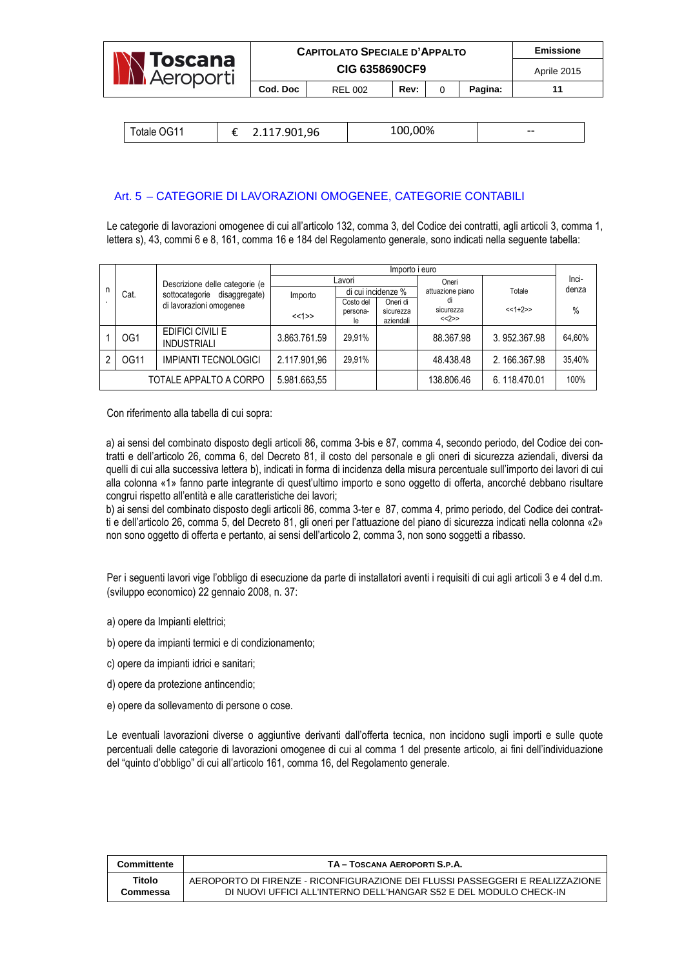|                                 | <b>CAPITOLATO SPECIALE D'APPALTO</b> | Emissione   |
|---------------------------------|--------------------------------------|-------------|
| <b>N Toscana</b><br>A Aeroporti |                                      | Aprile 2015 |
|                                 | Cod. Doc                             |             |

| CG11<br>'otale | 2.117.901,96 | 00% | $- -$ |
|----------------|--------------|-----|-------|
|                |              |     |       |

# Art. 5 – CATEGORIE DI LAVORAZIONI OMOGENEE, CATEGORIE CONTABILI

Le categorie di lavorazioni omogenee di cui all'articolo 132, comma 3, del Codice dei contratti, agli articoli 3, comma 1, lettera s), 43, commi 6 e 8, 161, comma 16 e 184 del Regolamento generale, sono indicati nella seguente tabella:

|   |                         |                                        |              | Importo i euro     |                        |                  |              |        |
|---|-------------------------|----------------------------------------|--------------|--------------------|------------------------|------------------|--------------|--------|
|   |                         | Descrizione delle categorie (e         |              | Lavori             |                        | Oneri            |              | Inci-  |
| n | Cat.                    | sottocategorie disaggregate)           | Importo      | di cui incidenze % |                        | attuazione piano | Totale       | denza  |
|   | di lavorazioni omogenee |                                        |              | Costo del          | Oneri di               | d١<br>sicurezza  | $<<1+2>>$    |        |
|   |                         |                                        | <<1>>        | persona-           | sicurezza<br>aziendali | <<2>>            |              | $\%$   |
|   |                         |                                        |              | le                 |                        |                  |              |        |
|   | OG1                     | <b>EDIFICI CIVILI E</b><br>INDUSTRIALI | 3.863.761.59 | 29.91%             |                        | 88.367.98        | 3.952.367.98 | 64.60% |
|   | OG11                    | <b>IMPIANTI TECNOLOGICI</b>            | 2.117.901.96 | 29.91%             |                        | 48.438.48        | 2.166.367.98 | 35,40% |
|   |                         | TOTALE APPALTO A CORPO                 | 5.981.663,55 |                    |                        | 138.806.46       | 6.118.470.01 | 100%   |

Con riferimento alla tabella di cui sopra:

a) ai sensi del combinato disposto degli articoli 86, comma 3-bis e 87, comma 4, secondo periodo, del Codice dei contratti e dell'articolo 26, comma 6, del Decreto 81, il costo del personale e gli oneri di sicurezza aziendali, diversi da quelli di cui alla successiva lettera b), indicati in forma di incidenza della misura percentuale sull'importo dei lavori di cui alla colonna «1» fanno parte integrante di quest'ultimo importo e sono oggetto di offerta, ancorché debbano risultare congrui rispetto all'entità e alle caratteristiche dei lavori;

b) ai sensi del combinato disposto degli articoli 86, comma 3-ter e 87, comma 4, primo periodo, del Codice dei contratti e dell'articolo 26, comma 5, del Decreto 81, gli oneri per l'attuazione del piano di sicurezza indicati nella colonna «2» non sono oggetto di offerta e pertanto, ai sensi dell'articolo 2, comma 3, non sono soggetti a ribasso.

Per i sequenti lavori vige l'obbligo di esecuzione da parte di installatori aventi i requisiti di cui agli articoli 3 e 4 del d.m. (sviluppo economico) 22 gennaio 2008, n. 37:

- a) opere da Impianti elettrici;
- b) opere da impianti termici e di condizionamento;
- c) opere da impianti idrici e sanitari;
- d) opere da protezione antincendio;
- e) opere da sollevamento di persone o cose.

Le eventuali lavorazioni diverse o aggiuntive derivanti dall'offerta tecnica, non incidono sugli importi e sulle quote percentuali delle categorie di lavorazioni omogenee di cui al comma 1 del presente articolo, ai fini dell'individuazione del "quinto d'obbligo" di cui all'articolo 161, comma 16, del Regolamento generale.

| Committente | TA - TOSCANA AEROPORTI S.P.A.                                                 |
|-------------|-------------------------------------------------------------------------------|
| Titolo      | AEROPORTO DI FIRENZE - RICONFIGURAZIONE DEI FLUSSI PASSEGGERI E REALIZZAZIONE |
| Commessa    | DI NUOVI UFFICI ALL'INTERNO DELL'HANGAR S52 E DEL MODULO CHECK-IN             |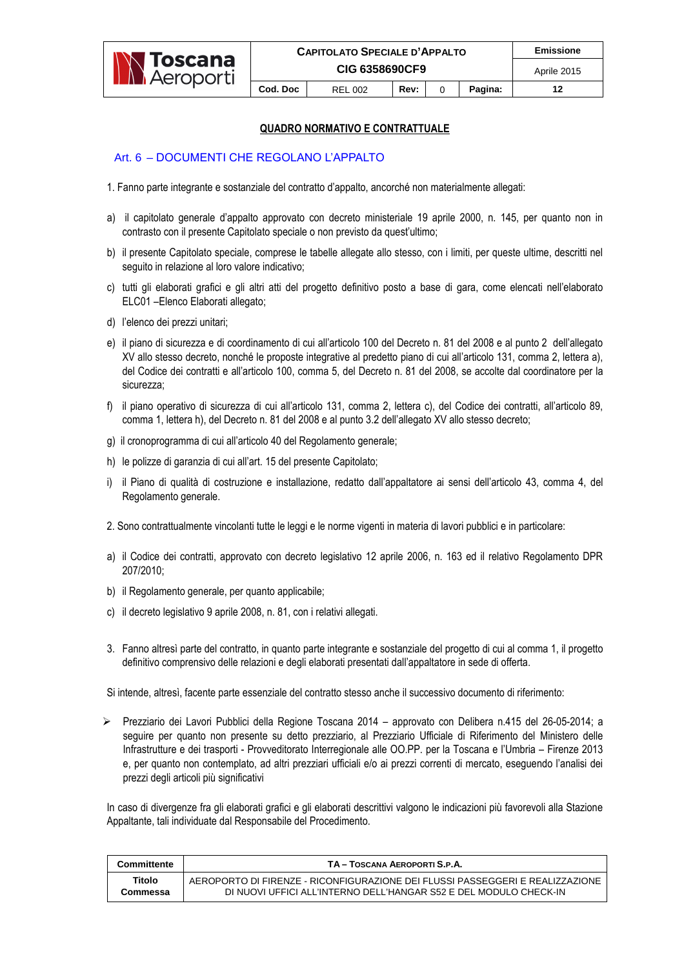

#### **QUADRO NORMATIVO E CONTRATTUALE**

#### Art. 6 – DOCUMENTI CHE REGOLANO L'APPALTO

- 1. Fanno parte integrante e sostanziale del contratto d'appalto, ancorché non materialmente allegati:
- a) il capitolato generale d'appalto approvato con decreto ministeriale 19 aprile 2000, n. 145, per quanto non in contrasto con il presente Capitolato speciale o non previsto da quest'ultimo;
- b) il presente Capitolato speciale, comprese le tabelle allegate allo stesso, con i limiti, per queste ultime, descritti nel seguito in relazione al loro valore indicativo;
- c) tutti gli elaborati grafici e gli altri atti del progetto definitivo posto a base di gara, come elencati nell'elaborato ELC01 –Elenco Elaborati allegato;
- d) l'elenco dei prezzi unitari;
- e) il piano di sicurezza e di coordinamento di cui all'articolo 100 del Decreto n. 81 del 2008 e al punto 2 dell'allegato XV allo stesso decreto, nonché le proposte integrative al predetto piano di cui all'articolo 131, comma 2, lettera a), del Codice dei contratti e all'articolo 100, comma 5, del Decreto n. 81 del 2008, se accolte dal coordinatore per la sicurezza;
- f) il piano operativo di sicurezza di cui all'articolo 131, comma 2, lettera c), del Codice dei contratti, all'articolo 89, comma 1, lettera h), del Decreto n. 81 del 2008 e al punto 3.2 dell'allegato XV allo stesso decreto;
- g) il cronoprogramma di cui all'articolo 40 del Regolamento generale;
- h) le polizze di garanzia di cui all'art. 15 del presente Capitolato;
- i) il Piano di qualità di costruzione e installazione, redatto dall'appaltatore ai sensi dell'articolo 43, comma 4, del Regolamento generale.
- 2. Sono contrattualmente vincolanti tutte le leggi e le norme vigenti in materia di lavori pubblici e in particolare:
- a) il Codice dei contratti, approvato con decreto legislativo 12 aprile 2006, n. 163 ed il relativo Regolamento DPR 207/2010;
- b) il Regolamento generale, per quanto applicabile;
- c) il decreto legislativo 9 aprile 2008, n. 81, con i relativi allegati.
- 3. Fanno altresì parte del contratto, in quanto parte integrante e sostanziale del progetto di cui al comma 1, il progetto definitivo comprensivo delle relazioni e degli elaborati presentati dall'appaltatore in sede di offerta.

Si intende, altresì, facente parte essenziale del contratto stesso anche il successivo documento di riferimento:

- Prezziario dei Lavori Pubblici della Regione Toscana 2014 – approvato con Delibera n.415 del 26-05-2014; a seguire per quanto non presente su detto prezziario, al Prezziario Ufficiale di Riferimento del Ministero delle Infrastrutture e dei trasporti - Provveditorato Interregionale alle OO.PP. per la Toscana e l'Umbria – Firenze 2013 e, per quanto non contemplato, ad altri prezziari ufficiali e/o ai prezzi correnti di mercato, eseguendo l'analisi dei prezzi degli articoli più significativi

In caso di divergenze fra gli elaborati grafici e gli elaborati descrittivi valgono le indicazioni più favorevoli alla Stazione Appaltante, tali individuate dal Responsabile del Procedimento.

| Committente | TA - TOSCANA AEROPORTI S.P.A.                                                 |
|-------------|-------------------------------------------------------------------------------|
| Titolo      | AEROPORTO DI FIRENZE - RICONFIGURAZIONE DEI FLUSSI PASSEGGERI E REALIZZAZIONE |
| Commessa    | DI NUOVI UFFICI ALL'INTERNO DELL'HANGAR S52 E DEL MODULO CHECK-IN             |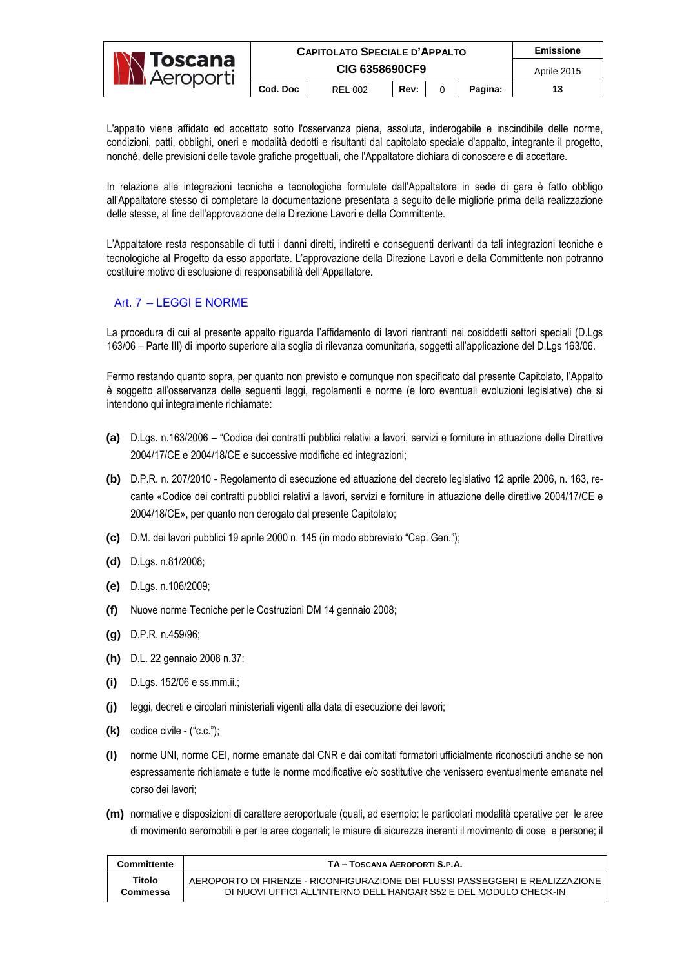|                    | <b>CAPITOLATO SPECIALE D'APPALTO</b> | <b>Emissione</b> |      |  |         |             |
|--------------------|--------------------------------------|------------------|------|--|---------|-------------|
| <b>N Toscana</b>   | CIG 6358690CF9                       |                  |      |  |         | Aprile 2015 |
| <b>N</b> Aeroporti | Cod. Doc                             | <b>REL 002</b>   | Rev: |  | Pagina: | 13          |

L'appalto viene affidato ed accettato sotto l'osservanza piena, assoluta, inderogabile e inscindibile delle norme, condizioni, patti, obblighi, oneri e modalità dedotti e risultanti dal capitolato speciale d'appalto, integrante il progetto, nonché, delle previsioni delle tavole grafiche progettuali, che l'Appaltatore dichiara di conoscere e di accettare.

In relazione alle integrazioni tecniche e tecnologiche formulate dall'Appaltatore in sede di gara è fatto obbligo all'Appaltatore stesso di completare la documentazione presentata a seguito delle migliorie prima della realizzazione delle stesse, al fine dell'approvazione della Direzione Lavori e della Committente.

L'Appaltatore resta responsabile di tutti i danni diretti, indiretti e conseguenti derivanti da tali integrazioni tecniche e tecnologiche al Progetto da esso apportate. L'approvazione della Direzione Lavori e della Committente non potranno costituire motivo di esclusione di responsabilità dell'Appaltatore.

# Art. 7 – LEGGI E NORME

La procedura di cui al presente appalto riguarda l'affidamento di lavori rientranti nei cosiddetti settori speciali (D.Lgs 163/06 – Parte III) di importo superiore alla soglia di rilevanza comunitaria, soggetti all'applicazione del D.Lgs 163/06.

Fermo restando quanto sopra, per quanto non previsto e comunque non specificato dal presente Capitolato, l'Appalto è soggetto all'osservanza delle seguenti leggi, regolamenti e norme (e loro eventuali evoluzioni legislative) che si intendono qui integralmente richiamate:

- **(a)** D.Lgs. n.163/2006 "Codice dei contratti pubblici relativi a lavori, servizi e forniture in attuazione delle Direttive 2004/17/CE e 2004/18/CE e successive modifiche ed integrazioni;
- **(b)** D.P.R. n. 207/2010 Regolamento di esecuzione ed attuazione del decreto legislativo 12 aprile 2006, n. 163, recante «Codice dei contratti pubblici relativi a lavori, servizi e forniture in attuazione delle direttive 2004/17/CE e 2004/18/CE», per quanto non derogato dal presente Capitolato;
- **(c)** D.M. dei lavori pubblici 19 aprile 2000 n. 145 (in modo abbreviato "Cap. Gen.");
- **(d)** D.Lgs. n.81/2008;
- **(e)** D.Lgs. n.106/2009;
- **(f)** Nuove norme Tecniche per le Costruzioni DM 14 gennaio 2008;
- **(g)** D.P.R. n.459/96;
- **(h)** D.L. 22 gennaio 2008 n.37;
- **(i)** D.Lgs. 152/06 e ss.mm.ii.;
- **(j)** leggi, decreti e circolari ministeriali vigenti alla data di esecuzione dei lavori;
- **(k)** codice civile ("c.c.");
- **(l)** norme UNI, norme CEI, norme emanate dal CNR e dai comitati formatori ufficialmente riconosciuti anche se non espressamente richiamate e tutte le norme modificative e/o sostitutive che venissero eventualmente emanate nel corso dei lavori;
- **(m)** normative e disposizioni di carattere aeroportuale (quali, ad esempio: le particolari modalità operative per le aree di movimento aeromobili e per le aree doganali; le misure di sicurezza inerenti il movimento di cose e persone; il

| Committente | TA - TOSCANA AEROPORTI S.P.A.                                                 |
|-------------|-------------------------------------------------------------------------------|
| Titolo      | AEROPORTO DI FIRENZE - RICONFIGURAZIONE DEI FLUSSI PASSEGGERI E REALIZZAZIONE |
| Commessa    | DI NUOVI UFFICI ALL'INTERNO DELL'HANGAR S52 E DEL MODULO CHECK-IN             |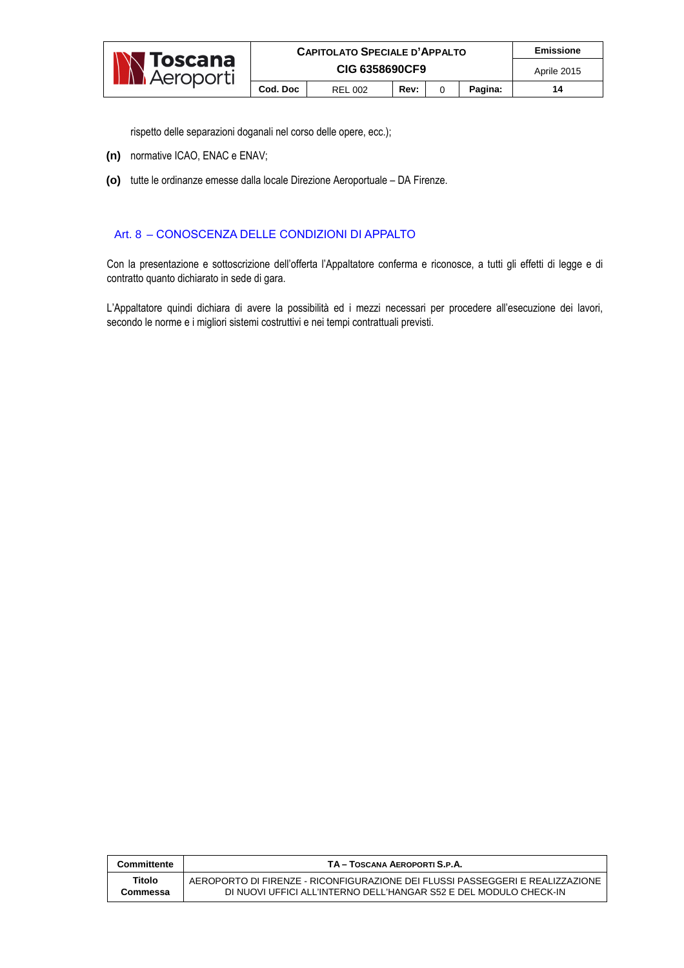|                                  | <b>CAPITOLATO SPECIALE D'APPALTO</b> |                |      |  |             | Emissione |
|----------------------------------|--------------------------------------|----------------|------|--|-------------|-----------|
| <b>N</b> Toscana<br>AN Aeroporti | CIG 6358690CF9                       |                |      |  | Aprile 2015 |           |
|                                  | Cod. Doc                             | <b>REL 002</b> | Rev: |  | Pagina:     | 14        |

rispetto delle separazioni doganali nel corso delle opere, ecc.);

- **(n)** normative ICAO, ENAC e ENAV;
- **(o)** tutte le ordinanze emesse dalla locale Direzione Aeroportuale DA Firenze.

# Art. 8 – CONOSCENZA DELLE CONDIZIONI DI APPALTO

Con la presentazione e sottoscrizione dell'offerta l'Appaltatore conferma e riconosce, a tutti gli effetti di legge e di contratto quanto dichiarato in sede di gara.

L'Appaltatore quindi dichiara di avere la possibilità ed i mezzi necessari per procedere all'esecuzione dei lavori, secondo le norme e i migliori sistemi costruttivi e nei tempi contrattuali previsti.

| Committente | TA - TOSCANA AEROPORTI S.P.A.                                                 |
|-------------|-------------------------------------------------------------------------------|
| Titolo      | AEROPORTO DI FIRENZE - RICONFIGURAZIONE DEI FLUSSI PASSEGGERI E REALIZZAZIONE |
| Commessa    | DI NUOVI UFFICI ALL'INTERNO DELL'HANGAR S52 E DEL MODULO CHECK-IN             |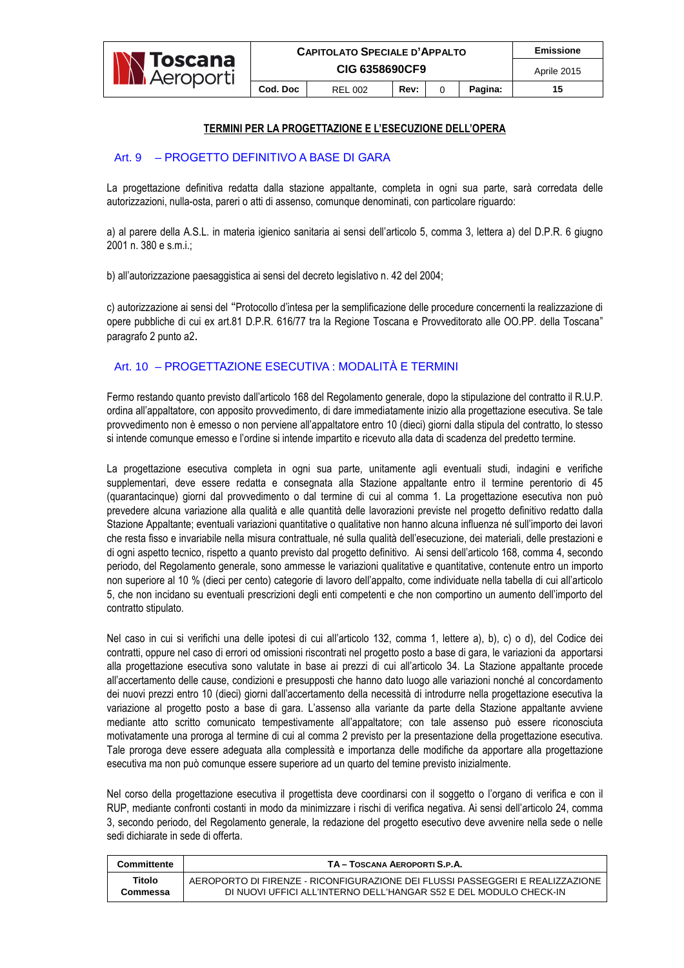

#### **TERMINI PER LA PROGETTAZIONE E L'ESECUZIONE DELL'OPERA**

#### Art. 9 – PROGETTO DEFINITIVO A BASE DI GARA

La progettazione definitiva redatta dalla stazione appaltante, completa in ogni sua parte, sarà corredata delle autorizzazioni, nulla-osta, pareri o atti di assenso, comunque denominati, con particolare riguardo:

a) al parere della A.S.L. in materia igienico sanitaria ai sensi dell'articolo 5, comma 3, lettera a) del D.P.R. 6 giugno 2001 n. 380 e s.m.i.;

b) all'autorizzazione paesaggistica ai sensi del decreto legislativo n. 42 del 2004;

c) autorizzazione ai sensi del "Protocollo d'intesa per la semplificazione delle procedure concernenti la realizzazione di opere pubbliche di cui ex art.81 D.P.R. 616/77 tra la Regione Toscana e Provveditorato alle OO.PP. della Toscana" paragrafo 2 punto a2.

#### Art. 10 – PROGETTAZIONE ESECUTIVA : MODALITÀ E TERMINI

Fermo restando quanto previsto dall'articolo 168 del Regolamento generale, dopo la stipulazione del contratto il R.U.P. ordina all'appaltatore, con apposito provvedimento, di dare immediatamente inizio alla progettazione esecutiva. Se tale provvedimento non è emesso o non perviene all'appaltatore entro 10 (dieci) giorni dalla stipula del contratto, lo stesso si intende comunque emesso e l'ordine si intende impartito e ricevuto alla data di scadenza del predetto termine.

La progettazione esecutiva completa in ogni sua parte, unitamente agli eventuali studi, indagini e verifiche supplementari, deve essere redatta e consegnata alla Stazione appaltante entro il termine perentorio di 45 (quarantacinque) giorni dal provvedimento o dal termine di cui al comma 1. La progettazione esecutiva non può prevedere alcuna variazione alla qualità e alle quantità delle lavorazioni previste nel progetto definitivo redatto dalla Stazione Appaltante; eventuali variazioni quantitative o qualitative non hanno alcuna influenza né sull'importo dei lavori che resta fisso e invariabile nella misura contrattuale, né sulla qualità dell'esecuzione, dei materiali, delle prestazioni e di ogni aspetto tecnico, rispetto a quanto previsto dal progetto definitivo. Ai sensi dell'articolo 168, comma 4, secondo periodo, del Regolamento generale, sono ammesse le variazioni qualitative e quantitative, contenute entro un importo non superiore al 10 % (dieci per cento) categorie di lavoro dell'appalto, come individuate nella tabella di cui all'articolo 5, che non incidano su eventuali prescrizioni degli enti competenti e che non comportino un aumento dell'importo del contratto stipulato.

Nel caso in cui si verifichi una delle ipotesi di cui all'articolo 132, comma 1, lettere a), b), c) o d), del Codice dei contratti, oppure nel caso di errori od omissioni riscontrati nel progetto posto a base di gara, le variazioni da apportarsi alla progettazione esecutiva sono valutate in base ai prezzi di cui all'articolo 34. La Stazione appaltante procede all'accertamento delle cause, condizioni e presupposti che hanno dato luogo alle variazioni nonché al concordamento dei nuovi prezzi entro 10 (dieci) giorni dall'accertamento della necessità di introdurre nella progettazione esecutiva la variazione al progetto posto a base di gara. L'assenso alla variante da parte della Stazione appaltante avviene mediante atto scritto comunicato tempestivamente all'appaltatore; con tale assenso può essere riconosciuta motivatamente una proroga al termine di cui al comma 2 previsto per la presentazione della progettazione esecutiva. Tale proroga deve essere adeguata alla complessità e importanza delle modifiche da apportare alla progettazione esecutiva ma non può comunque essere superiore ad un quarto del temine previsto inizialmente.

Nel corso della progettazione esecutiva il progettista deve coordinarsi con il soggetto o l'organo di verifica e con il RUP, mediante confronti costanti in modo da minimizzare i rischi di verifica negativa. Ai sensi dell'articolo 24, comma 3, secondo periodo, del Regolamento generale, la redazione del progetto esecutivo deve avvenire nella sede o nelle sedi dichiarate in sede di offerta.

| Committente | TA - TOSCANA AEROPORTI S.P.A.                                                 |
|-------------|-------------------------------------------------------------------------------|
| Titolo      | AEROPORTO DI FIRENZE - RICONFIGURAZIONE DEI FLUSSI PASSEGGERI E REALIZZAZIONE |
| Commessa    | DI NUOVI UFFICI ALL'INTERNO DELL'HANGAR S52 E DEL MODULO CHECK-IN             |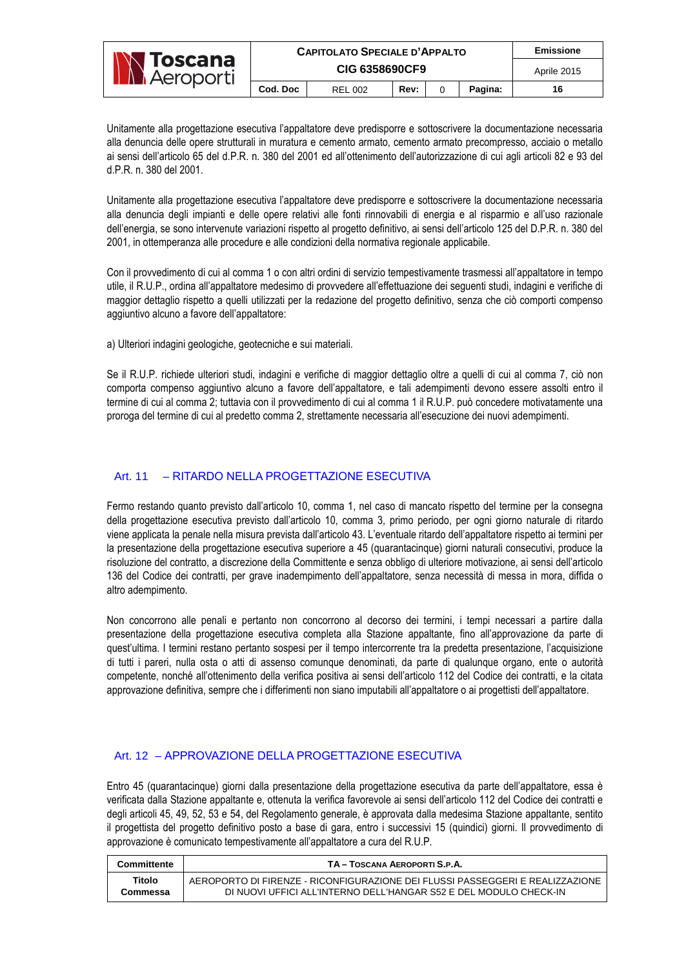|                                         | <b>CAPITOLATO SPECIALE D'APPALTO</b> | <b>Emissione</b> |      |  |         |             |
|-----------------------------------------|--------------------------------------|------------------|------|--|---------|-------------|
| <b>N Toscana</b><br><b>AL</b> Aeroporti | CIG 6358690CF9                       |                  |      |  |         | Aprile 2015 |
|                                         | Cod. Doc                             | <b>REL 002</b>   | Rev: |  | Pagina: | 16          |

Unitamente alla progettazione esecutiva l'appaltatore deve predisporre e sottoscrivere la documentazione necessaria alla denuncia delle opere strutturali in muratura e cemento armato, cemento armato precompresso, acciaio o metallo ai sensi dell'articolo 65 del d.P.R. n. 380 del 2001 ed all'ottenimento dell'autorizzazione di cui agli articoli 82 e 93 del d.P.R. n. 380 del 2001.

Unitamente alla progettazione esecutiva l'appaltatore deve predisporre e sottoscrivere la documentazione necessaria alla denuncia degli impianti e delle opere relativi alle fonti rinnovabili di energia e al risparmio e all'uso razionale dell'energia, se sono intervenute variazioni rispetto al progetto definitivo, ai sensi dell'articolo 125 del D.P.R. n. 380 del 2001, in ottemperanza alle procedure e alle condizioni della normativa regionale applicabile.

Con il provvedimento di cui al comma 1 o con altri ordini di servizio tempestivamente trasmessi all'appaltatore in tempo utile, il R.U.P., ordina all'appaltatore medesimo di provvedere all'effettuazione dei seguenti studi, indagini e verifiche di maggior dettaglio rispetto a quelli utilizzati per la redazione del progetto definitivo, senza che ciò comporti compenso aggiuntivo alcuno a favore dell'appaltatore:

a) Ulteriori indagini geologiche, geotecniche e sui materiali.

Se il R.U.P. richiede ulteriori studi, indagini e verifiche di maggior dettaglio oltre a quelli di cui al comma 7, ciò non comporta compenso aggiuntivo alcuno a favore dell'appaltatore, e tali adempimenti devono essere assolti entro il termine di cui al comma 2; tuttavia con il provvedimento di cui al comma 1 il R.U.P. può concedere motivatamente una proroga del termine di cui al predetto comma 2, strettamente necessaria all'esecuzione dei nuovi adempimenti.

# Art. 11 – RITARDO NELLA PROGETTAZIONE ESECUTIVA

Fermo restando quanto previsto dall'articolo 10, comma 1, nel caso di mancato rispetto del termine per la consegna della progettazione esecutiva previsto dall'articolo 10, comma 3, primo periodo, per ogni giorno naturale di ritardo viene applicata la penale nella misura prevista dall'articolo 43. L'eventuale ritardo dell'appaltatore rispetto ai termini per la presentazione della progettazione esecutiva superiore a 45 (quarantacinque) giorni naturali consecutivi, produce la risoluzione del contratto, a discrezione della Committente e senza obbligo di ulteriore motivazione, ai sensi dell'articolo 136 del Codice dei contratti, per grave inadempimento dell'appaltatore, senza necessità di messa in mora, diffida o altro adempimento.

Non concorrono alle penali e pertanto non concorrono al decorso dei termini, i tempi necessari a partire dalla presentazione della progettazione esecutiva completa alla Stazione appaltante, fino all'approvazione da parte di quest'ultima. I termini restano pertanto sospesi per il tempo intercorrente tra la predetta presentazione, l'acquisizione di tutti i pareri, nulla osta o atti di assenso comunque denominati, da parte di qualunque organo, ente o autorità competente, nonché all'ottenimento della verifica positiva ai sensi dell'articolo 112 del Codice dei contratti, e la citata approvazione definitiva, sempre che i differimenti non siano imputabili all'appaltatore o ai progettisti dell'appaltatore.

## Art. 12 – APPROVAZIONE DELLA PROGETTAZIONE ESECUTIVA

Entro 45 (quarantacinque) giorni dalla presentazione della progettazione esecutiva da parte dell'appaltatore, essa è verificata dalla Stazione appaltante e, ottenuta la verifica favorevole ai sensi dell'articolo 112 del Codice dei contratti e degli articoli 45, 49, 52, 53 e 54, del Regolamento generale, è approvata dalla medesima Stazione appaltante, sentito il progettista del progetto definitivo posto a base di gara, entro i successivi 15 (quindici) giorni. Il provvedimento di approvazione è comunicato tempestivamente all'appaltatore a cura del R.U.P.

| Committente | TA - TOSCANA AEROPORTI S.P.A.                                                 |
|-------------|-------------------------------------------------------------------------------|
| Titolo      | AEROPORTO DI FIRENZE - RICONFIGURAZIONE DEI FLUSSI PASSEGGERI E REALIZZAZIONE |
| Commessa    | DI NUOVI UFFICI ALL'INTERNO DELL'HANGAR S52 E DEL MODULO CHECK-IN             |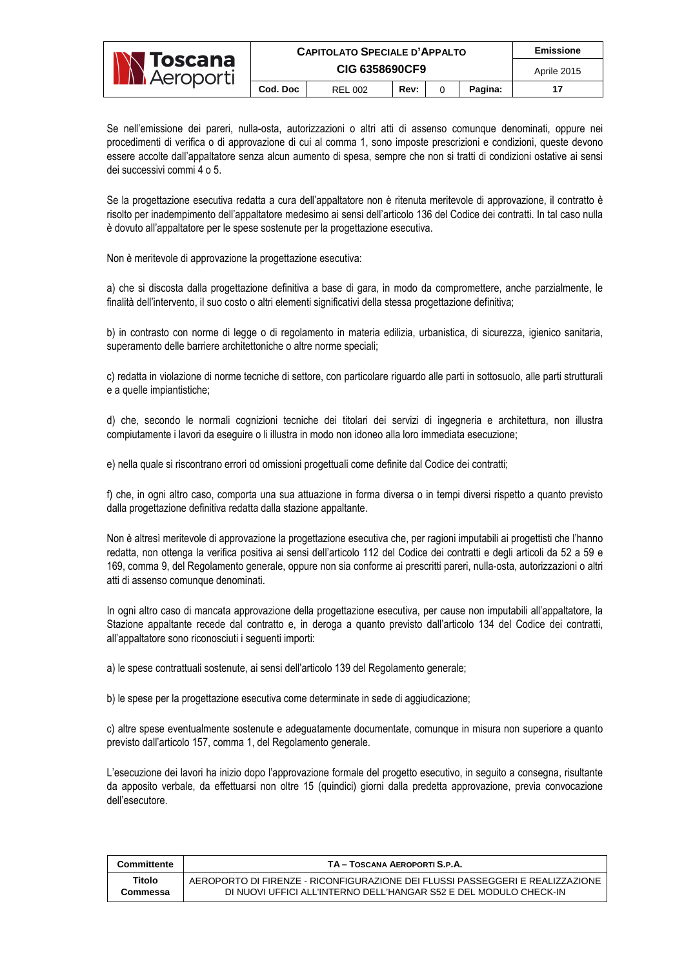|                     | <b>CAPITOLATO SPECIALE D'APPALTO</b> | Emissione      |      |  |         |             |
|---------------------|--------------------------------------|----------------|------|--|---------|-------------|
| <b>N</b> Toscana    | CIG 6358690CF9                       |                |      |  |         | Aprile 2015 |
| <b>IN Aeroporti</b> | Cod. Doc                             | <b>REL 002</b> | Rev: |  | Pagina: | 17          |

Se nell'emissione dei pareri, nulla-osta, autorizzazioni o altri atti di assenso comunque denominati, oppure nei procedimenti di verifica o di approvazione di cui al comma 1, sono imposte prescrizioni e condizioni, queste devono essere accolte dall'appaltatore senza alcun aumento di spesa, sempre che non si tratti di condizioni ostative ai sensi dei successivi commi 4 o 5.

Se la progettazione esecutiva redatta a cura dell'appaltatore non è ritenuta meritevole di approvazione, il contratto è risolto per inadempimento dell'appaltatore medesimo ai sensi dell'articolo 136 del Codice dei contratti. In tal caso nulla è dovuto all'appaltatore per le spese sostenute per la progettazione esecutiva.

Non è meritevole di approvazione la progettazione esecutiva:

a) che si discosta dalla progettazione definitiva a base di gara, in modo da compromettere, anche parzialmente, le finalità dell'intervento, il suo costo o altri elementi significativi della stessa progettazione definitiva;

b) in contrasto con norme di legge o di regolamento in materia edilizia, urbanistica, di sicurezza, igienico sanitaria, superamento delle barriere architettoniche o altre norme speciali;

c) redatta in violazione di norme tecniche di settore, con particolare riguardo alle parti in sottosuolo, alle parti strutturali e a quelle impiantistiche;

d) che, secondo le normali cognizioni tecniche dei titolari dei servizi di ingegneria e architettura, non illustra compiutamente i lavori da eseguire o li illustra in modo non idoneo alla loro immediata esecuzione;

e) nella quale si riscontrano errori od omissioni progettuali come definite dal Codice dei contratti;

f) che, in ogni altro caso, comporta una sua attuazione in forma diversa o in tempi diversi rispetto a quanto previsto dalla progettazione definitiva redatta dalla stazione appaltante.

Non è altresì meritevole di approvazione la progettazione esecutiva che, per ragioni imputabili ai progettisti che l'hanno redatta, non ottenga la verifica positiva ai sensi dell'articolo 112 del Codice dei contratti e degli articoli da 52 a 59 e 169, comma 9, del Regolamento generale, oppure non sia conforme ai prescritti pareri, nulla-osta, autorizzazioni o altri atti di assenso comunque denominati.

In ogni altro caso di mancata approvazione della progettazione esecutiva, per cause non imputabili all'appaltatore, la Stazione appaltante recede dal contratto e, in deroga a quanto previsto dall'articolo 134 del Codice dei contratti, all'appaltatore sono riconosciuti i seguenti importi:

a) le spese contrattuali sostenute, ai sensi dell'articolo 139 del Regolamento generale;

b) le spese per la progettazione esecutiva come determinate in sede di aggiudicazione;

c) altre spese eventualmente sostenute e adeguatamente documentate, comunque in misura non superiore a quanto previsto dall'articolo 157, comma 1, del Regolamento generale.

L'esecuzione dei lavori ha inizio dopo l'approvazione formale del progetto esecutivo, in seguito a consegna, risultante da apposito verbale, da effettuarsi non oltre 15 (quindici) giorni dalla predetta approvazione, previa convocazione dell'esecutore.

| Committente | TA - TOSCANA AEROPORTI S.P.A.                                                 |
|-------------|-------------------------------------------------------------------------------|
| Titolo      | AEROPORTO DI FIRENZE - RICONFIGURAZIONE DEI FLUSSI PASSEGGERI E REALIZZAZIONE |
| Commessa    | DI NUOVI UFFICI ALL'INTERNO DELL'HANGAR S52 E DEL MODULO CHECK-IN             |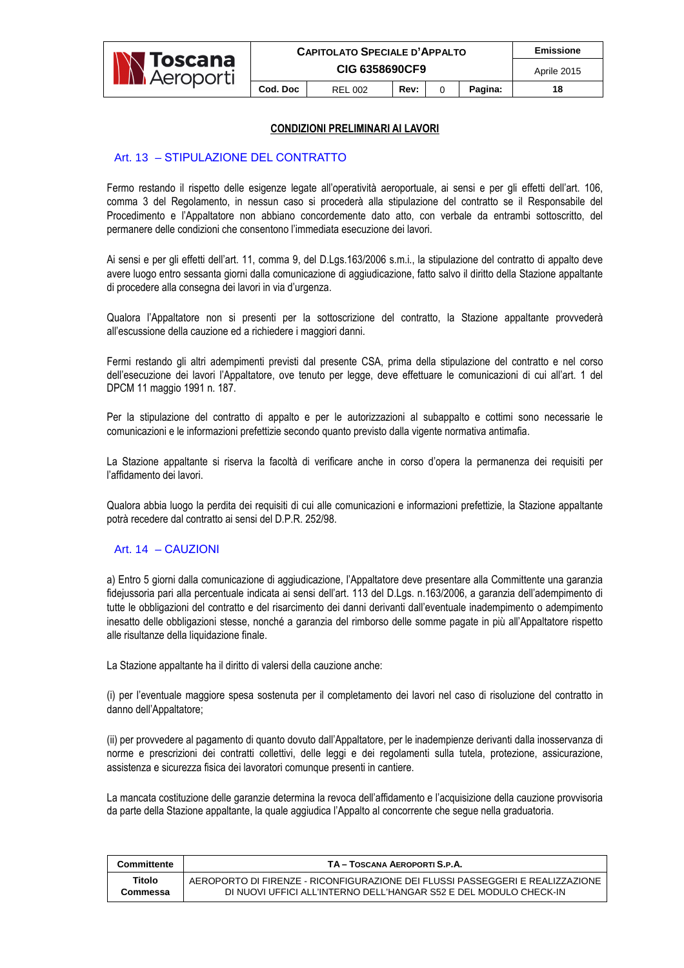

#### **CONDIZIONI PRELIMINARI AI LAVORI**

#### Art. 13 – STIPULAZIONE DEL CONTRATTO

Fermo restando il rispetto delle esigenze legate all'operatività aeroportuale, ai sensi e per gli effetti dell'art. 106, comma 3 del Regolamento, in nessun caso si procederà alla stipulazione del contratto se il Responsabile del Procedimento e l'Appaltatore non abbiano concordemente dato atto, con verbale da entrambi sottoscritto, del permanere delle condizioni che consentono l'immediata esecuzione dei lavori.

Ai sensi e per gli effetti dell'art. 11, comma 9, del D.Lgs.163/2006 s.m.i., la stipulazione del contratto di appalto deve avere luogo entro sessanta giorni dalla comunicazione di aggiudicazione, fatto salvo il diritto della Stazione appaltante di procedere alla consegna dei lavori in via d'urgenza.

Qualora l'Appaltatore non si presenti per la sottoscrizione del contratto, la Stazione appaltante provvederà all'escussione della cauzione ed a richiedere i maggiori danni.

Fermi restando gli altri adempimenti previsti dal presente CSA, prima della stipulazione del contratto e nel corso dell'esecuzione dei lavori l'Appaltatore, ove tenuto per legge, deve effettuare le comunicazioni di cui all'art. 1 del DPCM 11 maggio 1991 n. 187.

Per la stipulazione del contratto di appalto e per le autorizzazioni al subappalto e cottimi sono necessarie le comunicazioni e le informazioni prefettizie secondo quanto previsto dalla vigente normativa antimafia.

La Stazione appaltante si riserva la facoltà di verificare anche in corso d'opera la permanenza dei requisiti per l'affidamento dei lavori.

Qualora abbia luogo la perdita dei requisiti di cui alle comunicazioni e informazioni prefettizie, la Stazione appaltante potrà recedere dal contratto ai sensi del D.P.R. 252/98.

#### Art. 14 – CAUZIONI

a) Entro 5 giorni dalla comunicazione di aggiudicazione, l'Appaltatore deve presentare alla Committente una garanzia fidejussoria pari alla percentuale indicata ai sensi dell'art. 113 del D.Lgs. n.163/2006, a garanzia dell'adempimento di tutte le obbligazioni del contratto e del risarcimento dei danni derivanti dall'eventuale inadempimento o adempimento inesatto delle obbligazioni stesse, nonché a garanzia del rimborso delle somme pagate in più all'Appaltatore rispetto alle risultanze della liquidazione finale.

La Stazione appaltante ha il diritto di valersi della cauzione anche:

(i) per l'eventuale maggiore spesa sostenuta per il completamento dei lavori nel caso di risoluzione del contratto in danno dell'Appaltatore;

(ii) per provvedere al pagamento di quanto dovuto dall'Appaltatore, per le inadempienze derivanti dalla inosservanza di norme e prescrizioni dei contratti collettivi, delle leggi e dei regolamenti sulla tutela, protezione, assicurazione, assistenza e sicurezza fisica dei lavoratori comunque presenti in cantiere.

La mancata costituzione delle garanzie determina la revoca dell'affidamento e l'acquisizione della cauzione provvisoria da parte della Stazione appaltante, la quale aggiudica l'Appalto al concorrente che segue nella graduatoria.

| Committente | TA - TOSCANA AEROPORTI S.P.A.                                                 |
|-------------|-------------------------------------------------------------------------------|
| Titolo      | AEROPORTO DI FIRENZE - RICONFIGURAZIONE DEI FLUSSI PASSEGGERI E REALIZZAZIONE |
| Commessa    | DI NUOVI UFFICI ALL'INTERNO DELL'HANGAR S52 E DEL MODULO CHECK-IN             |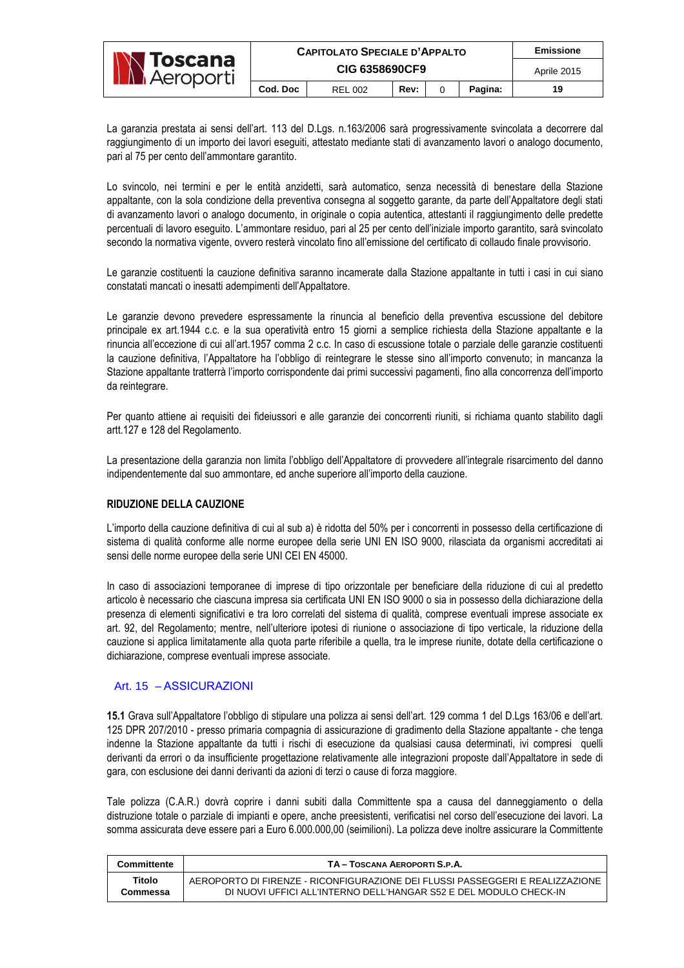|                    | <b>CAPITOLATO SPECIALE D'APPALTO</b> | <b>Emissione</b> |      |  |         |             |
|--------------------|--------------------------------------|------------------|------|--|---------|-------------|
| <b>N Toscana</b>   | CIG 6358690CF9                       |                  |      |  |         | Aprile 2015 |
| <b>N</b> Aeroporti | Cod. Doc                             | <b>REL 002</b>   | Rev: |  | Pagina: | 19          |

La garanzia prestata ai sensi dell'art. 113 del D.Lgs. n.163/2006 sarà progressivamente svincolata a decorrere dal raggiungimento di un importo dei lavori eseguiti, attestato mediante stati di avanzamento lavori o analogo documento, pari al 75 per cento dell'ammontare garantito.

Lo svincolo, nei termini e per le entità anzidetti, sarà automatico, senza necessità di benestare della Stazione appaltante, con la sola condizione della preventiva consegna al soggetto garante, da parte dell'Appaltatore degli stati di avanzamento lavori o analogo documento, in originale o copia autentica, attestanti il raggiungimento delle predette percentuali di lavoro eseguito. L'ammontare residuo, pari al 25 per cento dell'iniziale importo garantito, sarà svincolato secondo la normativa vigente, ovvero resterà vincolato fino all'emissione del certificato di collaudo finale provvisorio.

Le garanzie costituenti la cauzione definitiva saranno incamerate dalla Stazione appaltante in tutti i casi in cui siano constatati mancati o inesatti adempimenti dell'Appaltatore.

Le garanzie devono prevedere espressamente la rinuncia al beneficio della preventiva escussione del debitore principale ex art.1944 c.c. e la sua operatività entro 15 giorni a semplice richiesta della Stazione appaltante e la rinuncia all'eccezione di cui all'art.1957 comma 2 c.c. In caso di escussione totale o parziale delle garanzie costituenti la cauzione definitiva, l'Appaltatore ha l'obbligo di reintegrare le stesse sino all'importo convenuto; in mancanza la Stazione appaltante tratterrà l'importo corrispondente dai primi successivi pagamenti, fino alla concorrenza dell'importo da reintegrare.

Per quanto attiene ai requisiti dei fideiussori e alle garanzie dei concorrenti riuniti, si richiama quanto stabilito dagli artt.127 e 128 del Regolamento.

La presentazione della garanzia non limita l'obbligo dell'Appaltatore di provvedere all'integrale risarcimento del danno indipendentemente dal suo ammontare, ed anche superiore all'importo della cauzione.

#### **RIDUZIONE DELLA CAUZIONE**

L'importo della cauzione definitiva di cui al sub a) è ridotta del 50% per i concorrenti in possesso della certificazione di sistema di qualità conforme alle norme europee della serie UNI EN ISO 9000, rilasciata da organismi accreditati ai sensi delle norme europee della serie UNI CEI EN 45000.

In caso di associazioni temporanee di imprese di tipo orizzontale per beneficiare della riduzione di cui al predetto articolo è necessario che ciascuna impresa sia certificata UNI EN ISO 9000 o sia in possesso della dichiarazione della presenza di elementi significativi e tra loro correlati del sistema di qualità, comprese eventuali imprese associate ex art. 92, del Regolamento; mentre, nell'ulteriore ipotesi di riunione o associazione di tipo verticale, la riduzione della cauzione si applica limitatamente alla quota parte riferibile a quella, tra le imprese riunite, dotate della certificazione o dichiarazione, comprese eventuali imprese associate.

## Art. 15 – ASSICURAZIONI

**15.1** Grava sull'Appaltatore l'obbligo di stipulare una polizza ai sensi dell'art. 129 comma 1 del D.Lgs 163/06 e dell'art. 125 DPR 207/2010 - presso primaria compagnia di assicurazione di gradimento della Stazione appaltante - che tenga indenne la Stazione appaltante da tutti i rischi di esecuzione da qualsiasi causa determinati, ivi compresi quelli derivanti da errori o da insufficiente progettazione relativamente alle integrazioni proposte dall'Appaltatore in sede di gara, con esclusione dei danni derivanti da azioni di terzi o cause di forza maggiore.

Tale polizza (C.A.R.) dovrà coprire i danni subiti dalla Committente spa a causa del danneggiamento o della distruzione totale o parziale di impianti e opere, anche preesistenti, verificatisi nel corso dell'esecuzione dei lavori. La somma assicurata deve essere pari a Euro 6.000.000,00 (seimilioni). La polizza deve inoltre assicurare la Committente

| Committente | TA - TOSCANA AEROPORTI S.P.A.                                                 |
|-------------|-------------------------------------------------------------------------------|
| Titolo      | AEROPORTO DI FIRENZE - RICONFIGURAZIONE DEI FLUSSI PASSEGGERI E REALIZZAZIONE |
| Commessa    | DI NUOVI UFFICI ALL'INTERNO DELL'HANGAR S52 E DEL MODULO CHECK-IN             |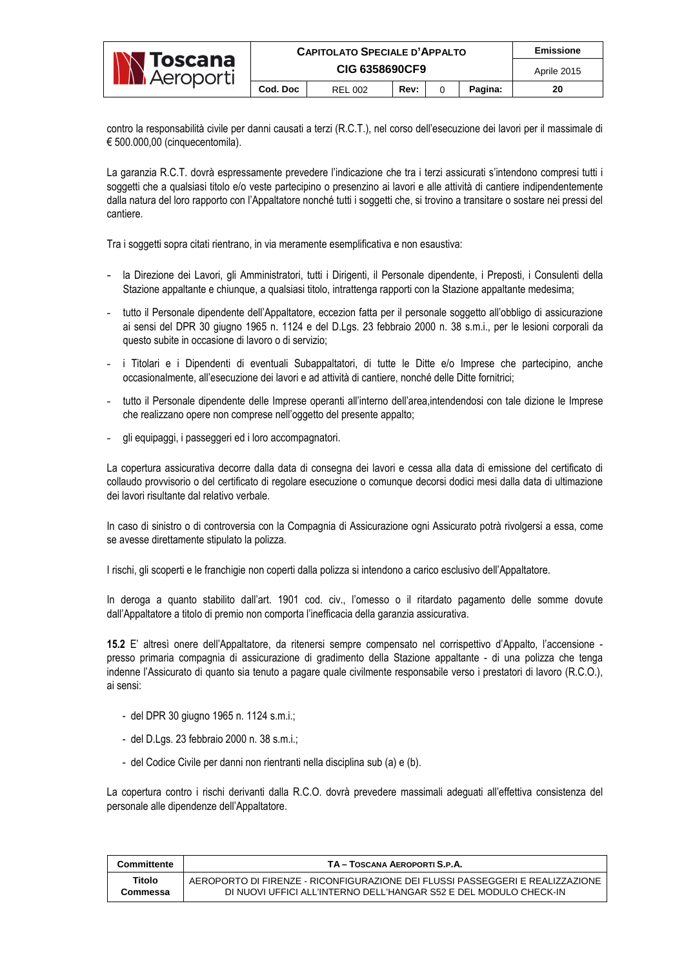| <b>N Toscana</b><br><b>N</b> Aeroporti | <b>CAPITOLATO SPECIALE D'APPALTO</b> | <b>Emissione</b> |      |  |         |             |
|----------------------------------------|--------------------------------------|------------------|------|--|---------|-------------|
|                                        | CIG 6358690CF9                       |                  |      |  |         | Aprile 2015 |
|                                        | Cod. Doc                             | <b>REL 002</b>   | Rev: |  | Pagina: | 20          |

contro la responsabilità civile per danni causati a terzi (R.C.T.), nel corso dell'esecuzione dei lavori per il massimale di € 500.000,00 (cinquecentomila).

La garanzia R.C.T. dovrà espressamente prevedere l'indicazione che tra i terzi assicurati s'intendono compresi tutti i soggetti che a qualsiasi titolo e/o veste partecipino o presenzino ai lavori e alle attività di cantiere indipendentemente dalla natura del loro rapporto con l'Appaltatore nonché tutti i soggetti che, si trovino a transitare o sostare nei pressi del cantiere.

Tra i soggetti sopra citati rientrano, in via meramente esemplificativa e non esaustiva:

- la Direzione dei Lavori, gli Amministratori, tutti i Dirigenti, il Personale dipendente, i Preposti, i Consulenti della Stazione appaltante e chiunque, a qualsiasi titolo, intrattenga rapporti con la Stazione appaltante medesima;
- tutto il Personale dipendente dell'Appaltatore, eccezion fatta per il personale soggetto all'obbligo di assicurazione ai sensi del DPR 30 giugno 1965 n. 1124 e del D.Lgs. 23 febbraio 2000 n. 38 s.m.i., per le lesioni corporali da questo subite in occasione di lavoro o di servizio;
- i Titolari e i Dipendenti di eventuali Subappaltatori, di tutte le Ditte e/o Imprese che partecipino, anche occasionalmente, all'esecuzione dei lavori e ad attività di cantiere, nonché delle Ditte fornitrici;
- tutto il Personale dipendente delle Imprese operanti all'interno dell'area,intendendosi con tale dizione le Imprese che realizzano opere non comprese nell'oggetto del presente appalto;
- gli equipaggi, i passeggeri ed i loro accompagnatori.

La copertura assicurativa decorre dalla data di consegna dei lavori e cessa alla data di emissione del certificato di collaudo provvisorio o del certificato di regolare esecuzione o comunque decorsi dodici mesi dalla data di ultimazione dei lavori risultante dal relativo verbale.

In caso di sinistro o di controversia con la Compagnia di Assicurazione ogni Assicurato potrà rivolgersi a essa, come se avesse direttamente stipulato la polizza.

I rischi, gli scoperti e le franchigie non coperti dalla polizza si intendono a carico esclusivo dell'Appaltatore.

In deroga a quanto stabilito dall'art. 1901 cod. civ., l'omesso o il ritardato pagamento delle somme dovute dall'Appaltatore a titolo di premio non comporta l'inefficacia della garanzia assicurativa.

**15.2** E' altresì onere dell'Appaltatore, da ritenersi sempre compensato nel corrispettivo d'Appalto, l'accensione presso primaria compagnia di assicurazione di gradimento della Stazione appaltante - di una polizza che tenga indenne l'Assicurato di quanto sia tenuto a pagare quale civilmente responsabile verso i prestatori di lavoro (R.C.O.), ai sensi:

- del DPR 30 giugno 1965 n. 1124 s.m.i.;
- del D.Lgs. 23 febbraio 2000 n. 38 s.m.i.;
- del Codice Civile per danni non rientranti nella disciplina sub (a) e (b).

La copertura contro i rischi derivanti dalla R.C.O. dovrà prevedere massimali adeguati all'effettiva consistenza del personale alle dipendenze dell'Appaltatore.

| Committente | TA - TOSCANA AEROPORTI S.P.A.                                                 |
|-------------|-------------------------------------------------------------------------------|
| Titolo      | AEROPORTO DI FIRENZE - RICONFIGURAZIONE DEI FLUSSI PASSEGGERI E REALIZZAZIONE |
| Commessa    | DI NUOVI UFFICI ALL'INTERNO DELL'HANGAR S52 E DEL MODULO CHECK-IN             |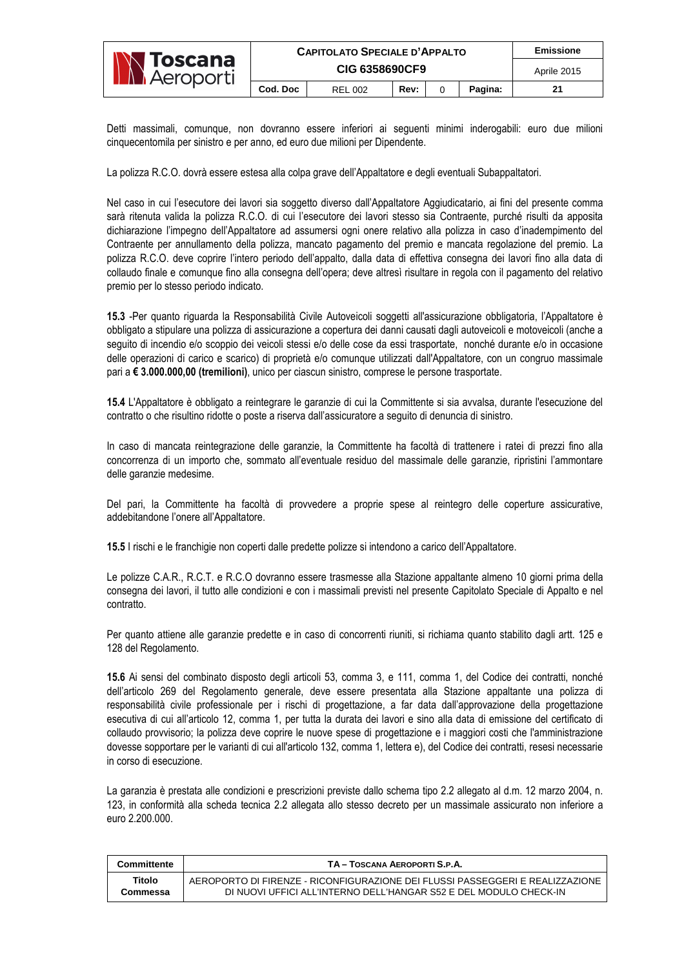| <b>N</b> Toscana<br><b>NA</b> Aeroporti | <b>CAPITOLATO SPECIALE D'APPALTO</b> | Emissione      |      |  |         |    |
|-----------------------------------------|--------------------------------------|----------------|------|--|---------|----|
|                                         |                                      | Aprile 2015    |      |  |         |    |
|                                         | Cod. Doc                             | <b>REL 002</b> | Rev: |  | Pagina: | 21 |

Detti massimali, comunque, non dovranno essere inferiori ai seguenti minimi inderogabili: euro due milioni cinquecentomila per sinistro e per anno, ed euro due milioni per Dipendente.

La polizza R.C.O. dovrà essere estesa alla colpa grave dell'Appaltatore e degli eventuali Subappaltatori.

Nel caso in cui l'esecutore dei lavori sia soggetto diverso dall'Appaltatore Aggiudicatario, ai fini del presente comma sarà ritenuta valida la polizza R.C.O. di cui l'esecutore dei lavori stesso sia Contraente, purché risulti da apposita dichiarazione l'impegno dell'Appaltatore ad assumersi ogni onere relativo alla polizza in caso d'inadempimento del Contraente per annullamento della polizza, mancato pagamento del premio e mancata regolazione del premio. La polizza R.C.O. deve coprire l'intero periodo dell'appalto, dalla data di effettiva consegna dei lavori fino alla data di collaudo finale e comunque fino alla consegna dell'opera; deve altresì risultare in regola con il pagamento del relativo premio per lo stesso periodo indicato.

**15.3** -Per quanto riguarda la Responsabilità Civile Autoveicoli soggetti all'assicurazione obbligatoria, l'Appaltatore è obbligato a stipulare una polizza di assicurazione a copertura dei danni causati dagli autoveicoli e motoveicoli (anche a seguito di incendio e/o scoppio dei veicoli stessi e/o delle cose da essi trasportate, nonché durante e/o in occasione delle operazioni di carico e scarico) di proprietà e/o comunque utilizzati dall'Appaltatore, con un congruo massimale pari a **€ 3.000.000,00 (tremilioni)**, unico per ciascun sinistro, comprese le persone trasportate.

**15.4** L'Appaltatore è obbligato a reintegrare le garanzie di cui la Committente si sia avvalsa, durante l'esecuzione del contratto o che risultino ridotte o poste a riserva dall'assicuratore a seguito di denuncia di sinistro.

In caso di mancata reintegrazione delle garanzie, la Committente ha facoltà di trattenere i ratei di prezzi fino alla concorrenza di un importo che, sommato all'eventuale residuo del massimale delle garanzie, ripristini l'ammontare delle garanzie medesime.

Del pari, la Committente ha facoltà di provvedere a proprie spese al reintegro delle coperture assicurative, addebitandone l'onere all'Appaltatore.

**15.5** I rischi e le franchigie non coperti dalle predette polizze si intendono a carico dell'Appaltatore.

Le polizze C.A.R., R.C.T. e R.C.O dovranno essere trasmesse alla Stazione appaltante almeno 10 giorni prima della consegna dei lavori, il tutto alle condizioni e con i massimali previsti nel presente Capitolato Speciale di Appalto e nel contratto.

Per quanto attiene alle garanzie predette e in caso di concorrenti riuniti, si richiama quanto stabilito dagli artt. 125 e 128 del Regolamento.

**15.6** Ai sensi del combinato disposto degli articoli 53, comma 3, e 111, comma 1, del Codice dei contratti, nonché dell'articolo 269 del Regolamento generale, deve essere presentata alla Stazione appaltante una polizza di responsabilità civile professionale per i rischi di progettazione, a far data dall'approvazione della progettazione esecutiva di cui all'articolo 12, comma 1, per tutta la durata dei lavori e sino alla data di emissione del certificato di collaudo provvisorio; la polizza deve coprire le nuove spese di progettazione e i maggiori costi che l'amministrazione dovesse sopportare per le varianti di cui all'articolo 132, comma 1, lettera e), del Codice dei contratti, resesi necessarie in corso di esecuzione.

La garanzia è prestata alle condizioni e prescrizioni previste dallo schema tipo 2.2 allegato al d.m. 12 marzo 2004, n. 123, in conformità alla scheda tecnica 2.2 allegata allo stesso decreto per un massimale assicurato non inferiore a euro 2.200.000.

| Committente | TA - TOSCANA AEROPORTI S.P.A.                                                 |
|-------------|-------------------------------------------------------------------------------|
| Titolo      | AEROPORTO DI FIRENZE - RICONFIGURAZIONE DEI FLUSSI PASSEGGERI E REALIZZAZIONE |
| Commessa    | DI NUOVI UFFICI ALL'INTERNO DELL'HANGAR S52 E DEL MODULO CHECK-IN             |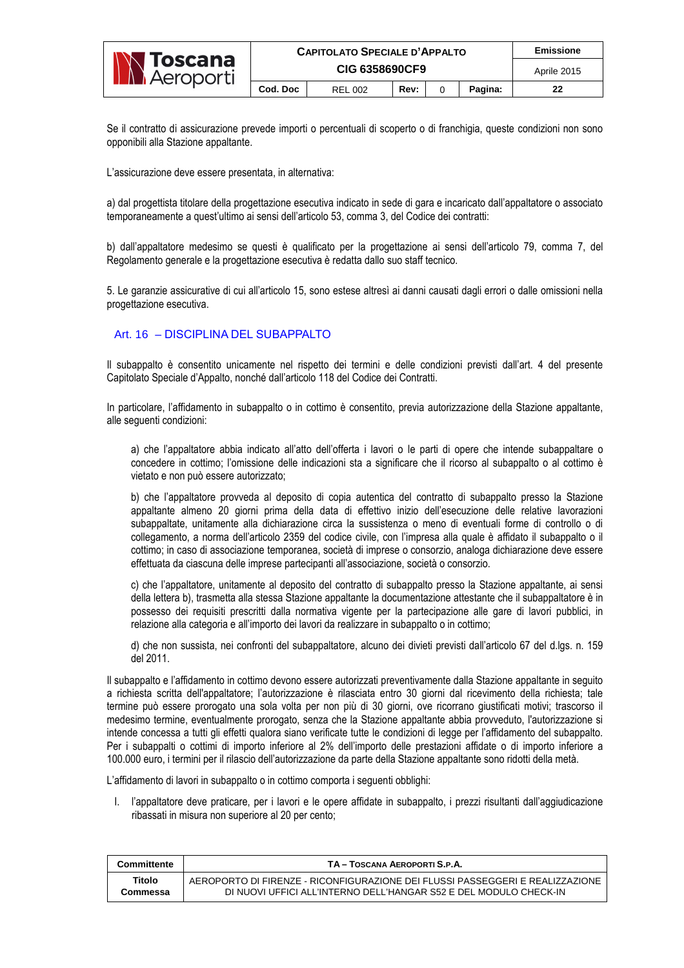| <b>IN Toscana</b><br><b>A</b> Aeroporti | <b>CAPITOLATO SPECIALE D'APPALTO</b> | Emissione      |      |  |         |    |
|-----------------------------------------|--------------------------------------|----------------|------|--|---------|----|
|                                         |                                      | Aprile 2015    |      |  |         |    |
|                                         | Cod. Doc                             | <b>REL 002</b> | Rev: |  | Pagina: | 22 |

Se il contratto di assicurazione prevede importi o percentuali di scoperto o di franchigia, queste condizioni non sono opponibili alla Stazione appaltante.

L'assicurazione deve essere presentata, in alternativa:

a) dal progettista titolare della progettazione esecutiva indicato in sede di gara e incaricato dall'appaltatore o associato temporaneamente a quest'ultimo ai sensi dell'articolo 53, comma 3, del Codice dei contratti:

b) dall'appaltatore medesimo se questi è qualificato per la progettazione ai sensi dell'articolo 79, comma 7, del Regolamento generale e la progettazione esecutiva è redatta dallo suo staff tecnico.

5. Le garanzie assicurative di cui all'articolo 15, sono estese altresì ai danni causati dagli errori o dalle omissioni nella progettazione esecutiva.

## Art. 16 – DISCIPLINA DEL SUBAPPALTO

Il subappalto è consentito unicamente nel rispetto dei termini e delle condizioni previsti dall'art. 4 del presente Capitolato Speciale d'Appalto, nonché dall'articolo 118 del Codice dei Contratti.

In particolare, l'affidamento in subappalto o in cottimo è consentito, previa autorizzazione della Stazione appaltante, alle seguenti condizioni:

a) che l'appaltatore abbia indicato all'atto dell'offerta i lavori o le parti di opere che intende subappaltare o concedere in cottimo; l'omissione delle indicazioni sta a significare che il ricorso al subappalto o al cottimo è vietato e non può essere autorizzato;

b) che l'appaltatore provveda al deposito di copia autentica del contratto di subappalto presso la Stazione appaltante almeno 20 giorni prima della data di effettivo inizio dell'esecuzione delle relative lavorazioni subappaltate, unitamente alla dichiarazione circa la sussistenza o meno di eventuali forme di controllo o di collegamento, a norma dell'articolo 2359 del codice civile, con l'impresa alla quale è affidato il subappalto o il cottimo; in caso di associazione temporanea, società di imprese o consorzio, analoga dichiarazione deve essere effettuata da ciascuna delle imprese partecipanti all'associazione, società o consorzio.

c) che l'appaltatore, unitamente al deposito del contratto di subappalto presso la Stazione appaltante, ai sensi della lettera b), trasmetta alla stessa Stazione appaltante la documentazione attestante che il subappaltatore è in possesso dei requisiti prescritti dalla normativa vigente per la partecipazione alle gare di lavori pubblici, in relazione alla categoria e all'importo dei lavori da realizzare in subappalto o in cottimo;

d) che non sussista, nei confronti del subappaltatore, alcuno dei divieti previsti dall'articolo 67 del d.lgs. n. 159 del 2011.

Il subappalto e l'affidamento in cottimo devono essere autorizzati preventivamente dalla Stazione appaltante in seguito a richiesta scritta dell'appaltatore; l'autorizzazione è rilasciata entro 30 giorni dal ricevimento della richiesta; tale termine può essere prorogato una sola volta per non più di 30 giorni, ove ricorrano giustificati motivi; trascorso il medesimo termine, eventualmente prorogato, senza che la Stazione appaltante abbia provveduto, l'autorizzazione si intende concessa a tutti gli effetti qualora siano verificate tutte le condizioni di legge per l'affidamento del subappalto. Per i subappalti o cottimi di importo inferiore al 2% dell'importo delle prestazioni affidate o di importo inferiore a 100.000 euro, i termini per il rilascio dell'autorizzazione da parte della Stazione appaltante sono ridotti della metà.

L'affidamento di lavori in subappalto o in cottimo comporta i seguenti obblighi:

I. l'appaltatore deve praticare, per i lavori e le opere affidate in subappalto, i prezzi risultanti dall'aggiudicazione ribassati in misura non superiore al 20 per cento;

| Committente | TA - TOSCANA AEROPORTI S.P.A.                                                 |
|-------------|-------------------------------------------------------------------------------|
| Titolo      | AEROPORTO DI FIRENZE - RICONFIGURAZIONE DEI FLUSSI PASSEGGERI E REALIZZAZIONE |
| Commessa    | DI NUOVI UFFICI ALL'INTERNO DELL'HANGAR S52 E DEL MODULO CHECK-IN             |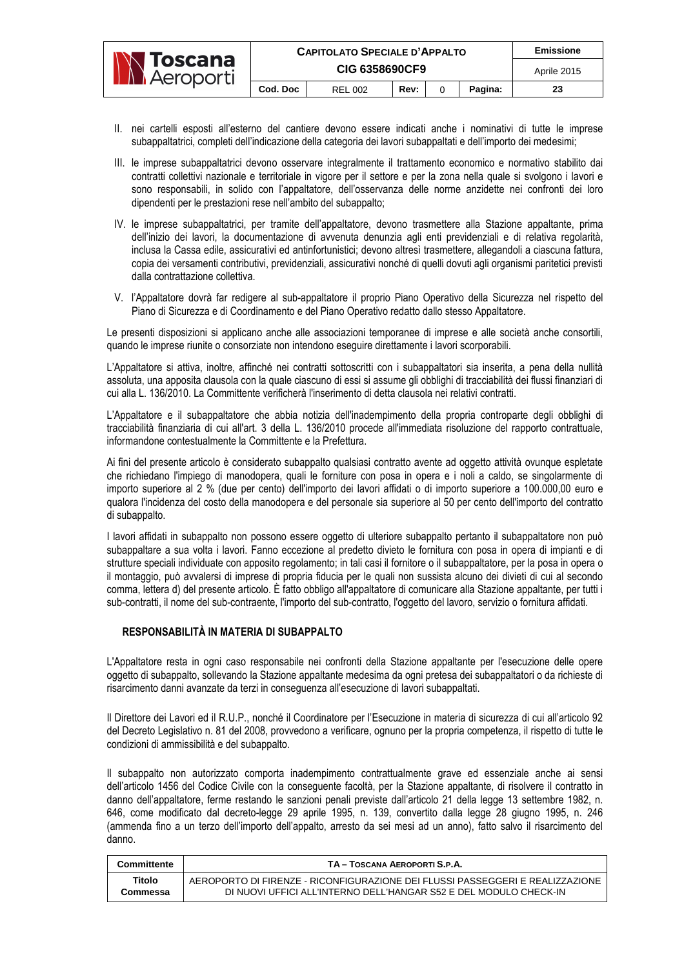| <b>NY</b><br><b>Toscana</b><br><b>Aeroporti</b> | <b>CAPITOLATO SPECIALE D'APPALTO</b> | Emissione      |      |  |         |             |
|-------------------------------------------------|--------------------------------------|----------------|------|--|---------|-------------|
|                                                 | CIG 6358690CF9                       |                |      |  |         | Aprile 2015 |
|                                                 | Cod. Doc                             | <b>REL 002</b> | Rev: |  | Pagina: | 23          |

- II. nei cartelli esposti all'esterno del cantiere devono essere indicati anche i nominativi di tutte le imprese subappaltatrici, completi dell'indicazione della categoria dei lavori subappaltati e dell'importo dei medesimi;
- III. le imprese subappaltatrici devono osservare integralmente il trattamento economico e normativo stabilito dai contratti collettivi nazionale e territoriale in vigore per il settore e per la zona nella quale si svolgono i lavori e sono responsabili, in solido con l'appaltatore, dell'osservanza delle norme anzidette nei confronti dei loro dipendenti per le prestazioni rese nell'ambito del subappalto;
- IV. le imprese subappaltatrici, per tramite dell'appaltatore, devono trasmettere alla Stazione appaltante, prima dell'inizio dei lavori, la documentazione di avvenuta denunzia agli enti previdenziali e di relativa regolarità, inclusa la Cassa edile, assicurativi ed antinfortunistici; devono altresì trasmettere, allegandoli a ciascuna fattura, copia dei versamenti contributivi, previdenziali, assicurativi nonché di quelli dovuti agli organismi paritetici previsti dalla contrattazione collettiva.
- V. l'Appaltatore dovrà far redigere al sub-appaltatore il proprio Piano Operativo della Sicurezza nel rispetto del Piano di Sicurezza e di Coordinamento e del Piano Operativo redatto dallo stesso Appaltatore.

Le presenti disposizioni si applicano anche alle associazioni temporanee di imprese e alle società anche consortili, quando le imprese riunite o consorziate non intendono eseguire direttamente i lavori scorporabili.

L'Appaltatore si attiva, inoltre, affinché nei contratti sottoscritti con i subappaltatori sia inserita, a pena della nullità assoluta, una apposita clausola con la quale ciascuno di essi si assume gli obblighi di tracciabilità dei flussi finanziari di cui alla L. 136/2010. La Committente verificherà l'inserimento di detta clausola nei relativi contratti.

L'Appaltatore e il subappaltatore che abbia notizia dell'inadempimento della propria controparte degli obblighi di tracciabilità finanziaria di cui all'art. 3 della L. 136/2010 procede all'immediata risoluzione del rapporto contrattuale, informandone contestualmente la Committente e la Prefettura.

Ai fini del presente articolo è considerato subappalto qualsiasi contratto avente ad oggetto attività ovunque espletate che richiedano l'impiego di manodopera, quali le forniture con posa in opera e i noli a caldo, se singolarmente di importo superiore al 2 % (due per cento) dell'importo dei lavori affidati o di importo superiore a 100.000,00 euro e qualora l'incidenza del costo della manodopera e del personale sia superiore al 50 per cento dell'importo del contratto di subappalto.

I lavori affidati in subappalto non possono essere oggetto di ulteriore subappalto pertanto il subappaltatore non può subappaltare a sua volta i lavori. Fanno eccezione al predetto divieto le fornitura con posa in opera di impianti e di strutture speciali individuate con apposito regolamento; in tali casi il fornitore o il subappaltatore, per la posa in opera o il montaggio, può avvalersi di imprese di propria fiducia per le quali non sussista alcuno dei divieti di cui al secondo comma, lettera d) del presente articolo. È fatto obbligo all'appaltatore di comunicare alla Stazione appaltante, per tutti i sub-contratti, il nome del sub-contraente, l'importo del sub-contratto, l'oggetto del lavoro, servizio o fornitura affidati.

#### **RESPONSABILITÀ IN MATERIA DI SUBAPPALTO**

L'Appaltatore resta in ogni caso responsabile nei confronti della Stazione appaltante per l'esecuzione delle opere oggetto di subappalto, sollevando la Stazione appaltante medesima da ogni pretesa dei subappaltatori o da richieste di risarcimento danni avanzate da terzi in conseguenza all'esecuzione di lavori subappaltati.

Il Direttore dei Lavori ed il R.U.P., nonché il Coordinatore per l'Esecuzione in materia di sicurezza di cui all'articolo 92 del Decreto Legislativo n. 81 del 2008, provvedono a verificare, ognuno per la propria competenza, il rispetto di tutte le condizioni di ammissibilità e del subappalto.

Il subappalto non autorizzato comporta inadempimento contrattualmente grave ed essenziale anche ai sensi dell'articolo 1456 del Codice Civile con la conseguente facoltà, per la Stazione appaltante, di risolvere il contratto in danno dell'appaltatore, ferme restando le sanzioni penali previste dall'articolo 21 della legge 13 settembre 1982, n. 646, come modificato dal decreto-legge 29 aprile 1995, n. 139, convertito dalla legge 28 giugno 1995, n. 246 (ammenda fino a un terzo dell'importo dell'appalto, arresto da sei mesi ad un anno), fatto salvo il risarcimento del danno.

| Committente | TA - TOSCANA AEROPORTI S.P.A.                                                 |
|-------------|-------------------------------------------------------------------------------|
| Titolo      | AEROPORTO DI FIRENZE - RICONFIGURAZIONE DEI FLUSSI PASSEGGERI E REALIZZAZIONE |
| Commessa    | DI NUOVI UFFICI ALL'INTERNO DELL'HANGAR S52 E DEL MODULO CHECK-IN             |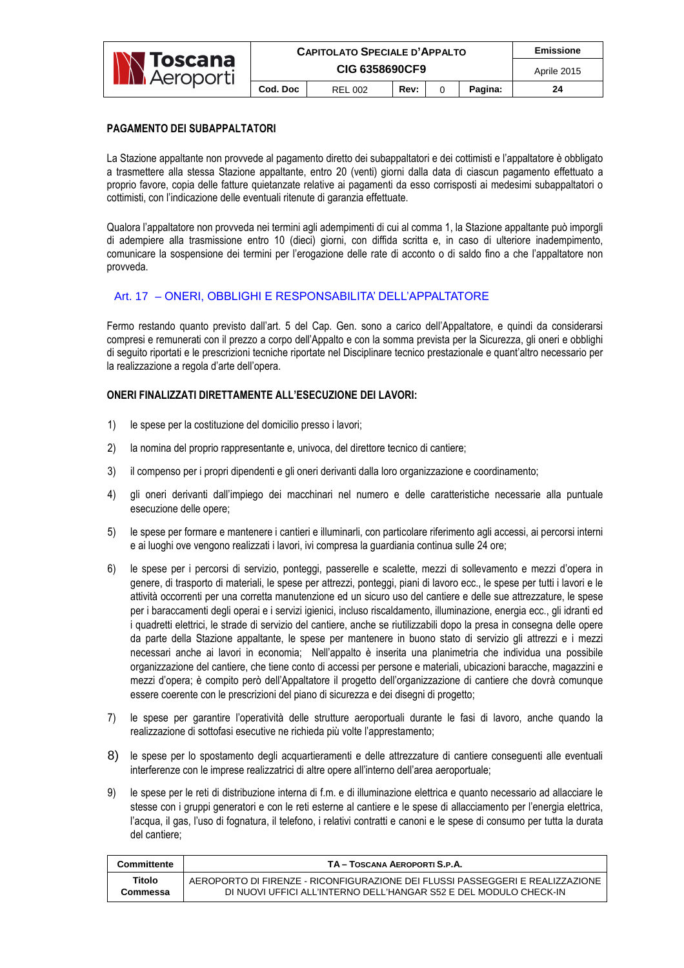| <b>N Toscana</b><br><b>N</b> Aeroporti | <b>CAPITOLATO SPECIALE D'APPALTO</b> | Emissione      |      |  |         |    |
|----------------------------------------|--------------------------------------|----------------|------|--|---------|----|
|                                        |                                      | Aprile 2015    |      |  |         |    |
|                                        | Cod. Doc                             | <b>REL 002</b> | Rev: |  | Pagina: | 24 |

#### **PAGAMENTO DEI SUBAPPALTATORI**

La Stazione appaltante non provvede al pagamento diretto dei subappaltatori e dei cottimisti e l'appaltatore è obbligato a trasmettere alla stessa Stazione appaltante, entro 20 (venti) giorni dalla data di ciascun pagamento effettuato a proprio favore, copia delle fatture quietanzate relative ai pagamenti da esso corrisposti ai medesimi subappaltatori o cottimisti, con l'indicazione delle eventuali ritenute di garanzia effettuate.

Qualora l'appaltatore non provveda nei termini agli adempimenti di cui al comma 1, la Stazione appaltante può imporgli di adempiere alla trasmissione entro 10 (dieci) giorni, con diffida scritta e, in caso di ulteriore inadempimento, comunicare la sospensione dei termini per l'erogazione delle rate di acconto o di saldo fino a che l'appaltatore non provveda.

## Art. 17 – ONERI, OBBLIGHI E RESPONSABILITA' DELL'APPALTATORE

Fermo restando quanto previsto dall'art. 5 del Cap. Gen. sono a carico dell'Appaltatore, e quindi da considerarsi compresi e remunerati con il prezzo a corpo dell'Appalto e con la somma prevista per la Sicurezza, gli oneri e obblighi di seguito riportati e le prescrizioni tecniche riportate nel Disciplinare tecnico prestazionale e quant'altro necessario per la realizzazione a regola d'arte dell'opera.

#### **ONERI FINALIZZATI DIRETTAMENTE ALL'ESECUZIONE DEI LAVORI:**

- 1) le spese per la costituzione del domicilio presso i lavori;
- 2) la nomina del proprio rappresentante e, univoca, del direttore tecnico di cantiere;
- 3) il compenso per i propri dipendenti e gli oneri derivanti dalla loro organizzazione e coordinamento;
- 4) gli oneri derivanti dall'impiego dei macchinari nel numero e delle caratteristiche necessarie alla puntuale esecuzione delle opere;
- 5) le spese per formare e mantenere i cantieri e illuminarli, con particolare riferimento agli accessi, ai percorsi interni e ai luoghi ove vengono realizzati i lavori, ivi compresa la guardiania continua sulle 24 ore;
- 6) le spese per i percorsi di servizio, ponteggi, passerelle e scalette, mezzi di sollevamento e mezzi d'opera in genere, di trasporto di materiali, le spese per attrezzi, ponteggi, piani di lavoro ecc., le spese per tutti i lavori e le attività occorrenti per una corretta manutenzione ed un sicuro uso del cantiere e delle sue attrezzature, le spese per i baraccamenti degli operai e i servizi igienici, incluso riscaldamento, illuminazione, energia ecc., gli idranti ed i quadretti elettrici, le strade di servizio del cantiere, anche se riutilizzabili dopo la presa in consegna delle opere da parte della Stazione appaltante, le spese per mantenere in buono stato di servizio gli attrezzi e i mezzi necessari anche ai lavori in economia; Nell'appalto è inserita una planimetria che individua una possibile organizzazione del cantiere, che tiene conto di accessi per persone e materiali, ubicazioni baracche, magazzini e mezzi d'opera; è compito però dell'Appaltatore il progetto dell'organizzazione di cantiere che dovrà comunque essere coerente con le prescrizioni del piano di sicurezza e dei disegni di progetto;
- 7) le spese per garantire l'operatività delle strutture aeroportuali durante le fasi di lavoro, anche quando la realizzazione di sottofasi esecutive ne richieda più volte l'apprestamento;
- 8) le spese per lo spostamento degli acquartieramenti e delle attrezzature di cantiere conseguenti alle eventuali interferenze con le imprese realizzatrici di altre opere all'interno dell'area aeroportuale;
- 9) le spese per le reti di distribuzione interna di f.m. e di illuminazione elettrica e quanto necessario ad allacciare le stesse con i gruppi generatori e con le reti esterne al cantiere e le spese di allacciamento per l'energia elettrica, l'acqua, il gas, l'uso di fognatura, il telefono, i relativi contratti e canoni e le spese di consumo per tutta la durata del cantiere;

| Committente | TA - TOSCANA AEROPORTI S.P.A.                                                 |
|-------------|-------------------------------------------------------------------------------|
| Titolo      | AEROPORTO DI FIRENZE - RICONFIGURAZIONE DEI FLUSSI PASSEGGERI E REALIZZAZIONE |
| Commessa    | DI NUOVI UFFICI ALL'INTERNO DELL'HANGAR S52 E DEL MODULO CHECK-IN             |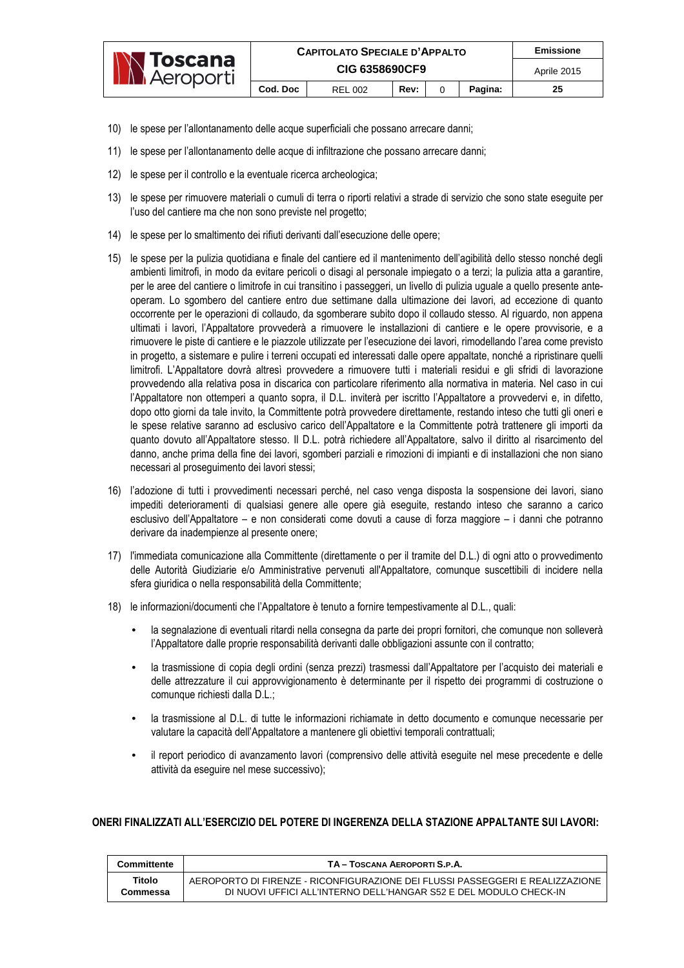| <b>N Toscana</b><br><b>N</b> Aeroporti | <b>CAPITOLATO SPECIALE D'APPALTO</b> | Emissione   |      |  |         |    |
|----------------------------------------|--------------------------------------|-------------|------|--|---------|----|
|                                        |                                      | Aprile 2015 |      |  |         |    |
|                                        | Cod. Doc                             | REL 002     | Rev: |  | Pagina: | 25 |

- 10) le spese per l'allontanamento delle acque superficiali che possano arrecare danni;
- 11) le spese per l'allontanamento delle acque di infiltrazione che possano arrecare danni;
- 12) le spese per il controllo e la eventuale ricerca archeologica;
- 13) le spese per rimuovere materiali o cumuli di terra o riporti relativi a strade di servizio che sono state eseguite per l'uso del cantiere ma che non sono previste nel progetto;
- 14) le spese per lo smaltimento dei rifiuti derivanti dall'esecuzione delle opere;
- 15) le spese per la pulizia quotidiana e finale del cantiere ed il mantenimento dell'agibilità dello stesso nonché degli ambienti limitrofi, in modo da evitare pericoli o disagi al personale impiegato o a terzi; la pulizia atta a garantire, per le aree del cantiere o limitrofe in cui transitino i passeggeri, un livello di pulizia uguale a quello presente anteoperam. Lo sgombero del cantiere entro due settimane dalla ultimazione dei lavori, ad eccezione di quanto occorrente per le operazioni di collaudo, da sgomberare subito dopo il collaudo stesso. Al riguardo, non appena ultimati i lavori, l'Appaltatore provvederà a rimuovere le installazioni di cantiere e le opere provvisorie, e a rimuovere le piste di cantiere e le piazzole utilizzate per l'esecuzione dei lavori, rimodellando l'area come previsto in progetto, a sistemare e pulire i terreni occupati ed interessati dalle opere appaltate, nonché a ripristinare quelli limitrofi. L'Appaltatore dovrà altresì provvedere a rimuovere tutti i materiali residui e gli sfridi di lavorazione provvedendo alla relativa posa in discarica con particolare riferimento alla normativa in materia. Nel caso in cui l'Appaltatore non ottemperi a quanto sopra, il D.L. inviterà per iscritto l'Appaltatore a provvedervi e, in difetto, dopo otto giorni da tale invito, la Committente potrà provvedere direttamente, restando inteso che tutti gli oneri e le spese relative saranno ad esclusivo carico dell'Appaltatore e la Committente potrà trattenere gli importi da quanto dovuto all'Appaltatore stesso. Il D.L. potrà richiedere all'Appaltatore, salvo il diritto al risarcimento del danno, anche prima della fine dei lavori, sgomberi parziali e rimozioni di impianti e di installazioni che non siano necessari al proseguimento dei lavori stessi;
- 16) l'adozione di tutti i provvedimenti necessari perché, nel caso venga disposta la sospensione dei lavori, siano impediti deterioramenti di qualsiasi genere alle opere già eseguite, restando inteso che saranno a carico esclusivo dell'Appaltatore – e non considerati come dovuti a cause di forza maggiore – i danni che potranno derivare da inadempienze al presente onere;
- 17) l'immediata comunicazione alla Committente (direttamente o per il tramite del D.L.) di ogni atto o provvedimento delle Autorità Giudiziarie e/o Amministrative pervenuti all'Appaltatore, comunque suscettibili di incidere nella sfera giuridica o nella responsabilità della Committente;
- 18) le informazioni/documenti che l'Appaltatore è tenuto a fornire tempestivamente al D.L., quali:
	- la segnalazione di eventuali ritardi nella consegna da parte dei propri fornitori, che comunque non solleverà l'Appaltatore dalle proprie responsabilità derivanti dalle obbligazioni assunte con il contratto;
	- la trasmissione di copia degli ordini (senza prezzi) trasmessi dall'Appaltatore per l'acquisto dei materiali e delle attrezzature il cui approvvigionamento è determinante per il rispetto dei programmi di costruzione o comunque richiesti dalla D.L.;
	- la trasmissione al D.L. di tutte le informazioni richiamate in detto documento e comunque necessarie per valutare la capacità dell'Appaltatore a mantenere gli obiettivi temporali contrattuali;
	- il report periodico di avanzamento lavori (comprensivo delle attività eseguite nel mese precedente e delle attività da eseguire nel mese successivo);

## **ONERI FINALIZZATI ALL'ESERCIZIO DEL POTERE DI INGERENZA DELLA STAZIONE APPALTANTE SUI LAVORI:**

| Committente | TA - TOSCANA AEROPORTI S.P.A.                                                 |
|-------------|-------------------------------------------------------------------------------|
| Titolo      | AEROPORTO DI FIRENZE - RICONFIGURAZIONE DEI FLUSSI PASSEGGERI E REALIZZAZIONE |
| Commessa    | DI NUOVI UFFICI ALL'INTERNO DELL'HANGAR S52 E DEL MODULO CHECK-IN             |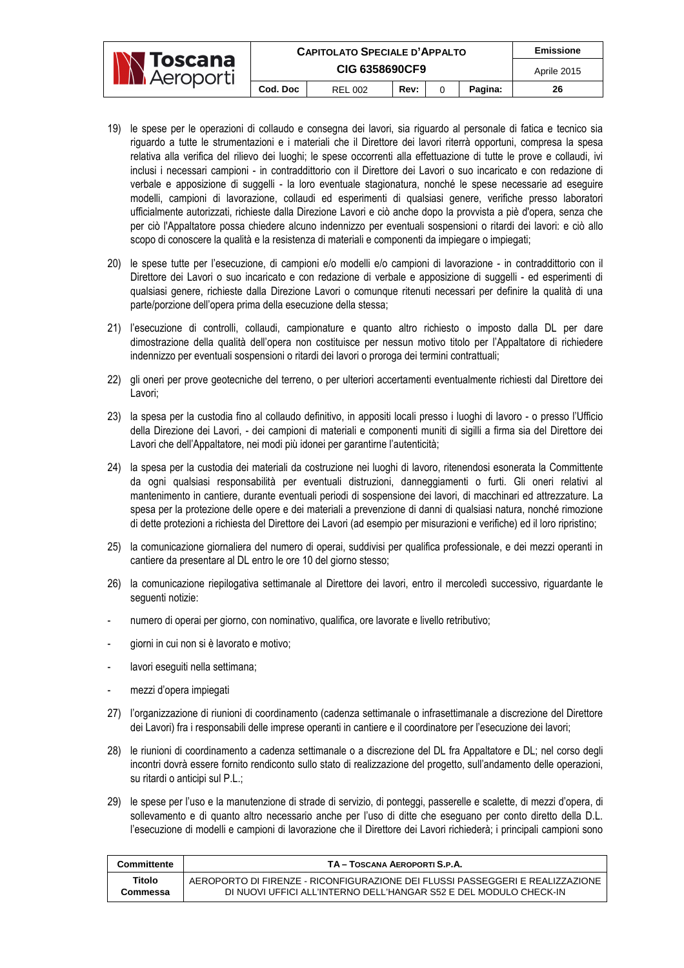|                                          | <b>CAPITOLATO SPECIALE D'APPALTO</b> |                |      |  |         | <b>Emissione</b> |
|------------------------------------------|--------------------------------------|----------------|------|--|---------|------------------|
| <b>IN Toscana</b><br><b>IN Aeroporti</b> | CIG 6358690CF9                       |                |      |  |         | Aprile 2015      |
|                                          | Cod. Doc                             | <b>REL 002</b> | Rev: |  | Pagina: | 26               |

- 19) le spese per le operazioni di collaudo e consegna dei lavori, sia riguardo al personale di fatica e tecnico sia riguardo a tutte le strumentazioni e i materiali che il Direttore dei lavori riterrà opportuni, compresa la spesa relativa alla verifica del rilievo dei luoghi; le spese occorrenti alla effettuazione di tutte le prove e collaudi, ivi inclusi i necessari campioni - in contraddittorio con il Direttore dei Lavori o suo incaricato e con redazione di verbale e apposizione di suggelli - la loro eventuale stagionatura, nonché le spese necessarie ad eseguire modelli, campioni di lavorazione, collaudi ed esperimenti di qualsiasi genere, verifiche presso laboratori ufficialmente autorizzati, richieste dalla Direzione Lavori e ciò anche dopo la provvista a piè d'opera, senza che per ciò l'Appaltatore possa chiedere alcuno indennizzo per eventuali sospensioni o ritardi dei lavori: e ciò allo scopo di conoscere la qualità e la resistenza di materiali e componenti da impiegare o impiegati;
- 20) le spese tutte per l'esecuzione, di campioni e/o modelli e/o campioni di lavorazione in contraddittorio con il Direttore dei Lavori o suo incaricato e con redazione di verbale e apposizione di suggelli - ed esperimenti di qualsiasi genere, richieste dalla Direzione Lavori o comunque ritenuti necessari per definire la qualità di una parte/porzione dell'opera prima della esecuzione della stessa;
- 21) l'esecuzione di controlli, collaudi, campionature e quanto altro richiesto o imposto dalla DL per dare dimostrazione della qualità dell'opera non costituisce per nessun motivo titolo per l'Appaltatore di richiedere indennizzo per eventuali sospensioni o ritardi dei lavori o proroga dei termini contrattuali;
- 22) gli oneri per prove geotecniche del terreno, o per ulteriori accertamenti eventualmente richiesti dal Direttore dei Lavori;
- 23) la spesa per la custodia fino al collaudo definitivo, in appositi locali presso i luoghi di lavoro o presso l'Ufficio della Direzione dei Lavori, - dei campioni di materiali e componenti muniti di sigilli a firma sia del Direttore dei Lavori che dell'Appaltatore, nei modi più idonei per garantirne l'autenticità;
- 24) la spesa per la custodia dei materiali da costruzione nei luoghi di lavoro, ritenendosi esonerata la Committente da ogni qualsiasi responsabilità per eventuali distruzioni, danneggiamenti o furti. Gli oneri relativi al mantenimento in cantiere, durante eventuali periodi di sospensione dei lavori, di macchinari ed attrezzature. La spesa per la protezione delle opere e dei materiali a prevenzione di danni di qualsiasi natura, nonché rimozione di dette protezioni a richiesta del Direttore dei Lavori (ad esempio per misurazioni e verifiche) ed il loro ripristino;
- 25) la comunicazione giornaliera del numero di operai, suddivisi per qualifica professionale, e dei mezzi operanti in cantiere da presentare al DL entro le ore 10 del giorno stesso;
- 26) la comunicazione riepilogativa settimanale al Direttore dei lavori, entro il mercoledì successivo, riguardante le seguenti notizie:
- numero di operai per giorno, con nominativo, qualifica, ore lavorate e livello retributivo;
- giorni in cui non si è lavorato e motivo;
- lavori eseguiti nella settimana;
- mezzi d'opera impiegati
- 27) l'organizzazione di riunioni di coordinamento (cadenza settimanale o infrasettimanale a discrezione del Direttore dei Lavori) fra i responsabili delle imprese operanti in cantiere e il coordinatore per l'esecuzione dei lavori;
- 28) le riunioni di coordinamento a cadenza settimanale o a discrezione del DL fra Appaltatore e DL; nel corso degli incontri dovrà essere fornito rendiconto sullo stato di realizzazione del progetto, sull'andamento delle operazioni, su ritardi o anticipi sul P.L.;
- 29) le spese per l'uso e la manutenzione di strade di servizio, di ponteggi, passerelle e scalette, di mezzi d'opera, di sollevamento e di quanto altro necessario anche per l'uso di ditte che eseguano per conto diretto della D.L. l'esecuzione di modelli e campioni di lavorazione che il Direttore dei Lavori richiederà; i principali campioni sono

| Committente | TA - TOSCANA AEROPORTI S.P.A.                                                 |
|-------------|-------------------------------------------------------------------------------|
| Titolo      | AEROPORTO DI FIRENZE - RICONFIGURAZIONE DEI FLUSSI PASSEGGERI E REALIZZAZIONE |
| Commessa    | DI NUOVI UFFICI ALL'INTERNO DELL'HANGAR S52 E DEL MODULO CHECK-IN             |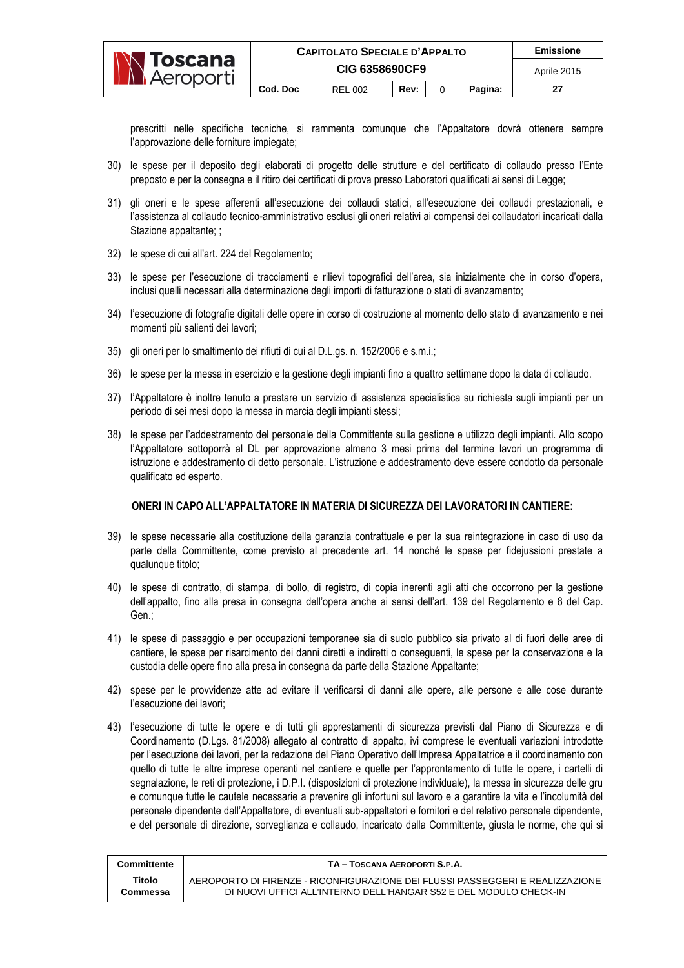|                                         | <b>CAPITOLATO SPECIALE D'APPALTO</b> |                |      |  |         | Emissione   |
|-----------------------------------------|--------------------------------------|----------------|------|--|---------|-------------|
| <b>N Toscana</b><br><b>IN</b> Aeroporti | CIG 6358690CF9                       |                |      |  |         | Aprile 2015 |
|                                         | Cod. Doc                             | <b>REL 002</b> | Rev: |  | Pagina: | 27          |

prescritti nelle specifiche tecniche, si rammenta comunque che l'Appaltatore dovrà ottenere sempre l'approvazione delle forniture impiegate;

- 30) le spese per il deposito degli elaborati di progetto delle strutture e del certificato di collaudo presso l'Ente preposto e per la consegna e il ritiro dei certificati di prova presso Laboratori qualificati ai sensi di Legge;
- 31) gli oneri e le spese afferenti all'esecuzione dei collaudi statici, all'esecuzione dei collaudi prestazionali, e l'assistenza al collaudo tecnico-amministrativo esclusi gli oneri relativi ai compensi dei collaudatori incaricati dalla Stazione appaltante; ;
- 32) le spese di cui all'art. 224 del Regolamento;
- 33) le spese per l'esecuzione di tracciamenti e rilievi topografici dell'area, sia inizialmente che in corso d'opera, inclusi quelli necessari alla determinazione degli importi di fatturazione o stati di avanzamento;
- 34) l'esecuzione di fotografie digitali delle opere in corso di costruzione al momento dello stato di avanzamento e nei momenti più salienti dei lavori;
- 35) gli oneri per lo smaltimento dei rifiuti di cui al D.L.gs. n. 152/2006 e s.m.i.;
- 36) le spese per la messa in esercizio e la gestione degli impianti fino a quattro settimane dopo la data di collaudo.
- 37) l'Appaltatore è inoltre tenuto a prestare un servizio di assistenza specialistica su richiesta sugli impianti per un periodo di sei mesi dopo la messa in marcia degli impianti stessi;
- 38) le spese per l'addestramento del personale della Committente sulla gestione e utilizzo degli impianti. Allo scopo l'Appaltatore sottoporrà al DL per approvazione almeno 3 mesi prima del termine lavori un programma di istruzione e addestramento di detto personale. L'istruzione e addestramento deve essere condotto da personale qualificato ed esperto.

#### **ONERI IN CAPO ALL'APPALTATORE IN MATERIA DI SICUREZZA DEI LAVORATORI IN CANTIERE:**

- 39) le spese necessarie alla costituzione della garanzia contrattuale e per la sua reintegrazione in caso di uso da parte della Committente, come previsto al precedente art. 14 nonché le spese per fidejussioni prestate a qualunque titolo:
- 40) le spese di contratto, di stampa, di bollo, di registro, di copia inerenti agli atti che occorrono per la gestione dell'appalto, fino alla presa in consegna dell'opera anche ai sensi dell'art. 139 del Regolamento e 8 del Cap. Gen.;
- 41) le spese di passaggio e per occupazioni temporanee sia di suolo pubblico sia privato al di fuori delle aree di cantiere, le spese per risarcimento dei danni diretti e indiretti o conseguenti, le spese per la conservazione e la custodia delle opere fino alla presa in consegna da parte della Stazione Appaltante;
- 42) spese per le provvidenze atte ad evitare il verificarsi di danni alle opere, alle persone e alle cose durante l'esecuzione dei lavori;
- 43) l'esecuzione di tutte le opere e di tutti gli apprestamenti di sicurezza previsti dal Piano di Sicurezza e di Coordinamento (D.Lgs. 81/2008) allegato al contratto di appalto, ivi comprese le eventuali variazioni introdotte per l'esecuzione dei lavori, per la redazione del Piano Operativo dell'Impresa Appaltatrice e il coordinamento con quello di tutte le altre imprese operanti nel cantiere e quelle per l'approntamento di tutte le opere, i cartelli di segnalazione, le reti di protezione, i D.P.I. (disposizioni di protezione individuale), la messa in sicurezza delle gru e comunque tutte le cautele necessarie a prevenire gli infortuni sul lavoro e a garantire la vita e l'incolumità del personale dipendente dall'Appaltatore, di eventuali sub-appaltatori e fornitori e del relativo personale dipendente, e del personale di direzione, sorveglianza e collaudo, incaricato dalla Committente, giusta le norme, che qui si

| Committente | TA - TOSCANA AEROPORTI S.P.A.                                                 |
|-------------|-------------------------------------------------------------------------------|
| Titolo      | AEROPORTO DI FIRENZE - RICONFIGURAZIONE DEI FLUSSI PASSEGGERI E REALIZZAZIONE |
| Commessa    | DI NUOVI UFFICI ALL'INTERNO DELL'HANGAR S52 E DEL MODULO CHECK-IN             |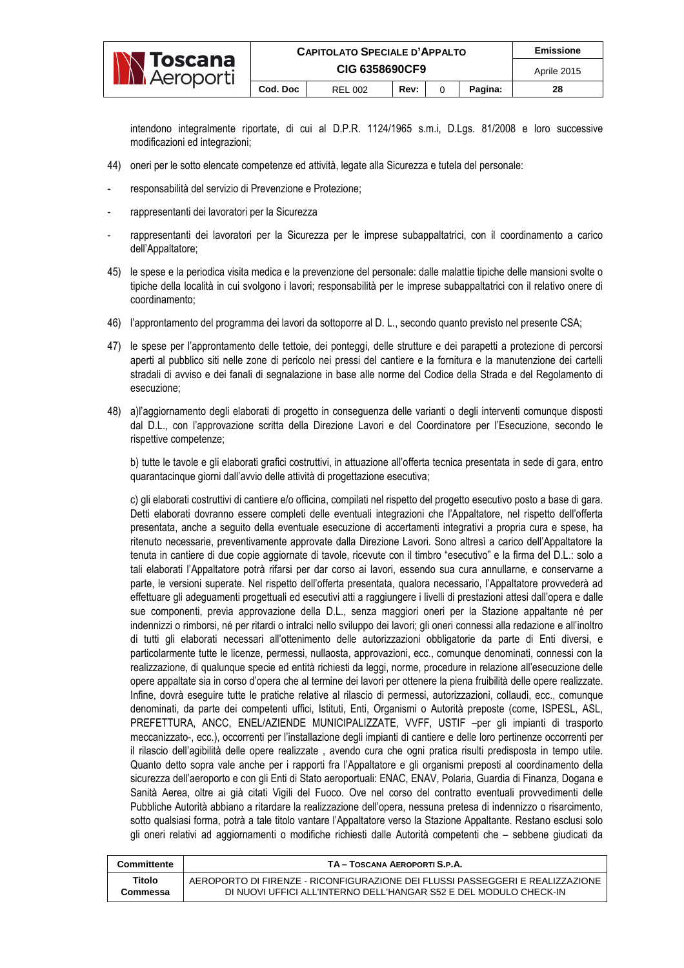

intendono integralmente riportate, di cui al D.P.R. 1124/1965 s.m.i, D.Lgs. 81/2008 e loro successive modificazioni ed integrazioni;

- 44) oneri per le sotto elencate competenze ed attività, legate alla Sicurezza e tutela del personale:
- responsabilità del servizio di Prevenzione e Protezione;
- rappresentanti dei lavoratori per la Sicurezza
- rappresentanti dei lavoratori per la Sicurezza per le imprese subappaltatrici, con il coordinamento a carico dell'Appaltatore;
- 45) le spese e la periodica visita medica e la prevenzione del personale: dalle malattie tipiche delle mansioni svolte o tipiche della località in cui svolgono i lavori; responsabilità per le imprese subappaltatrici con il relativo onere di coordinamento;
- 46) l'approntamento del programma dei lavori da sottoporre al D. L., secondo quanto previsto nel presente CSA;
- 47) le spese per l'approntamento delle tettoie, dei ponteggi, delle strutture e dei parapetti a protezione di percorsi aperti al pubblico siti nelle zone di pericolo nei pressi del cantiere e la fornitura e la manutenzione dei cartelli stradali di avviso e dei fanali di segnalazione in base alle norme del Codice della Strada e del Regolamento di esecuzione;
- 48) a)l'aggiornamento degli elaborati di progetto in conseguenza delle varianti o degli interventi comunque disposti dal D.L., con l'approvazione scritta della Direzione Lavori e del Coordinatore per l'Esecuzione, secondo le rispettive competenze;

 b) tutte le tavole e gli elaborati grafici costruttivi, in attuazione all'offerta tecnica presentata in sede di gara, entro quarantacinque giorni dall'avvio delle attività di progettazione esecutiva;

 c) gli elaborati costruttivi di cantiere e/o officina, compilati nel rispetto del progetto esecutivo posto a base di gara. Detti elaborati dovranno essere completi delle eventuali integrazioni che l'Appaltatore, nel rispetto dell'offerta presentata, anche a seguito della eventuale esecuzione di accertamenti integrativi a propria cura e spese, ha ritenuto necessarie, preventivamente approvate dalla Direzione Lavori. Sono altresì a carico dell'Appaltatore la tenuta in cantiere di due copie aggiornate di tavole, ricevute con il timbro "esecutivo" e la firma del D.L.: solo a tali elaborati l'Appaltatore potrà rifarsi per dar corso ai lavori, essendo sua cura annullarne, e conservarne a parte, le versioni superate. Nel rispetto dell'offerta presentata, qualora necessario, l'Appaltatore provvederà ad effettuare gli adeguamenti progettuali ed esecutivi atti a raggiungere i livelli di prestazioni attesi dall'opera e dalle sue componenti, previa approvazione della D.L., senza maggiori oneri per la Stazione appaltante né per indennizzi o rimborsi, né per ritardi o intralci nello sviluppo dei lavori; gli oneri connessi alla redazione e all'inoltro di tutti gli elaborati necessari all'ottenimento delle autorizzazioni obbligatorie da parte di Enti diversi, e particolarmente tutte le licenze, permessi, nullaosta, approvazioni, ecc., comunque denominati, connessi con la realizzazione, di qualunque specie ed entità richiesti da leggi, norme, procedure in relazione all'esecuzione delle opere appaltate sia in corso d'opera che al termine dei lavori per ottenere la piena fruibilità delle opere realizzate. Infine, dovrà eseguire tutte le pratiche relative al rilascio di permessi, autorizzazioni, collaudi, ecc., comunque denominati, da parte dei competenti uffici, Istituti, Enti, Organismi o Autorità preposte (come, ISPESL, ASL, PREFETTURA, ANCC, ENEL/AZIENDE MUNICIPALIZZATE, VVFF, USTIF –per gli impianti di trasporto meccanizzato-, ecc.), occorrenti per l'installazione degli impianti di cantiere e delle loro pertinenze occorrenti per il rilascio dell'agibilità delle opere realizzate , avendo cura che ogni pratica risulti predisposta in tempo utile. Quanto detto sopra vale anche per i rapporti fra l'Appaltatore e gli organismi preposti al coordinamento della sicurezza dell'aeroporto e con gli Enti di Stato aeroportuali: ENAC, ENAV, Polaria, Guardia di Finanza, Dogana e Sanità Aerea, oltre ai già citati Vigili del Fuoco. Ove nel corso del contratto eventuali provvedimenti delle Pubbliche Autorità abbiano a ritardare la realizzazione dell'opera, nessuna pretesa di indennizzo o risarcimento, sotto qualsiasi forma, potrà a tale titolo vantare l'Appaltatore verso la Stazione Appaltante. Restano esclusi solo gli oneri relativi ad aggiornamenti o modifiche richiesti dalle Autorità competenti che – sebbene giudicati da

| Committente | TA - TOSCANA AEROPORTI S.P.A.                                                 |
|-------------|-------------------------------------------------------------------------------|
| Titolo      | AEROPORTO DI FIRENZE - RICONFIGURAZIONE DEI FLUSSI PASSEGGERI E REALIZZAZIONE |
| Commessa    | DI NUOVI UFFICI ALL'INTERNO DELL'HANGAR S52 E DEL MODULO CHECK-IN             |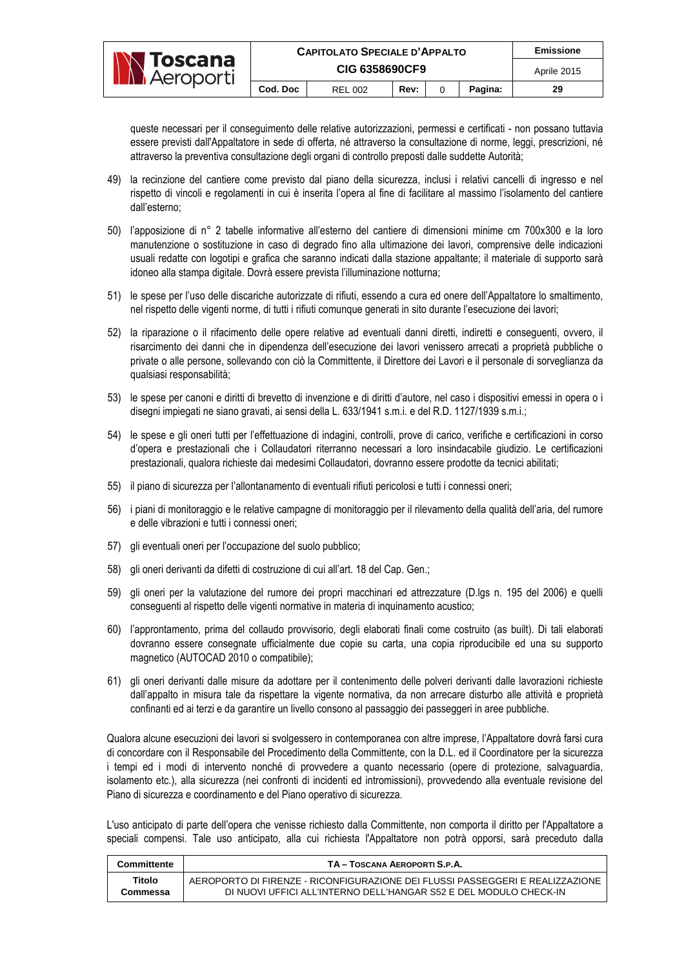|                                        | <b>CAPITOLATO SPECIALE D'APPALTO</b> |                |      |  |         | <b>Emissione</b> |
|----------------------------------------|--------------------------------------|----------------|------|--|---------|------------------|
| <b>N Toscana</b><br><b>N</b> Aeroporti | CIG 6358690CF9                       |                |      |  |         | Aprile 2015      |
|                                        | Cod. Doc                             | <b>REL 002</b> | Rev: |  | Pagina: | 29               |

queste necessari per il conseguimento delle relative autorizzazioni, permessi e certificati - non possano tuttavia essere previsti dall'Appaltatore in sede di offerta, né attraverso la consultazione di norme, leggi, prescrizioni, né attraverso la preventiva consultazione degli organi di controllo preposti dalle suddette Autorità;

- 49) la recinzione del cantiere come previsto dal piano della sicurezza, inclusi i relativi cancelli di ingresso e nel rispetto di vincoli e regolamenti in cui è inserita l'opera al fine di facilitare al massimo l'isolamento del cantiere dall'esterno;
- 50) l'apposizione di n° 2 tabelle informative all'esterno del cantiere di dimensioni minime cm 700x300 e la loro manutenzione o sostituzione in caso di degrado fino alla ultimazione dei lavori, comprensive delle indicazioni usuali redatte con logotipi e grafica che saranno indicati dalla stazione appaltante; il materiale di supporto sarà idoneo alla stampa digitale. Dovrà essere prevista l'illuminazione notturna;
- 51) le spese per l'uso delle discariche autorizzate di rifiuti, essendo a cura ed onere dell'Appaltatore lo smaltimento, nel rispetto delle vigenti norme, di tutti i rifiuti comunque generati in sito durante l'esecuzione dei lavori;
- 52) la riparazione o il rifacimento delle opere relative ad eventuali danni diretti, indiretti e conseguenti, ovvero, il risarcimento dei danni che in dipendenza dell'esecuzione dei lavori venissero arrecati a proprietà pubbliche o private o alle persone, sollevando con ciò la Committente, il Direttore dei Lavori e il personale di sorveglianza da qualsiasi responsabilità;
- 53) le spese per canoni e diritti di brevetto di invenzione e di diritti d'autore, nel caso i dispositivi emessi in opera o i disegni impiegati ne siano gravati, ai sensi della L. 633/1941 s.m.i. e del R.D. 1127/1939 s.m.i.;
- 54) le spese e gli oneri tutti per l'effettuazione di indagini, controlli, prove di carico, verifiche e certificazioni in corso d'opera e prestazionali che i Collaudatori riterranno necessari a loro insindacabile giudizio. Le certificazioni prestazionali, qualora richieste dai medesimi Collaudatori, dovranno essere prodotte da tecnici abilitati;
- 55) il piano di sicurezza per l'allontanamento di eventuali rifiuti pericolosi e tutti i connessi oneri;
- 56) i piani di monitoraggio e le relative campagne di monitoraggio per il rilevamento della qualità dell'aria, del rumore e delle vibrazioni e tutti i connessi oneri;
- 57) gli eventuali oneri per l'occupazione del suolo pubblico;
- 58) gli oneri derivanti da difetti di costruzione di cui all'art. 18 del Cap. Gen.;
- 59) gli oneri per la valutazione del rumore dei propri macchinari ed attrezzature (D.lgs n. 195 del 2006) e quelli conseguenti al rispetto delle vigenti normative in materia di inquinamento acustico;
- 60) l'approntamento, prima del collaudo provvisorio, degli elaborati finali come costruito (as built). Di tali elaborati dovranno essere consegnate ufficialmente due copie su carta, una copia riproducibile ed una su supporto magnetico (AUTOCAD 2010 o compatibile);
- 61) gli oneri derivanti dalle misure da adottare per il contenimento delle polveri derivanti dalle lavorazioni richieste dall'appalto in misura tale da rispettare la vigente normativa, da non arrecare disturbo alle attività e proprietà confinanti ed ai terzi e da garantire un livello consono al passaggio dei passeggeri in aree pubbliche.

Qualora alcune esecuzioni dei lavori si svolgessero in contemporanea con altre imprese, l'Appaltatore dovrà farsi cura di concordare con il Responsabile del Procedimento della Committente, con la D.L. ed il Coordinatore per la sicurezza i tempi ed i modi di intervento nonché di provvedere a quanto necessario (opere di protezione, salvaguardia, isolamento etc.), alla sicurezza (nei confronti di incidenti ed intromissioni), provvedendo alla eventuale revisione del Piano di sicurezza e coordinamento e del Piano operativo di sicurezza.

L'uso anticipato di parte dell'opera che venisse richiesto dalla Committente, non comporta il diritto per l'Appaltatore a speciali compensi. Tale uso anticipato, alla cui richiesta l'Appaltatore non potrà opporsi, sarà preceduto dalla

| Committente | TA – TOSCANA AEROPORTI S.P.A.                                                 |
|-------------|-------------------------------------------------------------------------------|
| Titolo      | AEROPORTO DI FIRENZE - RICONFIGURAZIONE DEI FLUSSI PASSEGGERI E REALIZZAZIONE |
| Commessa    | DI NUOVI UFFICI ALL'INTERNO DELL'HANGAR S52 E DEL MODULO CHECK-IN             |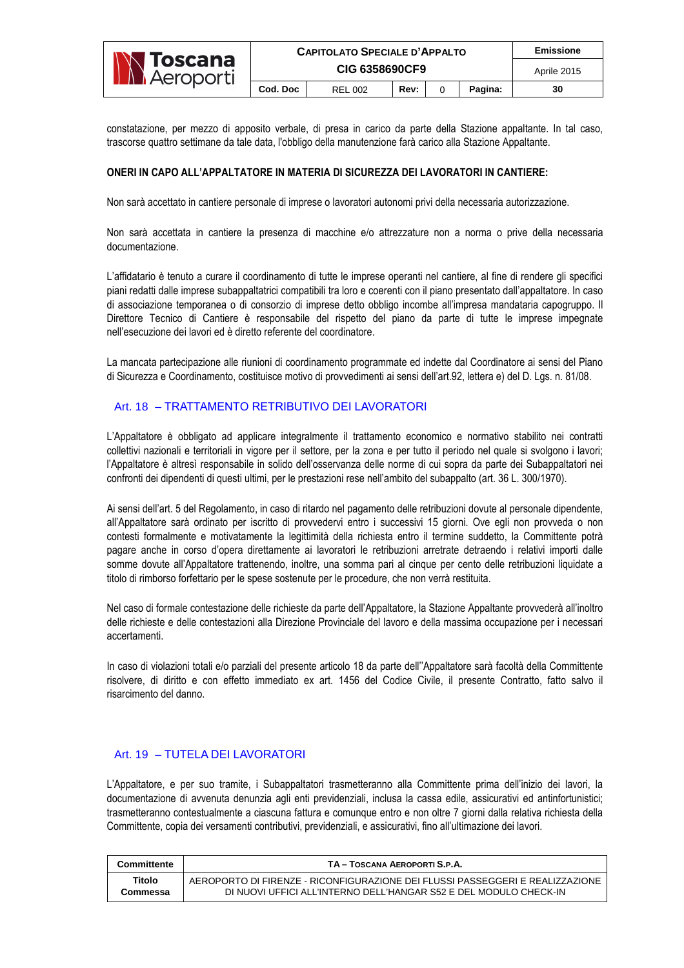|                                         | <b>CAPITOLATO SPECIALE D'APPALTO</b> | Emissione      |      |  |         |             |
|-----------------------------------------|--------------------------------------|----------------|------|--|---------|-------------|
| <b>N Toscana</b><br><b>Ni Aeroporti</b> | <b>CIG 6358690CF9</b>                |                |      |  |         | Aprile 2015 |
|                                         | Cod. Doc                             | <b>REL 002</b> | Rev: |  | Pagina: | 30          |

constatazione, per mezzo di apposito verbale, di presa in carico da parte della Stazione appaltante. In tal caso, trascorse quattro settimane da tale data, l'obbligo della manutenzione farà carico alla Stazione Appaltante.

#### **ONERI IN CAPO ALL'APPALTATORE IN MATERIA DI SICUREZZA DEI LAVORATORI IN CANTIERE:**

Non sarà accettato in cantiere personale di imprese o lavoratori autonomi privi della necessaria autorizzazione.

Non sarà accettata in cantiere la presenza di macchine e/o attrezzature non a norma o prive della necessaria documentazione.

L'affidatario è tenuto a curare il coordinamento di tutte le imprese operanti nel cantiere, al fine di rendere gli specifici piani redatti dalle imprese subappaltatrici compatibili tra loro e coerenti con il piano presentato dall'appaltatore. In caso di associazione temporanea o di consorzio di imprese detto obbligo incombe all'impresa mandataria capogruppo. Il Direttore Tecnico di Cantiere è responsabile del rispetto del piano da parte di tutte le imprese impegnate nell'esecuzione dei lavori ed è diretto referente del coordinatore.

La mancata partecipazione alle riunioni di coordinamento programmate ed indette dal Coordinatore ai sensi del Piano di Sicurezza e Coordinamento, costituisce motivo di provvedimenti ai sensi dell'art.92, lettera e) del D. Lgs. n. 81/08.

#### Art. 18 – TRATTAMENTO RETRIBUTIVO DEI LAVORATORI

L'Appaltatore è obbligato ad applicare integralmente il trattamento economico e normativo stabilito nei contratti collettivi nazionali e territoriali in vigore per il settore, per la zona e per tutto il periodo nel quale si svolgono i lavori; l'Appaltatore è altresì responsabile in solido dell'osservanza delle norme di cui sopra da parte dei Subappaltatori nei confronti dei dipendenti di questi ultimi, per le prestazioni rese nell'ambito del subappalto (art. 36 L. 300/1970).

Ai sensi dell'art. 5 del Regolamento, in caso di ritardo nel pagamento delle retribuzioni dovute al personale dipendente, all'Appaltatore sarà ordinato per iscritto di provvedervi entro i successivi 15 giorni. Ove egli non provveda o non contesti formalmente e motivatamente la legittimità della richiesta entro il termine suddetto, la Committente potrà pagare anche in corso d'opera direttamente ai lavoratori le retribuzioni arretrate detraendo i relativi importi dalle somme dovute all'Appaltatore trattenendo, inoltre, una somma pari al cinque per cento delle retribuzioni liquidate a titolo di rimborso forfettario per le spese sostenute per le procedure, che non verrà restituita.

Nel caso di formale contestazione delle richieste da parte dell'Appaltatore, la Stazione Appaltante provvederà all'inoltro delle richieste e delle contestazioni alla Direzione Provinciale del lavoro e della massima occupazione per i necessari accertamenti.

In caso di violazioni totali e/o parziali del presente articolo 18 da parte dell''Appaltatore sarà facoltà della Committente risolvere, di diritto e con effetto immediato ex art. 1456 del Codice Civile, il presente Contratto, fatto salvo il risarcimento del danno.

## Art. 19 – TUTELA DEI LAVORATORI

L'Appaltatore, e per suo tramite, i Subappaltatori trasmetteranno alla Committente prima dell'inizio dei lavori, la documentazione di avvenuta denunzia agli enti previdenziali, inclusa la cassa edile, assicurativi ed antinfortunistici; trasmetteranno contestualmente a ciascuna fattura e comunque entro e non oltre 7 giorni dalla relativa richiesta della Committente, copia dei versamenti contributivi, previdenziali, e assicurativi, fino all'ultimazione dei lavori.

| Committente | TA - TOSCANA AEROPORTI S.P.A.                                                 |
|-------------|-------------------------------------------------------------------------------|
| Titolo      | AEROPORTO DI FIRENZE - RICONFIGURAZIONE DEI FLUSSI PASSEGGERI E REALIZZAZIONE |
| Commessa    | DI NUOVI UFFICI ALL'INTERNO DELL'HANGAR S52 E DEL MODULO CHECK-IN             |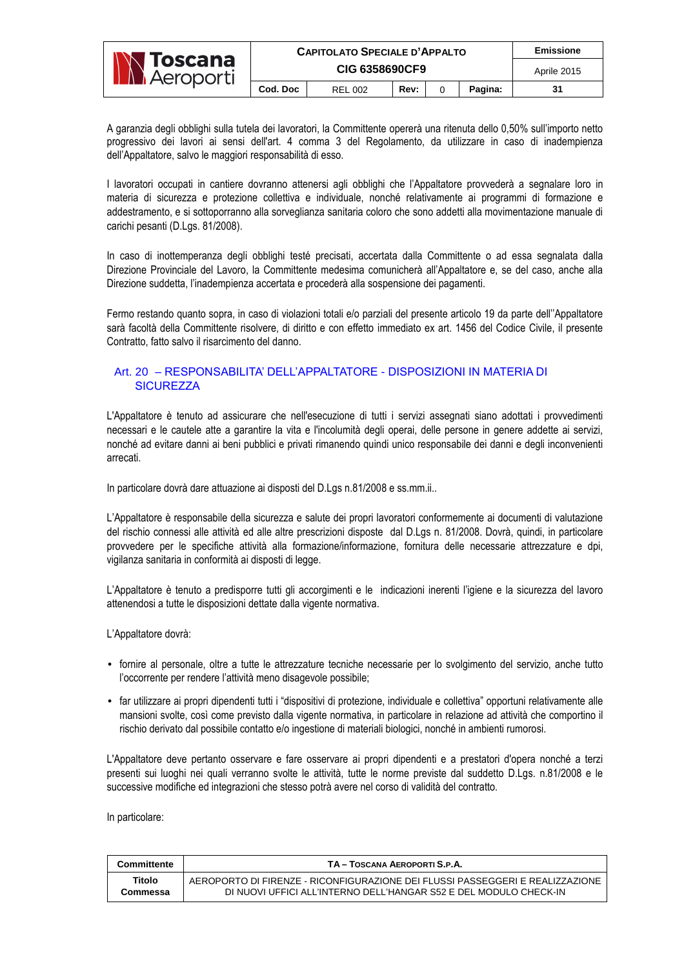|                                        | <b>CAPITOLATO SPECIALE D'APPALTO</b> |                |      |  |         | <b>Emissione</b> |
|----------------------------------------|--------------------------------------|----------------|------|--|---------|------------------|
| <b>N Toscana</b><br><b>N</b> Aeroporti | CIG 6358690CF9                       |                |      |  |         | Aprile 2015      |
|                                        | Cod. Doc                             | <b>REL 002</b> | Rev: |  | Pagina: | 31               |

A garanzia degli obblighi sulla tutela dei lavoratori, la Committente opererà una ritenuta dello 0,50% sull'importo netto progressivo dei lavori ai sensi dell'art. 4 comma 3 del Regolamento, da utilizzare in caso di inadempienza dell'Appaltatore, salvo le maggiori responsabilità di esso.

I lavoratori occupati in cantiere dovranno attenersi agli obblighi che l'Appaltatore provvederà a segnalare loro in materia di sicurezza e protezione collettiva e individuale, nonché relativamente ai programmi di formazione e addestramento, e si sottoporranno alla sorveglianza sanitaria coloro che sono addetti alla movimentazione manuale di carichi pesanti (D.Lgs. 81/2008).

In caso di inottemperanza degli obblighi testé precisati, accertata dalla Committente o ad essa segnalata dalla Direzione Provinciale del Lavoro, la Committente medesima comunicherà all'Appaltatore e, se del caso, anche alla Direzione suddetta, l'inadempienza accertata e procederà alla sospensione dei pagamenti.

Fermo restando quanto sopra, in caso di violazioni totali e/o parziali del presente articolo 19 da parte dell''Appaltatore sarà facoltà della Committente risolvere, di diritto e con effetto immediato ex art. 1456 del Codice Civile, il presente Contratto, fatto salvo il risarcimento del danno.

# Art. 20 – RESPONSABILITA' DELL'APPALTATORE - DISPOSIZIONI IN MATERIA DI **SICUREZZA**

L'Appaltatore è tenuto ad assicurare che nell'esecuzione di tutti i servizi assegnati siano adottati i provvedimenti necessari e le cautele atte a garantire la vita e l'incolumità degli operai, delle persone in genere addette ai servizi, nonché ad evitare danni ai beni pubblici e privati rimanendo quindi unico responsabile dei danni e degli inconvenienti arrecati.

In particolare dovrà dare attuazione ai disposti del D.Lgs n.81/2008 e ss.mm.ii..

L'Appaltatore è responsabile della sicurezza e salute dei propri lavoratori conformemente ai documenti di valutazione del rischio connessi alle attività ed alle altre prescrizioni disposte dal D.Lgs n. 81/2008. Dovrà, quindi, in particolare provvedere per le specifiche attività alla formazione/informazione, fornitura delle necessarie attrezzature e dpi, vigilanza sanitaria in conformità ai disposti di legge.

L'Appaltatore è tenuto a predisporre tutti gli accorgimenti e le indicazioni inerenti l'igiene e la sicurezza del lavoro attenendosi a tutte le disposizioni dettate dalla vigente normativa.

L'Appaltatore dovrà:

- fornire al personale, oltre a tutte le attrezzature tecniche necessarie per lo svolgimento del servizio, anche tutto l'occorrente per rendere l'attività meno disagevole possibile;
- far utilizzare ai propri dipendenti tutti i "dispositivi di protezione, individuale e collettiva" opportuni relativamente alle mansioni svolte, così come previsto dalla vigente normativa, in particolare in relazione ad attività che comportino il rischio derivato dal possibile contatto e/o ingestione di materiali biologici, nonché in ambienti rumorosi.

L'Appaltatore deve pertanto osservare e fare osservare ai propri dipendenti e a prestatori d'opera nonché a terzi presenti sui luoghi nei quali verranno svolte le attività, tutte le norme previste dal suddetto D.Lgs. n.81/2008 e le successive modifiche ed integrazioni che stesso potrà avere nel corso di validità del contratto.

In particolare:

| Committente | TA - TOSCANA AEROPORTI S.P.A.                                                 |
|-------------|-------------------------------------------------------------------------------|
| Titolo      | AEROPORTO DI FIRENZE - RICONFIGURAZIONE DEI FLUSSI PASSEGGERI E REALIZZAZIONE |
| Commessa    | DI NUOVI UFFICI ALL'INTERNO DELL'HANGAR S52 E DEL MODULO CHECK-IN             |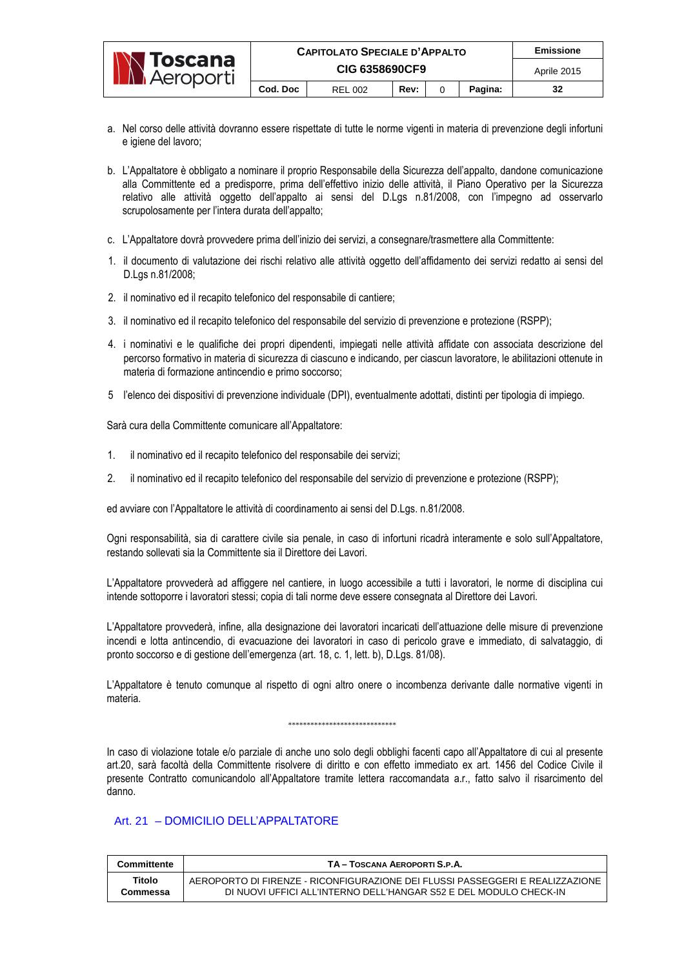|                                          | <b>CAPITOLATO SPECIALE D'APPALTO</b> | Emissione      |      |  |         |             |
|------------------------------------------|--------------------------------------|----------------|------|--|---------|-------------|
| <b>IN Toscana</b><br><b>AN</b> Aeroporti | CIG 6358690CF9                       |                |      |  |         | Aprile 2015 |
|                                          | Cod. Doc                             | <b>REL 002</b> | Rev: |  | Pagina: | 32          |

- a. Nel corso delle attività dovranno essere rispettate di tutte le norme vigenti in materia di prevenzione degli infortuni e igiene del lavoro;
- b. L'Appaltatore è obbligato a nominare il proprio Responsabile della Sicurezza dell'appalto, dandone comunicazione alla Committente ed a predisporre, prima dell'effettivo inizio delle attività, il Piano Operativo per la Sicurezza relativo alle attività oggetto dell'appalto ai sensi del D.Lgs n.81/2008, con l'impegno ad osservarlo scrupolosamente per l'intera durata dell'appalto;
- c. L'Appaltatore dovrà provvedere prima dell'inizio dei servizi, a consegnare/trasmettere alla Committente:
- 1. il documento di valutazione dei rischi relativo alle attività oggetto dell'affidamento dei servizi redatto ai sensi del D.Lgs n.81/2008;
- 2. il nominativo ed il recapito telefonico del responsabile di cantiere;
- 3. il nominativo ed il recapito telefonico del responsabile del servizio di prevenzione e protezione (RSPP);
- 4. i nominativi e le qualifiche dei propri dipendenti, impiegati nelle attività affidate con associata descrizione del percorso formativo in materia di sicurezza di ciascuno e indicando, per ciascun lavoratore, le abilitazioni ottenute in materia di formazione antincendio e primo soccorso;
- 5 l'elenco dei dispositivi di prevenzione individuale (DPI), eventualmente adottati, distinti per tipologia di impiego.

Sarà cura della Committente comunicare all'Appaltatore:

- 1. il nominativo ed il recapito telefonico del responsabile dei servizi;
- 2. il nominativo ed il recapito telefonico del responsabile del servizio di prevenzione e protezione (RSPP);

ed avviare con l'Appaltatore le attività di coordinamento ai sensi del D.Lgs. n.81/2008.

Ogni responsabilità, sia di carattere civile sia penale, in caso di infortuni ricadrà interamente e solo sull'Appaltatore, restando sollevati sia la Committente sia il Direttore dei Lavori.

L'Appaltatore provvederà ad affiggere nel cantiere, in luogo accessibile a tutti i lavoratori, le norme di disciplina cui intende sottoporre i lavoratori stessi; copia di tali norme deve essere consegnata al Direttore dei Lavori.

L'Appaltatore provvederà, infine, alla designazione dei lavoratori incaricati dell'attuazione delle misure di prevenzione incendi e lotta antincendio, di evacuazione dei lavoratori in caso di pericolo grave e immediato, di salvataggio, di pronto soccorso e di gestione dell'emergenza (art. 18, c. 1, lett. b), D.Lgs. 81/08).

L'Appaltatore è tenuto comunque al rispetto di ogni altro onere o incombenza derivante dalle normative vigenti in materia.

\*\*\*\*\*\*\*\*\*\*\*\*\*\*\*\*\*\*\*\*\*\*\*\*\*\*\*\*\*

In caso di violazione totale e/o parziale di anche uno solo degli obblighi facenti capo all'Appaltatore di cui al presente art.20, sarà facoltà della Committente risolvere di diritto e con effetto immediato ex art. 1456 del Codice Civile il presente Contratto comunicandolo all'Appaltatore tramite lettera raccomandata a.r., fatto salvo il risarcimento del danno.

# Art. 21 – DOMICILIO DELL'APPALTATORE

| Committente | TA - TOSCANA AEROPORTI S.P.A.                                                 |
|-------------|-------------------------------------------------------------------------------|
| Titolo      | AEROPORTO DI FIRENZE - RICONFIGURAZIONE DEI FLUSSI PASSEGGERI E REALIZZAZIONE |
| Commessa    | DI NUOVI UFFICI ALL'INTERNO DELL'HANGAR S52 E DEL MODULO CHECK-IN             |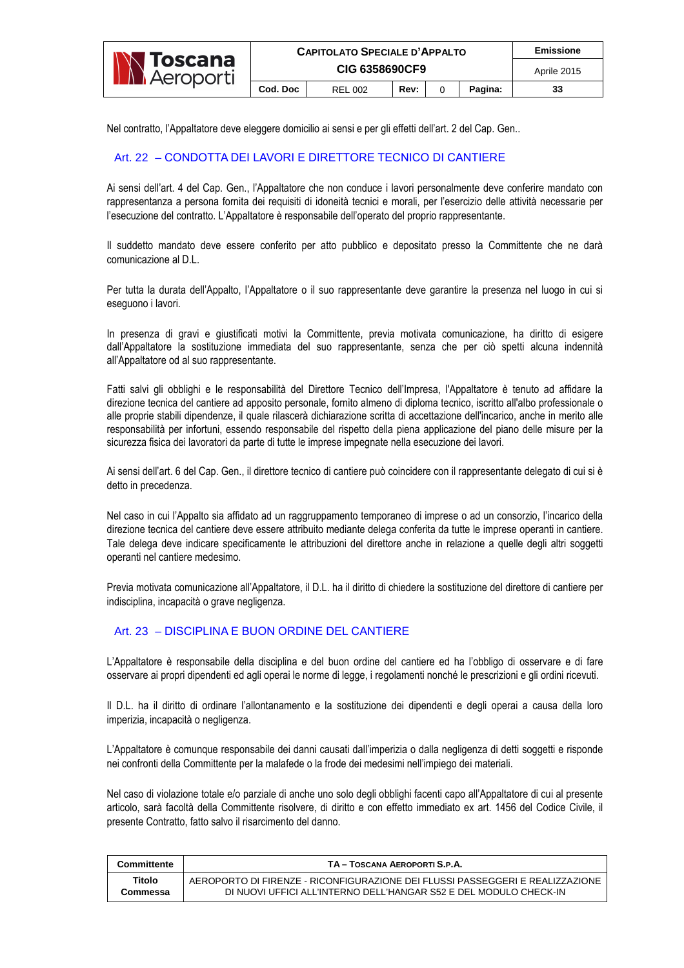Nel contratto, l'Appaltatore deve eleggere domicilio ai sensi e per gli effetti dell'art. 2 del Cap. Gen..

# Art. 22 – CONDOTTA DEI LAVORI E DIRETTORE TECNICO DI CANTIERE

Ai sensi dell'art. 4 del Cap. Gen., l'Appaltatore che non conduce i lavori personalmente deve conferire mandato con rappresentanza a persona fornita dei requisiti di idoneità tecnici e morali, per l'esercizio delle attività necessarie per l'esecuzione del contratto. L'Appaltatore è responsabile dell'operato del proprio rappresentante.

Il suddetto mandato deve essere conferito per atto pubblico e depositato presso la Committente che ne darà comunicazione al D.L.

Per tutta la durata dell'Appalto, l'Appaltatore o il suo rappresentante deve garantire la presenza nel luogo in cui si eseguono i lavori.

In presenza di gravi e giustificati motivi la Committente, previa motivata comunicazione, ha diritto di esigere dall'Appaltatore la sostituzione immediata del suo rappresentante, senza che per ciò spetti alcuna indennità all'Appaltatore od al suo rappresentante.

Fatti salvi gli obblighi e le responsabilità del Direttore Tecnico dell'Impresa, l'Appaltatore è tenuto ad affidare la direzione tecnica del cantiere ad apposito personale, fornito almeno di diploma tecnico, iscritto all'albo professionale o alle proprie stabili dipendenze, il quale rilascerà dichiarazione scritta di accettazione dell'incarico, anche in merito alle responsabilità per infortuni, essendo responsabile del rispetto della piena applicazione del piano delle misure per la sicurezza fisica dei lavoratori da parte di tutte le imprese impegnate nella esecuzione dei lavori.

Ai sensi dell'art. 6 del Cap. Gen., il direttore tecnico di cantiere può coincidere con il rappresentante delegato di cui si è detto in precedenza.

Nel caso in cui l'Appalto sia affidato ad un raggruppamento temporaneo di imprese o ad un consorzio, l'incarico della direzione tecnica del cantiere deve essere attribuito mediante delega conferita da tutte le imprese operanti in cantiere. Tale delega deve indicare specificamente le attribuzioni del direttore anche in relazione a quelle degli altri soggetti operanti nel cantiere medesimo.

Previa motivata comunicazione all'Appaltatore, il D.L. ha il diritto di chiedere la sostituzione del direttore di cantiere per indisciplina, incapacità o grave negligenza.

## Art. 23 – DISCIPLINA E BUON ORDINE DEL CANTIERE

L'Appaltatore è responsabile della disciplina e del buon ordine del cantiere ed ha l'obbligo di osservare e di fare osservare ai propri dipendenti ed agli operai le norme di legge, i regolamenti nonché le prescrizioni e gli ordini ricevuti.

Il D.L. ha il diritto di ordinare l'allontanamento e la sostituzione dei dipendenti e degli operai a causa della loro imperizia, incapacità o negligenza.

L'Appaltatore è comunque responsabile dei danni causati dall'imperizia o dalla negligenza di detti soggetti e risponde nei confronti della Committente per la malafede o la frode dei medesimi nell'impiego dei materiali.

Nel caso di violazione totale e/o parziale di anche uno solo degli obblighi facenti capo all'Appaltatore di cui al presente articolo, sarà facoltà della Committente risolvere, di diritto e con effetto immediato ex art. 1456 del Codice Civile, il presente Contratto, fatto salvo il risarcimento del danno.

| Committente | TA - TOSCANA AEROPORTI S.P.A.                                                 |
|-------------|-------------------------------------------------------------------------------|
| Titolo      | AEROPORTO DI FIRENZE - RICONFIGURAZIONE DEI FLUSSI PASSEGGERI E REALIZZAZIONE |
| Commessa    | DI NUOVI UFFICI ALL'INTERNO DELL'HANGAR S52 E DEL MODULO CHECK-IN             |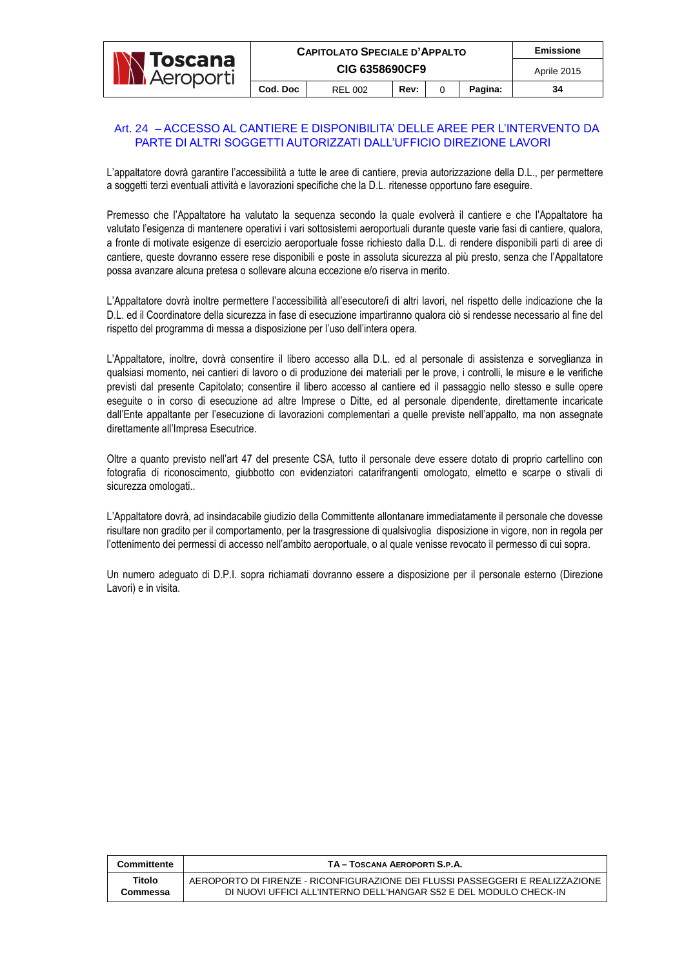# Art. 24 – ACCESSO AL CANTIERE E DISPONIBILITA' DELLE AREE PER L'INTERVENTO DA PARTE DI ALTRI SOGGETTI AUTORIZZATI DALL'UFFICIO DIREZIONE LAVORI

L'appaltatore dovrà garantire l'accessibilità a tutte le aree di cantiere, previa autorizzazione della D.L., per permettere a soggetti terzi eventuali attività e lavorazioni specifiche che la D.L. ritenesse opportuno fare eseguire.

Premesso che l'Appaltatore ha valutato la sequenza secondo la quale evolverà il cantiere e che l'Appaltatore ha valutato l'esigenza di mantenere operativi i vari sottosistemi aeroportuali durante queste varie fasi di cantiere, qualora, a fronte di motivate esigenze di esercizio aeroportuale fosse richiesto dalla D.L. di rendere disponibili parti di aree di cantiere, queste dovranno essere rese disponibili e poste in assoluta sicurezza al più presto, senza che l'Appaltatore possa avanzare alcuna pretesa o sollevare alcuna eccezione e/o riserva in merito.

L'Appaltatore dovrà inoltre permettere l'accessibilità all'esecutore/i di altri lavori, nel rispetto delle indicazione che la D.L. ed il Coordinatore della sicurezza in fase di esecuzione impartiranno qualora ciò si rendesse necessario al fine del rispetto del programma di messa a disposizione per l'uso dell'intera opera.

L'Appaltatore, inoltre, dovrà consentire il libero accesso alla D.L. ed al personale di assistenza e sorveglianza in qualsiasi momento, nei cantieri di lavoro o di produzione dei materiali per le prove, i controlli, le misure e le verifiche previsti dal presente Capitolato; consentire il libero accesso al cantiere ed il passaggio nello stesso e sulle opere eseguite o in corso di esecuzione ad altre Imprese o Ditte, ed al personale dipendente, direttamente incaricate dall'Ente appaltante per l'esecuzione di lavorazioni complementari a quelle previste nell'appalto, ma non assegnate direttamente all'Impresa Esecutrice.

Oltre a quanto previsto nell'art 47 del presente CSA, tutto il personale deve essere dotato di proprio cartellino con fotografia di riconoscimento, giubbotto con evidenziatori catarifrangenti omologato, elmetto e scarpe o stivali di sicurezza omologati..

L'Appaltatore dovrà, ad insindacabile giudizio della Committente allontanare immediatamente il personale che dovesse risultare non gradito per il comportamento, per la trasgressione di qualsivoglia disposizione in vigore, non in regola per l'ottenimento dei permessi di accesso nell'ambito aeroportuale, o al quale venisse revocato il permesso di cui sopra.

Un numero adeguato di D.P.I. sopra richiamati dovranno essere a disposizione per il personale esterno (Direzione Lavori) e in visita.

| Committente | TA - TOSCANA AEROPORTI S.P.A.                                                 |
|-------------|-------------------------------------------------------------------------------|
| Titolo      | AEROPORTO DI FIRENZE - RICONFIGURAZIONE DEI FLUSSI PASSEGGERI E REALIZZAZIONE |
| Commessa    | DI NUOVI UFFICI ALL'INTERNO DELL'HANGAR S52 E DEL MODULO CHECK-IN             |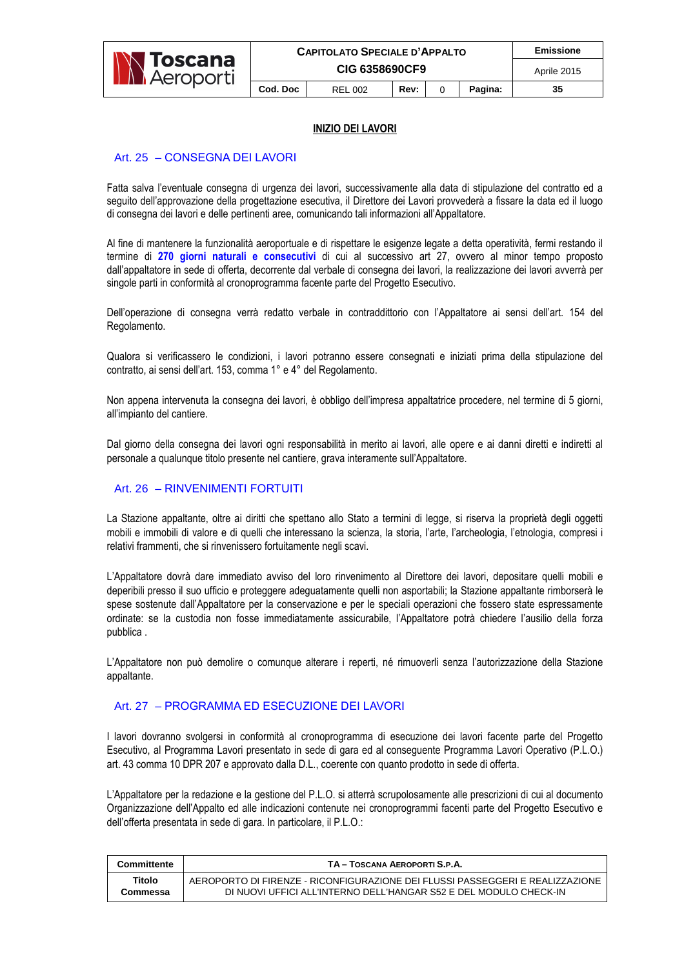

#### **INIZIO DEI LAVORI**

# Art. 25 – CONSEGNA DEI LAVORI

Fatta salva l'eventuale consegna di urgenza dei lavori, successivamente alla data di stipulazione del contratto ed a seguito dell'approvazione della progettazione esecutiva, il Direttore dei Lavori provvederà a fissare la data ed il luogo di consegna dei lavori e delle pertinenti aree, comunicando tali informazioni all'Appaltatore.

Al fine di mantenere la funzionalità aeroportuale e di rispettare le esigenze legate a detta operatività, fermi restando il termine di **270 giorni naturali e consecutivi** di cui al successivo art 27, ovvero al minor tempo proposto dall'appaltatore in sede di offerta, decorrente dal verbale di consegna dei lavori, la realizzazione dei lavori avverrà per singole parti in conformità al cronoprogramma facente parte del Progetto Esecutivo.

Dell'operazione di consegna verrà redatto verbale in contraddittorio con l'Appaltatore ai sensi dell'art. 154 del Regolamento.

Qualora si verificassero le condizioni, i lavori potranno essere consegnati e iniziati prima della stipulazione del contratto, ai sensi dell'art. 153, comma 1° e 4° del Regolamento.

Non appena intervenuta la consegna dei lavori, è obbligo dell'impresa appaltatrice procedere, nel termine di 5 giorni, all'impianto del cantiere.

Dal giorno della consegna dei lavori ogni responsabilità in merito ai lavori, alle opere e ai danni diretti e indiretti al personale a qualunque titolo presente nel cantiere, grava interamente sull'Appaltatore.

## Art. 26 – RINVENIMENTI FORTUITI

La Stazione appaltante, oltre ai diritti che spettano allo Stato a termini di legge, si riserva la proprietà degli oggetti mobili e immobili di valore e di quelli che interessano la scienza, la storia, l'arte, l'archeologia, l'etnologia, compresi i relativi frammenti, che si rinvenissero fortuitamente negli scavi.

L'Appaltatore dovrà dare immediato avviso del loro rinvenimento al Direttore dei lavori, depositare quelli mobili e deperibili presso il suo ufficio e proteggere adeguatamente quelli non asportabili; la Stazione appaltante rimborserà le spese sostenute dall'Appaltatore per la conservazione e per le speciali operazioni che fossero state espressamente ordinate: se la custodia non fosse immediatamente assicurabile, l'Appaltatore potrà chiedere l'ausilio della forza pubblica .

L'Appaltatore non può demolire o comunque alterare i reperti, né rimuoverli senza l'autorizzazione della Stazione appaltante.

#### Art. 27 – PROGRAMMA ED ESECUZIONE DEI LAVORI

I lavori dovranno svolgersi in conformità al cronoprogramma di esecuzione dei lavori facente parte del Progetto Esecutivo, al Programma Lavori presentato in sede di gara ed al conseguente Programma Lavori Operativo (P.L.O.) art. 43 comma 10 DPR 207 e approvato dalla D.L., coerente con quanto prodotto in sede di offerta.

L'Appaltatore per la redazione e la gestione del P.L.O. si atterrà scrupolosamente alle prescrizioni di cui al documento Organizzazione dell'Appalto ed alle indicazioni contenute nei cronoprogrammi facenti parte del Progetto Esecutivo e dell'offerta presentata in sede di gara. In particolare, il P.L.O.:

| Committente | TA - TOSCANA AEROPORTI S.P.A.                                                 |
|-------------|-------------------------------------------------------------------------------|
| Titolo      | AEROPORTO DI FIRENZE - RICONFIGURAZIONE DEI FLUSSI PASSEGGERI E REALIZZAZIONE |
| Commessa    | DI NUOVI UFFICI ALL'INTERNO DELL'HANGAR S52 E DEL MODULO CHECK-IN             |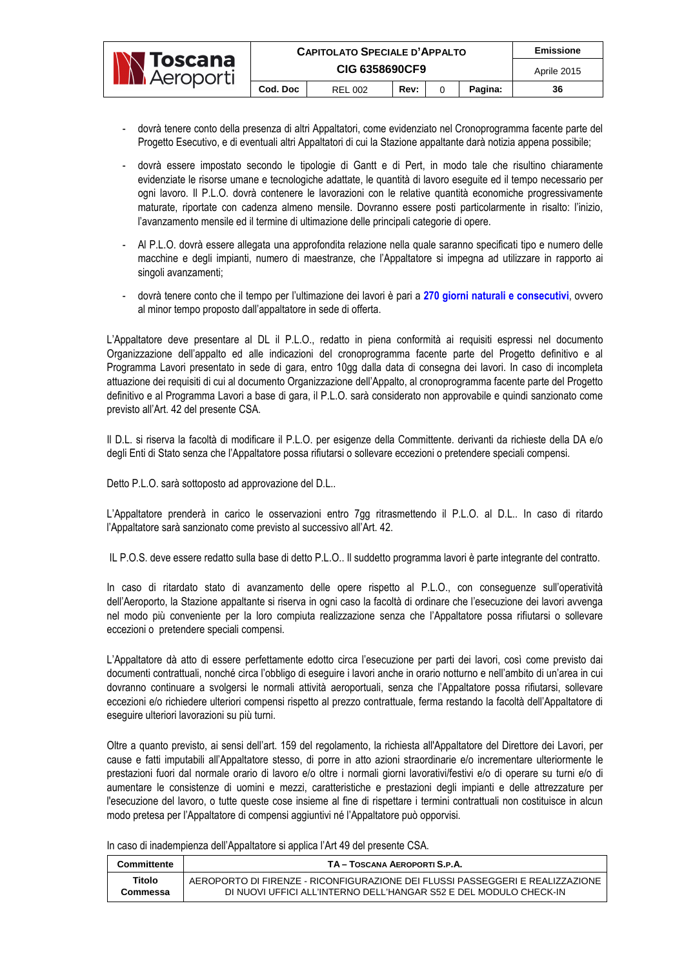|                                        | <b>CAPITOLATO SPECIALE D'APPALTO</b> | Emissione      |      |  |         |             |
|----------------------------------------|--------------------------------------|----------------|------|--|---------|-------------|
| <b>N</b> Toscana<br><b>M</b> Aeroporti | CIG 6358690CF9                       |                |      |  |         | Aprile 2015 |
|                                        | Cod. Doc                             | <b>REL 002</b> | Rev: |  | Pagina: | 36          |

- dovrà tenere conto della presenza di altri Appaltatori, come evidenziato nel Cronoprogramma facente parte del Progetto Esecutivo, e di eventuali altri Appaltatori di cui la Stazione appaltante darà notizia appena possibile;
- dovrà essere impostato secondo le tipologie di Gantt e di Pert, in modo tale che risultino chiaramente evidenziate le risorse umane e tecnologiche adattate, le quantità di lavoro eseguite ed il tempo necessario per ogni lavoro. Il P.L.O. dovrà contenere le lavorazioni con le relative quantità economiche progressivamente maturate, riportate con cadenza almeno mensile. Dovranno essere posti particolarmente in risalto: l'inizio, l'avanzamento mensile ed il termine di ultimazione delle principali categorie di opere.
- Al P.L.O. dovrà essere allegata una approfondita relazione nella quale saranno specificati tipo e numero delle macchine e degli impianti, numero di maestranze, che l'Appaltatore si impegna ad utilizzare in rapporto ai singoli avanzamenti;
- dovrà tenere conto che il tempo per l'ultimazione dei lavori è pari a **270 giorni naturali e consecutivi**, ovvero al minor tempo proposto dall'appaltatore in sede di offerta.

L'Appaltatore deve presentare al DL il P.L.O., redatto in piena conformità ai requisiti espressi nel documento Organizzazione dell'appalto ed alle indicazioni del cronoprogramma facente parte del Progetto definitivo e al Programma Lavori presentato in sede di gara, entro 10gg dalla data di consegna dei lavori. In caso di incompleta attuazione dei requisiti di cui al documento Organizzazione dell'Appalto, al cronoprogramma facente parte del Progetto definitivo e al Programma Lavori a base di gara, il P.L.O. sarà considerato non approvabile e quindi sanzionato come previsto all'Art. 42 del presente CSA.

Il D.L. si riserva la facoltà di modificare il P.L.O. per esigenze della Committente. derivanti da richieste della DA e/o degli Enti di Stato senza che l'Appaltatore possa rifiutarsi o sollevare eccezioni o pretendere speciali compensi.

Detto P.L.O. sarà sottoposto ad approvazione del D.L..

L'Appaltatore prenderà in carico le osservazioni entro 7gg ritrasmettendo il P.L.O. al D.L.. In caso di ritardo l'Appaltatore sarà sanzionato come previsto al successivo all'Art. 42.

IL P.O.S. deve essere redatto sulla base di detto P.L.O.. Il suddetto programma lavori è parte integrante del contratto.

In caso di ritardato stato di avanzamento delle opere rispetto al P.L.O., con conseguenze sull'operatività dell'Aeroporto, la Stazione appaltante si riserva in ogni caso la facoltà di ordinare che l'esecuzione dei lavori avvenga nel modo più conveniente per la loro compiuta realizzazione senza che l'Appaltatore possa rifiutarsi o sollevare eccezioni o pretendere speciali compensi.

L'Appaltatore dà atto di essere perfettamente edotto circa l'esecuzione per parti dei lavori, così come previsto dai documenti contrattuali, nonché circa l'obbligo di eseguire i lavori anche in orario notturno e nell'ambito di un'area in cui dovranno continuare a svolgersi le normali attività aeroportuali, senza che l'Appaltatore possa rifiutarsi, sollevare eccezioni e/o richiedere ulteriori compensi rispetto al prezzo contrattuale, ferma restando la facoltà dell'Appaltatore di eseguire ulteriori lavorazioni su più turni.

Oltre a quanto previsto, ai sensi dell'art. 159 del regolamento, la richiesta all'Appaltatore del Direttore dei Lavori, per cause e fatti imputabili all'Appaltatore stesso, di porre in atto azioni straordinarie e/o incrementare ulteriormente le prestazioni fuori dal normale orario di lavoro e/o oltre i normali giorni lavorativi/festivi e/o di operare su turni e/o di aumentare le consistenze di uomini e mezzi, caratteristiche e prestazioni degli impianti e delle attrezzature per l'esecuzione del lavoro, o tutte queste cose insieme al fine di rispettare i termini contrattuali non costituisce in alcun modo pretesa per l'Appaltatore di compensi aggiuntivi né l'Appaltatore può opporvisi.

In caso di inadempienza dell'Appaltatore si applica l'Art 49 del presente CSA.

| Committente | TA - TOSCANA AEROPORTI S.P.A.                                                 |
|-------------|-------------------------------------------------------------------------------|
| Titolo      | AEROPORTO DI FIRENZE - RICONFIGURAZIONE DEI FLUSSI PASSEGGERI E REALIZZAZIONE |
| Commessa    | DI NUOVI UFFICI ALL'INTERNO DELL'HANGAR S52 E DEL MODULO CHECK-IN             |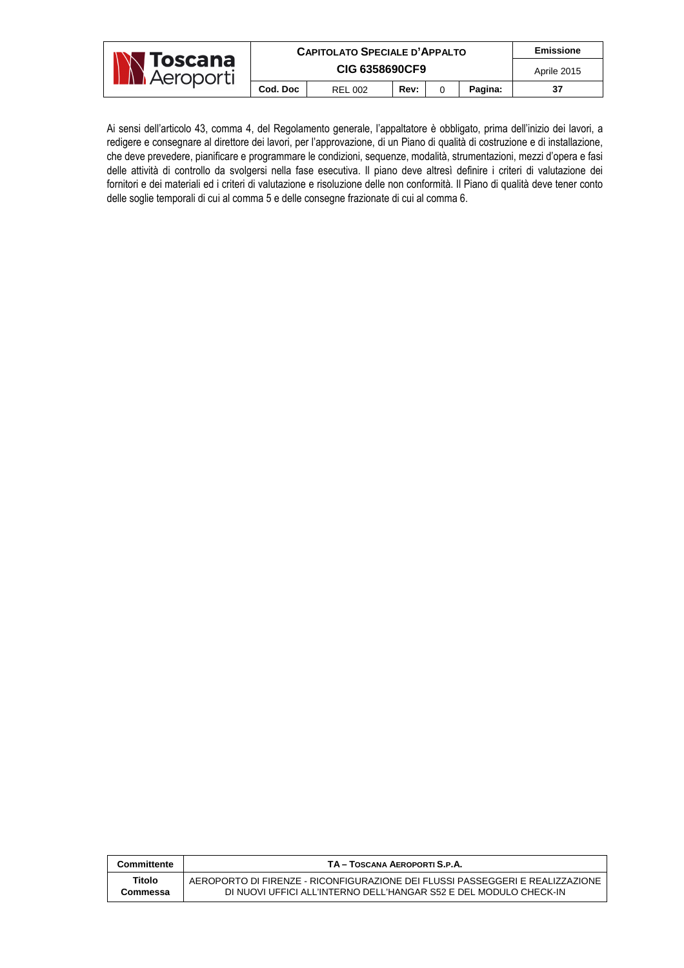|                                         | <b>CAPITOLATO SPECIALE D'APPALTO</b> | Emissione      |      |  |         |             |
|-----------------------------------------|--------------------------------------|----------------|------|--|---------|-------------|
| <b>IN Toscana</b><br><b>N</b> Aeroporti | CIG 6358690CF9                       |                |      |  |         | Aprile 2015 |
|                                         | Cod. Doc                             | <b>REL 002</b> | Rev: |  | Pagina: | 37          |

Ai sensi dell'articolo 43, comma 4, del Regolamento generale, l'appaltatore è obbligato, prima dell'inizio dei lavori, a redigere e consegnare al direttore dei lavori, per l'approvazione, di un Piano di qualità di costruzione e di installazione, che deve prevedere, pianificare e programmare le condizioni, sequenze, modalità, strumentazioni, mezzi d'opera e fasi delle attività di controllo da svolgersi nella fase esecutiva. Il piano deve altresì definire i criteri di valutazione dei fornitori e dei materiali ed i criteri di valutazione e risoluzione delle non conformità. Il Piano di qualità deve tener conto delle soglie temporali di cui al comma 5 e delle consegne frazionate di cui al comma 6.

| Committente | TA - TOSCANA AEROPORTI S.P.A.                                                 |
|-------------|-------------------------------------------------------------------------------|
| Titolo      | AEROPORTO DI FIRENZE - RICONFIGURAZIONE DEI FLUSSI PASSEGGERI E REALIZZAZIONE |
| Commessa    | DI NUOVI UFFICI ALL'INTERNO DELL'HANGAR S52 E DEL MODULO CHECK-IN             |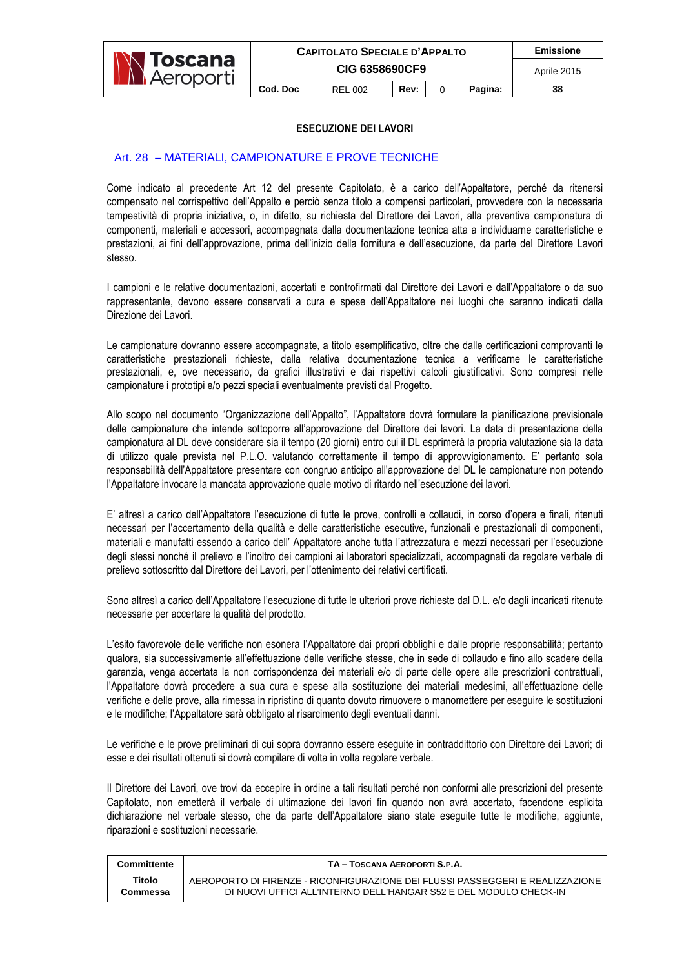

#### **ESECUZIONE DEI LAVORI**

#### Art. 28 – MATERIALI, CAMPIONATURE E PROVE TECNICHE

Come indicato al precedente Art 12 del presente Capitolato, è a carico dell'Appaltatore, perché da ritenersi compensato nel corrispettivo dell'Appalto e perciò senza titolo a compensi particolari, provvedere con la necessaria tempestività di propria iniziativa, o, in difetto, su richiesta del Direttore dei Lavori, alla preventiva campionatura di componenti, materiali e accessori, accompagnata dalla documentazione tecnica atta a individuarne caratteristiche e prestazioni, ai fini dell'approvazione, prima dell'inizio della fornitura e dell'esecuzione, da parte del Direttore Lavori stesso.

I campioni e le relative documentazioni, accertati e controfirmati dal Direttore dei Lavori e dall'Appaltatore o da suo rappresentante, devono essere conservati a cura e spese dell'Appaltatore nei luoghi che saranno indicati dalla Direzione dei Lavori.

Le campionature dovranno essere accompagnate, a titolo esemplificativo, oltre che dalle certificazioni comprovanti le caratteristiche prestazionali richieste, dalla relativa documentazione tecnica a verificarne le caratteristiche prestazionali, e, ove necessario, da grafici illustrativi e dai rispettivi calcoli giustificativi. Sono compresi nelle campionature i prototipi e/o pezzi speciali eventualmente previsti dal Progetto.

Allo scopo nel documento "Organizzazione dell'Appalto", l'Appaltatore dovrà formulare la pianificazione previsionale delle campionature che intende sottoporre all'approvazione del Direttore dei lavori. La data di presentazione della campionatura al DL deve considerare sia il tempo (20 giorni) entro cui il DL esprimerà la propria valutazione sia la data di utilizzo quale prevista nel P.L.O. valutando correttamente il tempo di approvvigionamento. E' pertanto sola responsabilità dell'Appaltatore presentare con congruo anticipo all'approvazione del DL le campionature non potendo l'Appaltatore invocare la mancata approvazione quale motivo di ritardo nell'esecuzione dei lavori.

E' altresì a carico dell'Appaltatore l'esecuzione di tutte le prove, controlli e collaudi, in corso d'opera e finali, ritenuti necessari per l'accertamento della qualità e delle caratteristiche esecutive, funzionali e prestazionali di componenti, materiali e manufatti essendo a carico dell' Appaltatore anche tutta l'attrezzatura e mezzi necessari per l'esecuzione degli stessi nonché il prelievo e l'inoltro dei campioni ai laboratori specializzati, accompagnati da regolare verbale di prelievo sottoscritto dal Direttore dei Lavori, per l'ottenimento dei relativi certificati.

Sono altresì a carico dell'Appaltatore l'esecuzione di tutte le ulteriori prove richieste dal D.L. e/o dagli incaricati ritenute necessarie per accertare la qualità del prodotto.

L'esito favorevole delle verifiche non esonera l'Appaltatore dai propri obblighi e dalle proprie responsabilità; pertanto qualora, sia successivamente all'effettuazione delle verifiche stesse, che in sede di collaudo e fino allo scadere della garanzia, venga accertata la non corrispondenza dei materiali e/o di parte delle opere alle prescrizioni contrattuali, l'Appaltatore dovrà procedere a sua cura e spese alla sostituzione dei materiali medesimi, all'effettuazione delle verifiche e delle prove, alla rimessa in ripristino di quanto dovuto rimuovere o manomettere per eseguire le sostituzioni e le modifiche; l'Appaltatore sarà obbligato al risarcimento degli eventuali danni.

Le verifiche e le prove preliminari di cui sopra dovranno essere eseguite in contraddittorio con Direttore dei Lavori; di esse e dei risultati ottenuti si dovrà compilare di volta in volta regolare verbale.

Il Direttore dei Lavori, ove trovi da eccepire in ordine a tali risultati perché non conformi alle prescrizioni del presente Capitolato, non emetterà il verbale di ultimazione dei lavori fin quando non avrà accertato, facendone esplicita dichiarazione nel verbale stesso, che da parte dell'Appaltatore siano state eseguite tutte le modifiche, aggiunte, riparazioni e sostituzioni necessarie.

| Committente | TA - TOSCANA AEROPORTI S.P.A.                                                 |
|-------------|-------------------------------------------------------------------------------|
| Titolo      | AEROPORTO DI FIRENZE - RICONFIGURAZIONE DEI FLUSSI PASSEGGERI E REALIZZAZIONE |
| Commessa    | DI NUOVI UFFICI ALL'INTERNO DELL'HANGAR S52 E DEL MODULO CHECK-IN             |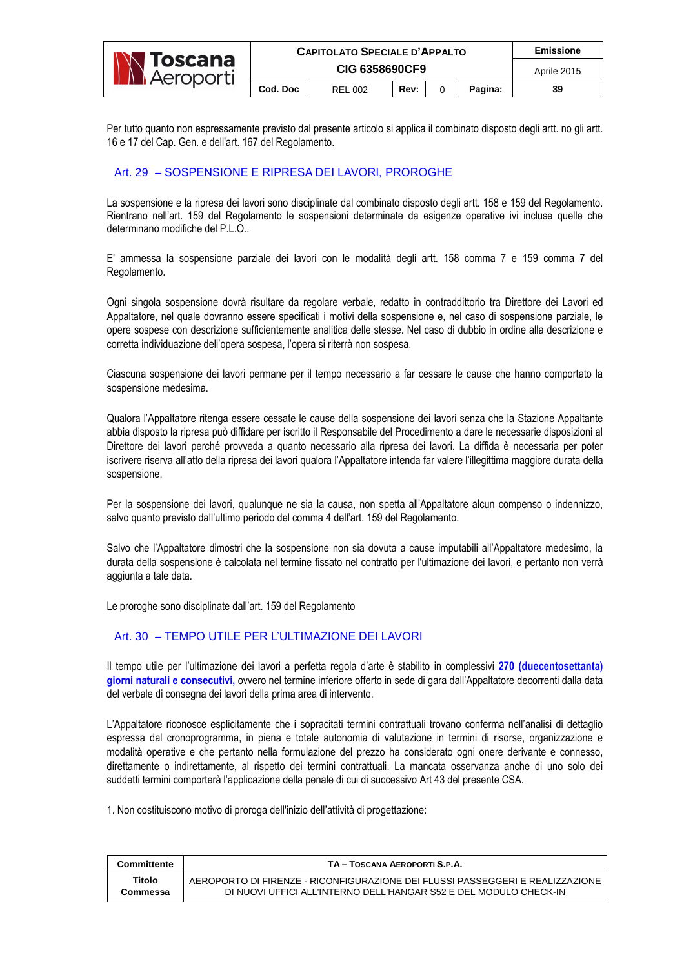|                                        | <b>CAPITOLATO SPECIALE D'APPALTO</b> |                |      |  |         | Emissione   |
|----------------------------------------|--------------------------------------|----------------|------|--|---------|-------------|
| <b>N</b> Toscana<br><b>N</b> Aeroporti | <b>CIG 6358690CF9</b>                |                |      |  |         | Aprile 2015 |
|                                        | Cod. Doc                             | <b>REL 002</b> | Rev: |  | Pagina: | 39          |

Per tutto quanto non espressamente previsto dal presente articolo si applica il combinato disposto degli artt. no gli artt. 16 e 17 del Cap. Gen. e dell'art. 167 del Regolamento.

# Art. 29 – SOSPENSIONE E RIPRESA DEI LAVORI, PROROGHE

La sospensione e la ripresa dei lavori sono disciplinate dal combinato disposto degli artt. 158 e 159 del Regolamento. Rientrano nell'art. 159 del Regolamento le sospensioni determinate da esigenze operative ivi incluse quelle che determinano modifiche del P.L.O..

E' ammessa la sospensione parziale dei lavori con le modalità degli artt. 158 comma 7 e 159 comma 7 del Regolamento.

Ogni singola sospensione dovrà risultare da regolare verbale, redatto in contraddittorio tra Direttore dei Lavori ed Appaltatore, nel quale dovranno essere specificati i motivi della sospensione e, nel caso di sospensione parziale, le opere sospese con descrizione sufficientemente analitica delle stesse. Nel caso di dubbio in ordine alla descrizione e corretta individuazione dell'opera sospesa, l'opera si riterrà non sospesa.

Ciascuna sospensione dei lavori permane per il tempo necessario a far cessare le cause che hanno comportato la sospensione medesima.

Qualora l'Appaltatore ritenga essere cessate le cause della sospensione dei lavori senza che la Stazione Appaltante abbia disposto la ripresa può diffidare per iscritto il Responsabile del Procedimento a dare le necessarie disposizioni al Direttore dei lavori perché provveda a quanto necessario alla ripresa dei lavori. La diffida è necessaria per poter iscrivere riserva all'atto della ripresa dei lavori qualora l'Appaltatore intenda far valere l'illegittima maggiore durata della sospensione.

Per la sospensione dei lavori, qualunque ne sia la causa, non spetta all'Appaltatore alcun compenso o indennizzo, salvo quanto previsto dall'ultimo periodo del comma 4 dell'art. 159 del Regolamento.

Salvo che l'Appaltatore dimostri che la sospensione non sia dovuta a cause imputabili all'Appaltatore medesimo, la durata della sospensione è calcolata nel termine fissato nel contratto per l'ultimazione dei lavori, e pertanto non verrà aggiunta a tale data.

Le proroghe sono disciplinate dall'art. 159 del Regolamento

## Art. 30 – TEMPO UTILE PER L'ULTIMAZIONE DEI LAVORI

Il tempo utile per l'ultimazione dei lavori a perfetta regola d'arte è stabilito in complessivi **270 (duecentosettanta) giorni naturali e consecutivi,** ovvero nel termine inferiore offerto in sede di gara dall'Appaltatore decorrenti dalla data del verbale di consegna dei lavori della prima area di intervento.

L'Appaltatore riconosce esplicitamente che i sopracitati termini contrattuali trovano conferma nell'analisi di dettaglio espressa dal cronoprogramma, in piena e totale autonomia di valutazione in termini di risorse, organizzazione e modalità operative e che pertanto nella formulazione del prezzo ha considerato ogni onere derivante e connesso, direttamente o indirettamente, al rispetto dei termini contrattuali. La mancata osservanza anche di uno solo dei suddetti termini comporterà l'applicazione della penale di cui di successivo Art 43 del presente CSA.

1. Non costituiscono motivo di proroga dell'inizio dell'attività di progettazione:

| Committente | TA - TOSCANA AEROPORTI S.P.A.                                                 |
|-------------|-------------------------------------------------------------------------------|
| Titolo      | AEROPORTO DI FIRENZE - RICONFIGURAZIONE DEI FLUSSI PASSEGGERI E REALIZZAZIONE |
| Commessa    | DI NUOVI UFFICI ALL'INTERNO DELL'HANGAR S52 E DEL MODULO CHECK-IN             |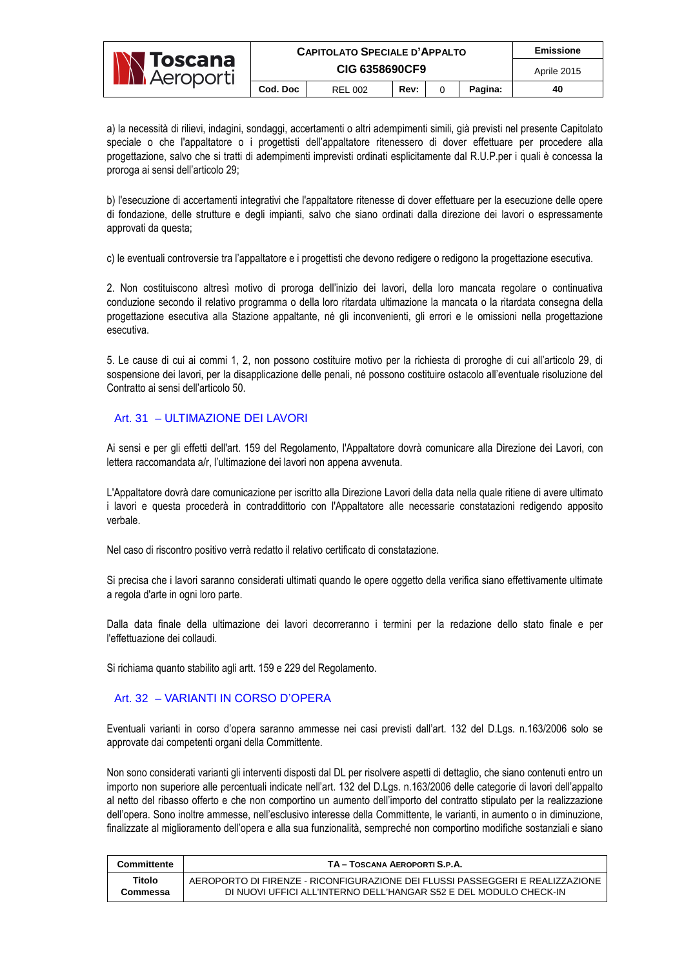| <b>N Toscana</b><br><b>N</b> Aeroporti | <b>CAPITOLATO SPECIALE D'APPALTO</b> | <b>Emissione</b> |      |  |         |
|----------------------------------------|--------------------------------------|------------------|------|--|---------|
|                                        |                                      | Aprile 2015      |      |  |         |
|                                        | Cod. Doc                             | <b>REL 002</b>   | Rev: |  | Pagina: |

a) la necessità di rilievi, indagini, sondaggi, accertamenti o altri adempimenti simili, già previsti nel presente Capitolato speciale o che l'appaltatore o i progettisti dell'appaltatore ritenessero di dover effettuare per procedere alla progettazione, salvo che si tratti di adempimenti imprevisti ordinati esplicitamente dal R.U.P.per i quali è concessa la proroga ai sensi dell'articolo 29;

b) l'esecuzione di accertamenti integrativi che l'appaltatore ritenesse di dover effettuare per la esecuzione delle opere di fondazione, delle strutture e degli impianti, salvo che siano ordinati dalla direzione dei lavori o espressamente approvati da questa;

c) le eventuali controversie tra l'appaltatore e i progettisti che devono redigere o redigono la progettazione esecutiva.

2. Non costituiscono altresì motivo di proroga dell'inizio dei lavori, della loro mancata regolare o continuativa conduzione secondo il relativo programma o della loro ritardata ultimazione la mancata o la ritardata consegna della progettazione esecutiva alla Stazione appaltante, né gli inconvenienti, gli errori e le omissioni nella progettazione esecutiva.

5. Le cause di cui ai commi 1, 2, non possono costituire motivo per la richiesta di proroghe di cui all'articolo 29, di sospensione dei lavori, per la disapplicazione delle penali, né possono costituire ostacolo all'eventuale risoluzione del Contratto ai sensi dell'articolo 50.

# Art. 31 – ULTIMAZIONE DEI LAVORI

Ai sensi e per gli effetti dell'art. 159 del Regolamento, l'Appaltatore dovrà comunicare alla Direzione dei Lavori, con lettera raccomandata a/r, l'ultimazione dei lavori non appena avvenuta.

L'Appaltatore dovrà dare comunicazione per iscritto alla Direzione Lavori della data nella quale ritiene di avere ultimato i lavori e questa procederà in contraddittorio con l'Appaltatore alle necessarie constatazioni redigendo apposito verbale.

Nel caso di riscontro positivo verrà redatto il relativo certificato di constatazione.

Si precisa che i lavori saranno considerati ultimati quando le opere oggetto della verifica siano effettivamente ultimate a regola d'arte in ogni loro parte.

Dalla data finale della ultimazione dei lavori decorreranno i termini per la redazione dello stato finale e per l'effettuazione dei collaudi.

Si richiama quanto stabilito agli artt. 159 e 229 del Regolamento.

# Art. 32 – VARIANTI IN CORSO D'OPERA

Eventuali varianti in corso d'opera saranno ammesse nei casi previsti dall'art. 132 del D.Lgs. n.163/2006 solo se approvate dai competenti organi della Committente.

Non sono considerati varianti gli interventi disposti dal DL per risolvere aspetti di dettaglio, che siano contenuti entro un importo non superiore alle percentuali indicate nell'art. 132 del D.Lgs. n.163/2006 delle categorie di lavori dell'appalto al netto del ribasso offerto e che non comportino un aumento dell'importo del contratto stipulato per la realizzazione dell'opera. Sono inoltre ammesse, nell'esclusivo interesse della Committente, le varianti, in aumento o in diminuzione, finalizzate al miglioramento dell'opera e alla sua funzionalità, sempreché non comportino modifiche sostanziali e siano

| Committente | TA - TOSCANA AEROPORTI S.P.A.                                                 |
|-------------|-------------------------------------------------------------------------------|
| Titolo      | AEROPORTO DI FIRENZE - RICONFIGURAZIONE DEI FLUSSI PASSEGGERI E REALIZZAZIONE |
| Commessa    | DI NUOVI UFFICI ALL'INTERNO DELL'HANGAR S52 E DEL MODULO CHECK-IN             |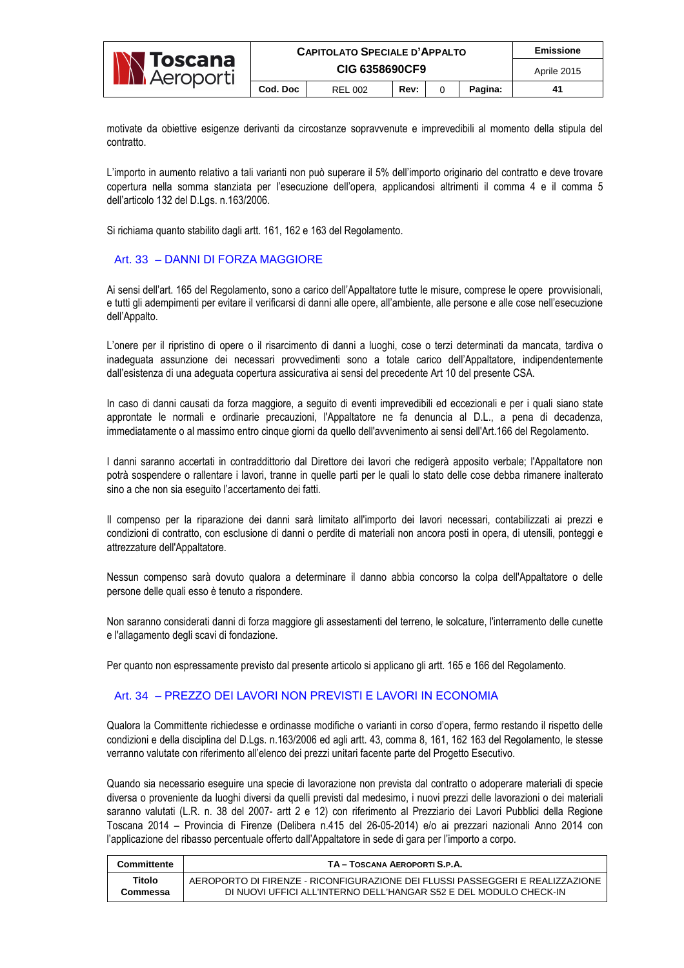| <b>N</b> Toscana<br><b>Ni Aeroporti</b> | <b>CAPITOLATO SPECIALE D'APPALTO</b> | Emissione      |      |  |         |             |
|-----------------------------------------|--------------------------------------|----------------|------|--|---------|-------------|
|                                         | CIG 6358690CF9                       |                |      |  |         | Aprile 2015 |
|                                         | Cod. Doc                             | <b>REL 002</b> | Rev: |  | Pagina: | 41          |

motivate da obiettive esigenze derivanti da circostanze sopravvenute e imprevedibili al momento della stipula del contratto.

L'importo in aumento relativo a tali varianti non può superare il 5% dell'importo originario del contratto e deve trovare copertura nella somma stanziata per l'esecuzione dell'opera, applicandosi altrimenti il comma 4 e il comma 5 dell'articolo 132 del D.Lgs. n.163/2006.

Si richiama quanto stabilito dagli artt. 161, 162 e 163 del Regolamento.

#### Art. 33 – DANNI DI FORZA MAGGIORE

Ai sensi dell'art. 165 del Regolamento, sono a carico dell'Appaltatore tutte le misure, comprese le opere provvisionali, e tutti gli adempimenti per evitare il verificarsi di danni alle opere, all'ambiente, alle persone e alle cose nell'esecuzione dell'Appalto.

L'onere per il ripristino di opere o il risarcimento di danni a luoghi, cose o terzi determinati da mancata, tardiva o inadeguata assunzione dei necessari provvedimenti sono a totale carico dell'Appaltatore, indipendentemente dall'esistenza di una adeguata copertura assicurativa ai sensi del precedente Art 10 del presente CSA.

In caso di danni causati da forza maggiore, a seguito di eventi imprevedibili ed eccezionali e per i quali siano state approntate le normali e ordinarie precauzioni, l'Appaltatore ne fa denuncia al D.L., a pena di decadenza, immediatamente o al massimo entro cinque giorni da quello dell'avvenimento ai sensi dell'Art.166 del Regolamento.

I danni saranno accertati in contraddittorio dal Direttore dei lavori che redigerà apposito verbale; l'Appaltatore non potrà sospendere o rallentare i lavori, tranne in quelle parti per le quali lo stato delle cose debba rimanere inalterato sino a che non sia eseguito l'accertamento dei fatti.

Il compenso per la riparazione dei danni sarà limitato all'importo dei lavori necessari, contabilizzati ai prezzi e condizioni di contratto, con esclusione di danni o perdite di materiali non ancora posti in opera, di utensili, ponteggi e attrezzature dell'Appaltatore.

Nessun compenso sarà dovuto qualora a determinare il danno abbia concorso la colpa dell'Appaltatore o delle persone delle quali esso è tenuto a rispondere.

Non saranno considerati danni di forza maggiore gli assestamenti del terreno, le solcature, l'interramento delle cunette e l'allagamento degli scavi di fondazione.

Per quanto non espressamente previsto dal presente articolo si applicano gli artt. 165 e 166 del Regolamento.

## Art. 34 – PREZZO DEI LAVORI NON PREVISTI E LAVORI IN ECONOMIA

Qualora la Committente richiedesse e ordinasse modifiche o varianti in corso d'opera, fermo restando il rispetto delle condizioni e della disciplina del D.Lgs. n.163/2006 ed agli artt. 43, comma 8, 161, 162 163 del Regolamento, le stesse verranno valutate con riferimento all'elenco dei prezzi unitari facente parte del Progetto Esecutivo.

Quando sia necessario eseguire una specie di lavorazione non prevista dal contratto o adoperare materiali di specie diversa o proveniente da luoghi diversi da quelli previsti dal medesimo, i nuovi prezzi delle lavorazioni o dei materiali saranno valutati (L.R. n. 38 del 2007- artt 2 e 12) con riferimento al Prezziario dei Lavori Pubblici della Regione Toscana 2014 – Provincia di Firenze (Delibera n.415 del 26-05-2014) e/o ai prezzari nazionali Anno 2014 con l'applicazione del ribasso percentuale offerto dall'Appaltatore in sede di gara per l'importo a corpo.

| Committente | TA - TOSCANA AEROPORTI S.P.A.                                                 |
|-------------|-------------------------------------------------------------------------------|
| Titolo      | AEROPORTO DI FIRENZE - RICONFIGURAZIONE DEI FLUSSI PASSEGGERI E REALIZZAZIONE |
| Commessa    | DI NUOVI UFFICI ALL'INTERNO DELL'HANGAR S52 E DEL MODULO CHECK-IN             |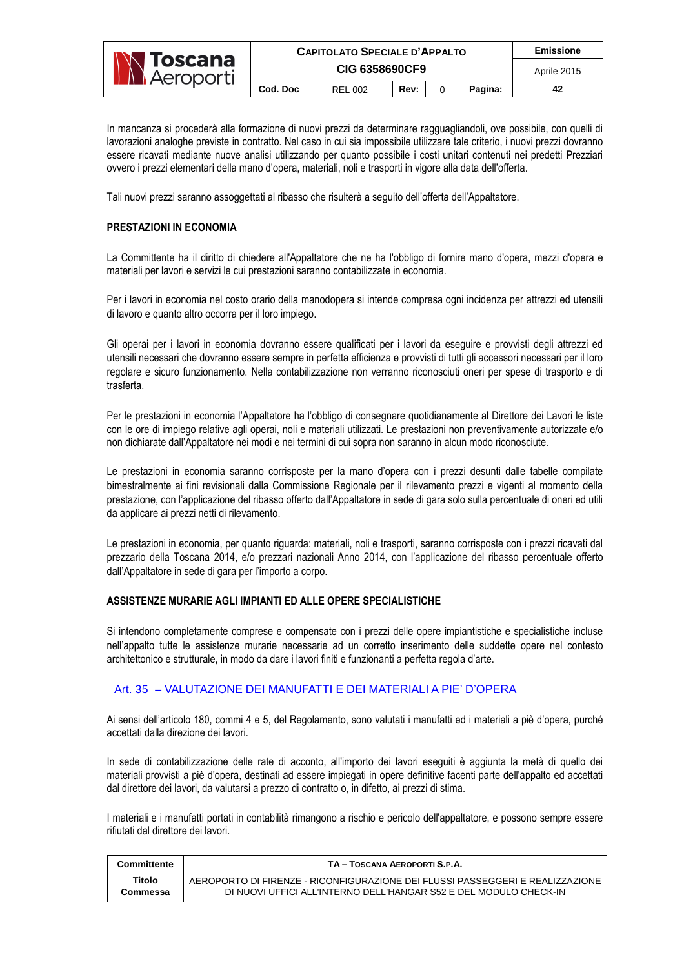| <b>IN Toscana</b><br><b>N</b> Aeroporti | <b>CAPITOLATO SPECIALE D'APPALTO</b> | Emissione      |      |  |         |
|-----------------------------------------|--------------------------------------|----------------|------|--|---------|
|                                         |                                      | Aprile 2015    |      |  |         |
|                                         | Cod. Doc                             | <b>REL 002</b> | Rev: |  | Pagina: |

In mancanza si procederà alla formazione di nuovi prezzi da determinare ragguagliandoli, ove possibile, con quelli di lavorazioni analoghe previste in contratto. Nel caso in cui sia impossibile utilizzare tale criterio, i nuovi prezzi dovranno essere ricavati mediante nuove analisi utilizzando per quanto possibile i costi unitari contenuti nei predetti Prezziari ovvero i prezzi elementari della mano d'opera, materiali, noli e trasporti in vigore alla data dell'offerta.

Tali nuovi prezzi saranno assoggettati al ribasso che risulterà a seguito dell'offerta dell'Appaltatore.

#### **PRESTAZIONI IN ECONOMIA**

La Committente ha il diritto di chiedere all'Appaltatore che ne ha l'obbligo di fornire mano d'opera, mezzi d'opera e materiali per lavori e servizi le cui prestazioni saranno contabilizzate in economia.

Per i lavori in economia nel costo orario della manodopera si intende compresa ogni incidenza per attrezzi ed utensili di lavoro e quanto altro occorra per il loro impiego.

Gli operai per i lavori in economia dovranno essere qualificati per i lavori da eseguire e provvisti degli attrezzi ed utensili necessari che dovranno essere sempre in perfetta efficienza e provvisti di tutti gli accessori necessari per il loro regolare e sicuro funzionamento. Nella contabilizzazione non verranno riconosciuti oneri per spese di trasporto e di trasferta.

Per le prestazioni in economia l'Appaltatore ha l'obbligo di consegnare quotidianamente al Direttore dei Lavori le liste con le ore di impiego relative agli operai, noli e materiali utilizzati. Le prestazioni non preventivamente autorizzate e/o non dichiarate dall'Appaltatore nei modi e nei termini di cui sopra non saranno in alcun modo riconosciute.

Le prestazioni in economia saranno corrisposte per la mano d'opera con i prezzi desunti dalle tabelle compilate bimestralmente ai fini revisionali dalla Commissione Regionale per il rilevamento prezzi e vigenti al momento della prestazione, con l'applicazione del ribasso offerto dall'Appaltatore in sede di gara solo sulla percentuale di oneri ed utili da applicare ai prezzi netti di rilevamento.

Le prestazioni in economia, per quanto riguarda: materiali, noli e trasporti, saranno corrisposte con i prezzi ricavati dal prezzario della Toscana 2014, e/o prezzari nazionali Anno 2014, con l'applicazione del ribasso percentuale offerto dall'Appaltatore in sede di gara per l'importo a corpo.

#### **ASSISTENZE MURARIE AGLI IMPIANTI ED ALLE OPERE SPECIALISTICHE**

Si intendono completamente comprese e compensate con i prezzi delle opere impiantistiche e specialistiche incluse nell'appalto tutte le assistenze murarie necessarie ad un corretto inserimento delle suddette opere nel contesto architettonico e strutturale, in modo da dare i lavori finiti e funzionanti a perfetta regola d'arte.

#### Art. 35 – VALUTAZIONE DEI MANUFATTI E DEI MATERIALI A PIE' D'OPERA

Ai sensi dell'articolo 180, commi 4 e 5, del Regolamento, sono valutati i manufatti ed i materiali a piè d'opera, purché accettati dalla direzione dei lavori.

In sede di contabilizzazione delle rate di acconto, all'importo dei lavori eseguiti è aggiunta la metà di quello dei materiali provvisti a piè d'opera, destinati ad essere impiegati in opere definitive facenti parte dell'appalto ed accettati dal direttore dei lavori, da valutarsi a prezzo di contratto o, in difetto, ai prezzi di stima.

I materiali e i manufatti portati in contabilità rimangono a rischio e pericolo dell'appaltatore, e possono sempre essere rifiutati dal direttore dei lavori.

| Committente | TA - TOSCANA AEROPORTI S.P.A.                                                 |
|-------------|-------------------------------------------------------------------------------|
| Titolo      | AEROPORTO DI FIRENZE - RICONFIGURAZIONE DEI FLUSSI PASSEGGERI E REALIZZAZIONE |
| Commessa    | DI NUOVI UFFICI ALL'INTERNO DELL'HANGAR S52 E DEL MODULO CHECK-IN             |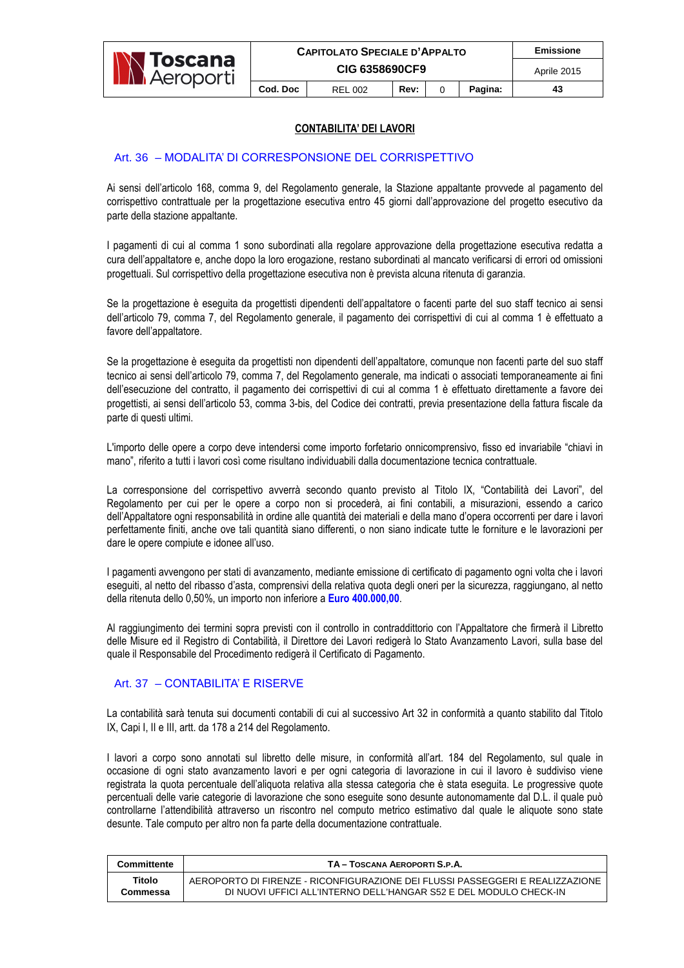

#### **CONTABILITA' DEI LAVORI**

## Art. 36 – MODALITA' DI CORRESPONSIONE DEL CORRISPETTIVO

Ai sensi dell'articolo 168, comma 9, del Regolamento generale, la Stazione appaltante provvede al pagamento del corrispettivo contrattuale per la progettazione esecutiva entro 45 giorni dall'approvazione del progetto esecutivo da parte della stazione appaltante.

I pagamenti di cui al comma 1 sono subordinati alla regolare approvazione della progettazione esecutiva redatta a cura dell'appaltatore e, anche dopo la loro erogazione, restano subordinati al mancato verificarsi di errori od omissioni progettuali. Sul corrispettivo della progettazione esecutiva non è prevista alcuna ritenuta di garanzia.

Se la progettazione è eseguita da progettisti dipendenti dell'appaltatore o facenti parte del suo staff tecnico ai sensi dell'articolo 79, comma 7, del Regolamento generale, il pagamento dei corrispettivi di cui al comma 1 è effettuato a favore dell'appaltatore.

Se la progettazione è eseguita da progettisti non dipendenti dell'appaltatore, comunque non facenti parte del suo staff tecnico ai sensi dell'articolo 79, comma 7, del Regolamento generale, ma indicati o associati temporaneamente ai fini dell'esecuzione del contratto, il pagamento dei corrispettivi di cui al comma 1 è effettuato direttamente a favore dei progettisti, ai sensi dell'articolo 53, comma 3-bis, del Codice dei contratti, previa presentazione della fattura fiscale da parte di questi ultimi.

L'importo delle opere a corpo deve intendersi come importo forfetario onnicomprensivo, fisso ed invariabile "chiavi in mano", riferito a tutti i lavori così come risultano individuabili dalla documentazione tecnica contrattuale.

La corresponsione del corrispettivo avverrà secondo quanto previsto al Titolo IX, "Contabilità dei Lavori", del Regolamento per cui per le opere a corpo non si procederà, ai fini contabili, a misurazioni, essendo a carico dell'Appaltatore ogni responsabilità in ordine alle quantità dei materiali e della mano d'opera occorrenti per dare i lavori perfettamente finiti, anche ove tali quantità siano differenti, o non siano indicate tutte le forniture e le lavorazioni per dare le opere compiute e idonee all'uso.

I pagamenti avvengono per stati di avanzamento, mediante emissione di certificato di pagamento ogni volta che i lavori eseguiti, al netto del ribasso d'asta, comprensivi della relativa quota degli oneri per la sicurezza, raggiungano, al netto della ritenuta dello 0,50%, un importo non inferiore a **Euro 400.000,00**.

Al raggiungimento dei termini sopra previsti con il controllo in contraddittorio con l'Appaltatore che firmerà il Libretto delle Misure ed il Registro di Contabilità, il Direttore dei Lavori redigerà lo Stato Avanzamento Lavori, sulla base del quale il Responsabile del Procedimento redigerà il Certificato di Pagamento.

## Art. 37 – CONTABILITA' E RISERVE

La contabilità sarà tenuta sui documenti contabili di cui al successivo Art 32 in conformità a quanto stabilito dal Titolo IX, Capi I, II e III, artt. da 178 a 214 del Regolamento.

I lavori a corpo sono annotati sul libretto delle misure, in conformità all'art. 184 del Regolamento, sul quale in occasione di ogni stato avanzamento lavori e per ogni categoria di lavorazione in cui il lavoro è suddiviso viene registrata la quota percentuale dell'aliquota relativa alla stessa categoria che è stata eseguita. Le progressive quote percentuali delle varie categorie di lavorazione che sono eseguite sono desunte autonomamente dal D.L. il quale può controllarne l'attendibilità attraverso un riscontro nel computo metrico estimativo dal quale le aliquote sono state desunte. Tale computo per altro non fa parte della documentazione contrattuale.

| Committente | TA - TOSCANA AEROPORTI S.P.A.                                                 |
|-------------|-------------------------------------------------------------------------------|
| Titolo      | AEROPORTO DI FIRENZE - RICONFIGURAZIONE DEI FLUSSI PASSEGGERI E REALIZZAZIONE |
| Commessa    | DI NUOVI UFFICI ALL'INTERNO DELL'HANGAR S52 E DEL MODULO CHECK-IN             |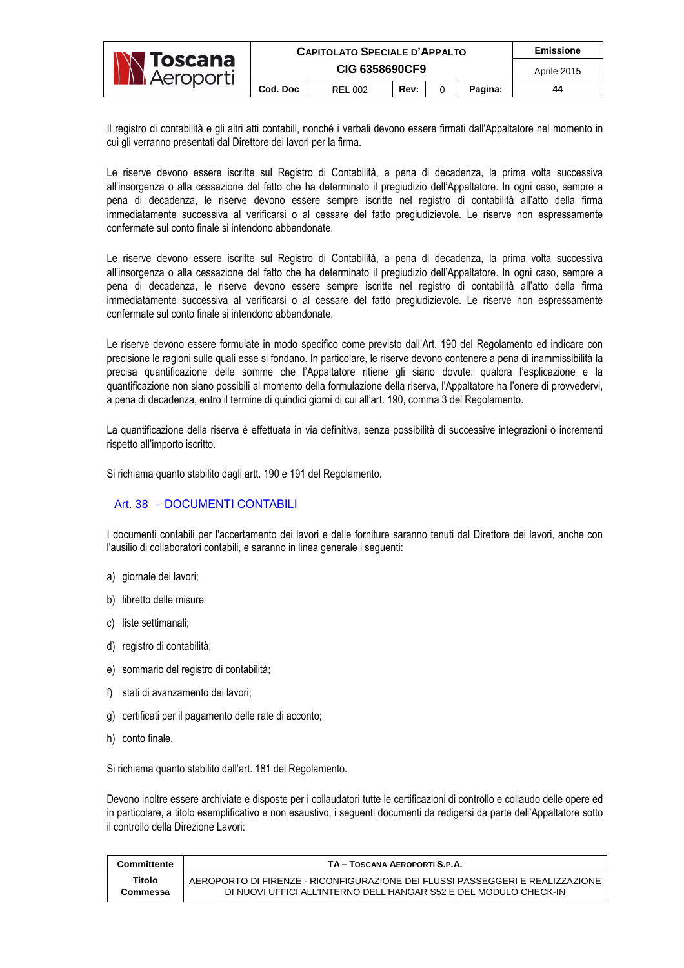| <b>N Toscana</b><br><b>IN</b> Aeroporti | <b>CAPITOLATO SPECIALE D'APPALTO</b> | Emissione      |      |  |         |
|-----------------------------------------|--------------------------------------|----------------|------|--|---------|
|                                         |                                      | Aprile 2015    |      |  |         |
|                                         | Cod. Doc                             | <b>REL 002</b> | Rev: |  | Pagina: |

Il registro di contabilità e gli altri atti contabili, nonché i verbali devono essere firmati dall'Appaltatore nel momento in cui gli verranno presentati dal Direttore dei lavori per la firma.

Le riserve devono essere iscritte sul Registro di Contabilità, a pena di decadenza, la prima volta successiva all'insorgenza o alla cessazione del fatto che ha determinato il pregiudizio dell'Appaltatore. In ogni caso, sempre a pena di decadenza, le riserve devono essere sempre iscritte nel registro di contabilità all'atto della firma immediatamente successiva al verificarsi o al cessare del fatto pregiudizievole. Le riserve non espressamente confermate sul conto finale si intendono abbandonate.

Le riserve devono essere iscritte sul Registro di Contabilità, a pena di decadenza, la prima volta successiva all'insorgenza o alla cessazione del fatto che ha determinato il pregiudizio dell'Appaltatore. In ogni caso, sempre a pena di decadenza, le riserve devono essere sempre iscritte nel registro di contabilità all'atto della firma immediatamente successiva al verificarsi o al cessare del fatto pregiudizievole. Le riserve non espressamente confermate sul conto finale si intendono abbandonate.

Le riserve devono essere formulate in modo specifico come previsto dall'Art. 190 del Regolamento ed indicare con precisione le ragioni sulle quali esse si fondano. In particolare, le riserve devono contenere a pena di inammissibilità la precisa quantificazione delle somme che l'Appaltatore ritiene gli siano dovute: qualora l'esplicazione e la quantificazione non siano possibili al momento della formulazione della riserva, l'Appaltatore ha l'onere di provvedervi, a pena di decadenza, entro il termine di quindici giorni di cui all'art. 190, comma 3 del Regolamento.

La quantificazione della riserva è effettuata in via definitiva, senza possibilità di successive integrazioni o incrementi rispetto all'importo iscritto.

Si richiama quanto stabilito dagli artt. 190 e 191 del Regolamento.

## Art. 38 – DOCUMENTI CONTABILI

I documenti contabili per l'accertamento dei lavori e delle forniture saranno tenuti dal Direttore dei lavori, anche con l'ausilio di collaboratori contabili, e saranno in linea generale i seguenti:

- a) giornale dei lavori;
- b) libretto delle misure
- c) liste settimanali;
- d) registro di contabilità;
- e) sommario del registro di contabilità;
- f) stati di avanzamento dei lavori;
- g) certificati per il pagamento delle rate di acconto;
- h) conto finale.

Si richiama quanto stabilito dall'art. 181 del Regolamento.

Devono inoltre essere archiviate e disposte per i collaudatori tutte le certificazioni di controllo e collaudo delle opere ed in particolare, a titolo esemplificativo e non esaustivo, i seguenti documenti da redigersi da parte dell'Appaltatore sotto il controllo della Direzione Lavori:

| Committente | TA - TOSCANA AEROPORTI S.P.A.                                                 |
|-------------|-------------------------------------------------------------------------------|
| Titolo      | AEROPORTO DI FIRENZE - RICONFIGURAZIONE DEI FLUSSI PASSEGGERI E REALIZZAZIONE |
| Commessa    | DI NUOVI UFFICI ALL'INTERNO DELL'HANGAR S52 E DEL MODULO CHECK-IN             |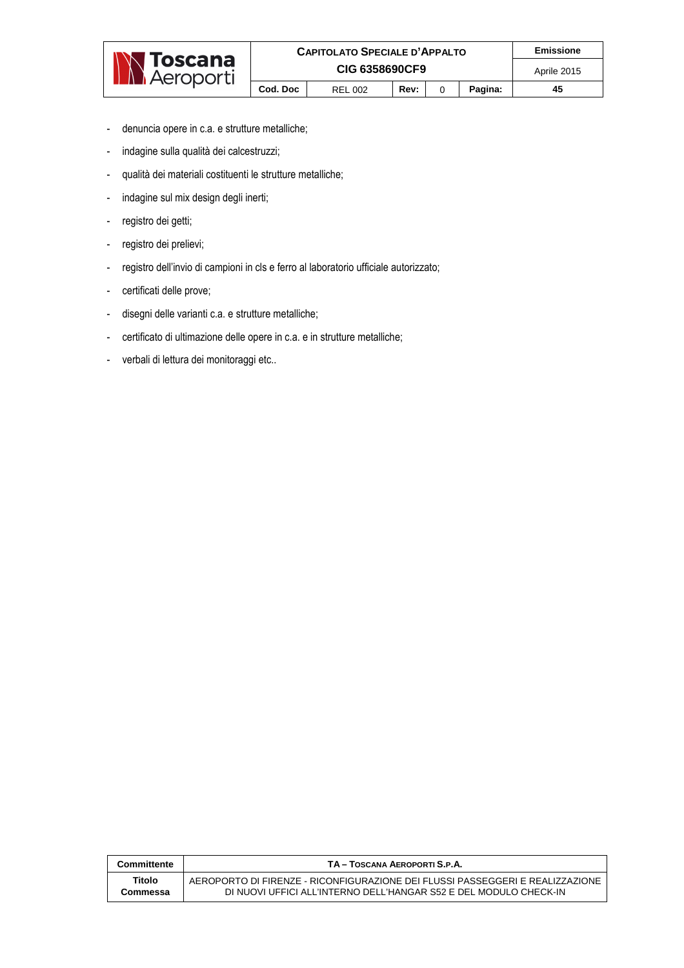

- denuncia opere in c.a. e strutture metalliche;
- indagine sulla qualità dei calcestruzzi;
- qualità dei materiali costituenti le strutture metalliche;
- indagine sul mix design degli inerti;
- registro dei getti;
- registro dei prelievi;
- registro dell'invio di campioni in cls e ferro al laboratorio ufficiale autorizzato;
- certificati delle prove;
- disegni delle varianti c.a. e strutture metalliche;
- certificato di ultimazione delle opere in c.a. e in strutture metalliche;
- verbali di lettura dei monitoraggi etc..

| Committente | TA - TOSCANA AEROPORTI S.P.A.                                                 |
|-------------|-------------------------------------------------------------------------------|
| Titolo      | AEROPORTO DI FIRENZE - RICONFIGURAZIONE DEI FLUSSI PASSEGGERI E REALIZZAZIONE |
| Commessa    | DI NUOVI UFFICI ALL'INTERNO DELL'HANGAR S52 E DEL MODULO CHECK-IN             |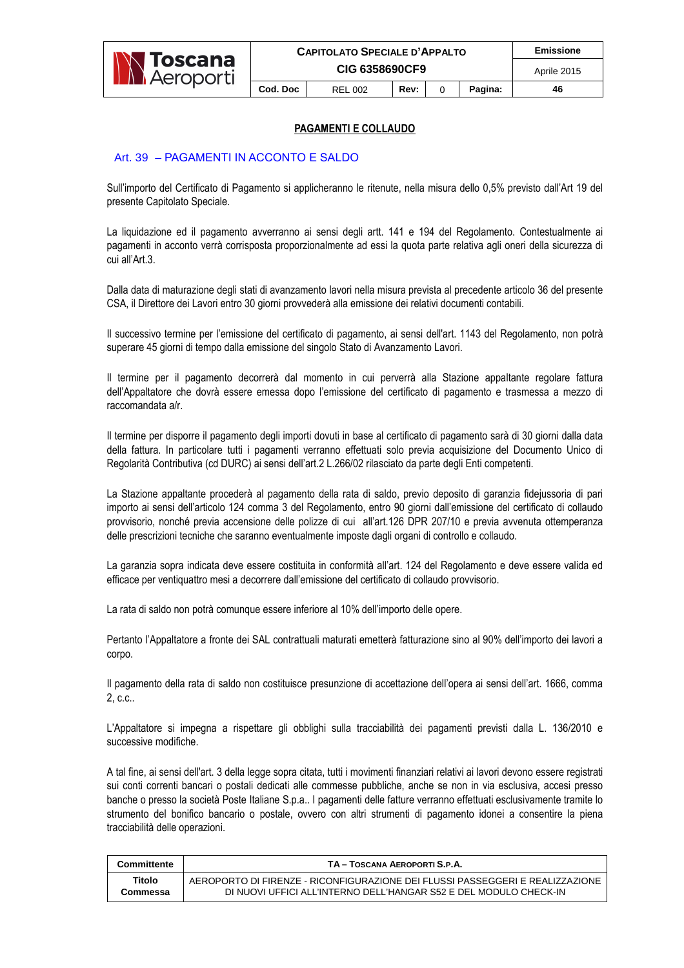

#### **PAGAMENTI E COLLAUDO**

#### Art. 39 – PAGAMENTI IN ACCONTO E SALDO

Sull'importo del Certificato di Pagamento si applicheranno le ritenute, nella misura dello 0,5% previsto dall'Art 19 del presente Capitolato Speciale.

La liquidazione ed il pagamento avverranno ai sensi degli artt. 141 e 194 del Regolamento. Contestualmente ai pagamenti in acconto verrà corrisposta proporzionalmente ad essi la quota parte relativa agli oneri della sicurezza di cui all'Art.3.

Dalla data di maturazione degli stati di avanzamento lavori nella misura prevista al precedente articolo 36 del presente CSA, il Direttore dei Lavori entro 30 giorni provvederà alla emissione dei relativi documenti contabili.

Il successivo termine per l'emissione del certificato di pagamento, ai sensi dell'art. 1143 del Regolamento, non potrà superare 45 giorni di tempo dalla emissione del singolo Stato di Avanzamento Lavori.

Il termine per il pagamento decorrerà dal momento in cui perverrà alla Stazione appaltante regolare fattura dell'Appaltatore che dovrà essere emessa dopo l'emissione del certificato di pagamento e trasmessa a mezzo di raccomandata a/r.

Il termine per disporre il pagamento degli importi dovuti in base al certificato di pagamento sarà di 30 giorni dalla data della fattura. In particolare tutti i pagamenti verranno effettuati solo previa acquisizione del Documento Unico di Regolarità Contributiva (cd DURC) ai sensi dell'art.2 L.266/02 rilasciato da parte degli Enti competenti.

La Stazione appaltante procederà al pagamento della rata di saldo, previo deposito di garanzia fidejussoria di pari importo ai sensi dell'articolo 124 comma 3 del Regolamento, entro 90 giorni dall'emissione del certificato di collaudo provvisorio, nonché previa accensione delle polizze di cui all'art.126 DPR 207/10 e previa avvenuta ottemperanza delle prescrizioni tecniche che saranno eventualmente imposte dagli organi di controllo e collaudo.

La garanzia sopra indicata deve essere costituita in conformità all'art. 124 del Regolamento e deve essere valida ed efficace per ventiquattro mesi a decorrere dall'emissione del certificato di collaudo provvisorio.

La rata di saldo non potrà comunque essere inferiore al 10% dell'importo delle opere.

Pertanto l'Appaltatore a fronte dei SAL contrattuali maturati emetterà fatturazione sino al 90% dell'importo dei lavori a corpo.

Il pagamento della rata di saldo non costituisce presunzione di accettazione dell'opera ai sensi dell'art. 1666, comma 2, c.c..

L'Appaltatore si impegna a rispettare gli obblighi sulla tracciabilità dei pagamenti previsti dalla L. 136/2010 e successive modifiche.

A tal fine, ai sensi dell'art. 3 della legge sopra citata, tutti i movimenti finanziari relativi ai lavori devono essere registrati sui conti correnti bancari o postali dedicati alle commesse pubbliche, anche se non in via esclusiva, accesi presso banche o presso la società Poste Italiane S.p.a.. I pagamenti delle fatture verranno effettuati esclusivamente tramite lo strumento del bonifico bancario o postale, ovvero con altri strumenti di pagamento idonei a consentire la piena tracciabilità delle operazioni.

| Committente | TA – TOSCANA AEROPORTI S.P.A.                                                 |
|-------------|-------------------------------------------------------------------------------|
| Titolo      | AEROPORTO DI FIRENZE - RICONFIGURAZIONE DEI FLUSSI PASSEGGERI E REALIZZAZIONE |
| Commessa    | DI NUOVI UFFICI ALL'INTERNO DELL'HANGAR S52 E DEL MODULO CHECK-IN             |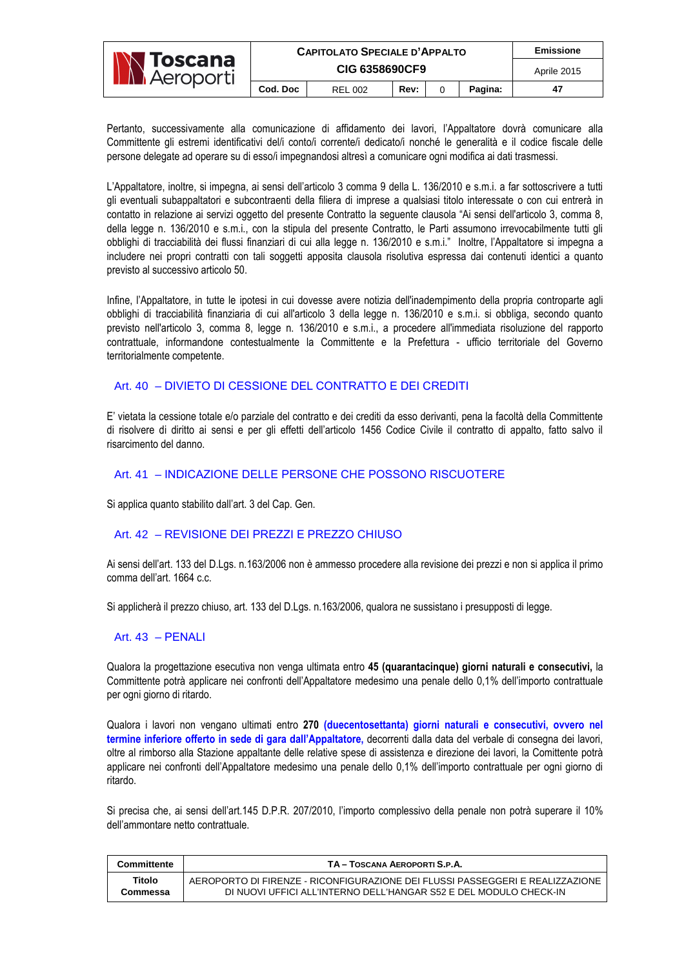| <b>N</b> Toscana<br><b>Ni Aeroporti</b> | <b>CAPITOLATO SPECIALE D'APPALTO</b> | Emissione      |      |  |         |
|-----------------------------------------|--------------------------------------|----------------|------|--|---------|
|                                         |                                      | Aprile 2015    |      |  |         |
|                                         | Cod. Doc                             | <b>REL 002</b> | Rev: |  | Pagina: |

Pertanto, successivamente alla comunicazione di affidamento dei lavori, l'Appaltatore dovrà comunicare alla Committente gli estremi identificativi del/i conto/i corrente/i dedicato/i nonché le generalità e il codice fiscale delle persone delegate ad operare su di esso/i impegnandosi altresì a comunicare ogni modifica ai dati trasmessi.

L'Appaltatore, inoltre, si impegna, ai sensi dell'articolo 3 comma 9 della L. 136/2010 e s.m.i. a far sottoscrivere a tutti gli eventuali subappaltatori e subcontraenti della filiera di imprese a qualsiasi titolo interessate o con cui entrerà in contatto in relazione ai servizi oggetto del presente Contratto la seguente clausola "Ai sensi dell'articolo 3, comma 8, della legge n. 136/2010 e s.m.i., con la stipula del presente Contratto, le Parti assumono irrevocabilmente tutti gli obblighi di tracciabilità dei flussi finanziari di cui alla legge n. 136/2010 e s.m.i." Inoltre, l'Appaltatore si impegna a includere nei propri contratti con tali soggetti apposita clausola risolutiva espressa dai contenuti identici a quanto previsto al successivo articolo 50.

Infine, l'Appaltatore, in tutte le ipotesi in cui dovesse avere notizia dell'inadempimento della propria controparte agli obblighi di tracciabilità finanziaria di cui all'articolo 3 della legge n. 136/2010 e s.m.i. si obbliga, secondo quanto previsto nell'articolo 3, comma 8, legge n. 136/2010 e s.m.i., a procedere all'immediata risoluzione del rapporto contrattuale, informandone contestualmente la Committente e la Prefettura - ufficio territoriale del Governo territorialmente competente.

## Art. 40 – DIVIETO DI CESSIONE DEL CONTRATTO E DEI CREDITI

E' vietata la cessione totale e/o parziale del contratto e dei crediti da esso derivanti, pena la facoltà della Committente di risolvere di diritto ai sensi e per gli effetti dell'articolo 1456 Codice Civile il contratto di appalto, fatto salvo il risarcimento del danno.

## Art. 41 – INDICAZIONE DELLE PERSONE CHE POSSONO RISCUOTERE

Si applica quanto stabilito dall'art. 3 del Cap. Gen.

## Art. 42 – REVISIONE DEI PREZZI E PREZZO CHIUSO

Ai sensi dell'art. 133 del D.Lgs. n.163/2006 non è ammesso procedere alla revisione dei prezzi e non si applica il primo comma dell'art. 1664 c.c.

Si applicherà il prezzo chiuso, art. 133 del D.Lgs. n.163/2006, qualora ne sussistano i presupposti di legge.

#### Art. 43 – PENALI

Qualora la progettazione esecutiva non venga ultimata entro **45 (quarantacinque) giorni naturali e consecutivi,** la Committente potrà applicare nei confronti dell'Appaltatore medesimo una penale dello 0,1% dell'importo contrattuale per ogni giorno di ritardo.

Qualora i lavori non vengano ultimati entro **270 (duecentosettanta) giorni naturali e consecutivi, ovvero nel termine inferiore offerto in sede di gara dall'Appaltatore,** decorrenti dalla data del verbale di consegna dei lavori, oltre al rimborso alla Stazione appaltante delle relative spese di assistenza e direzione dei lavori, la Comittente potrà applicare nei confronti dell'Appaltatore medesimo una penale dello 0,1% dell'importo contrattuale per ogni giorno di ritardo.

Si precisa che, ai sensi dell'art.145 D.P.R. 207/2010, l'importo complessivo della penale non potrà superare il 10% dell'ammontare netto contrattuale.

| Committente | TA - TOSCANA AEROPORTI S.P.A.                                                 |
|-------------|-------------------------------------------------------------------------------|
| Titolo      | AEROPORTO DI FIRENZE - RICONFIGURAZIONE DEI FLUSSI PASSEGGERI E REALIZZAZIONE |
| Commessa    | DI NUOVI UFFICI ALL'INTERNO DELL'HANGAR S52 E DEL MODULO CHECK-IN             |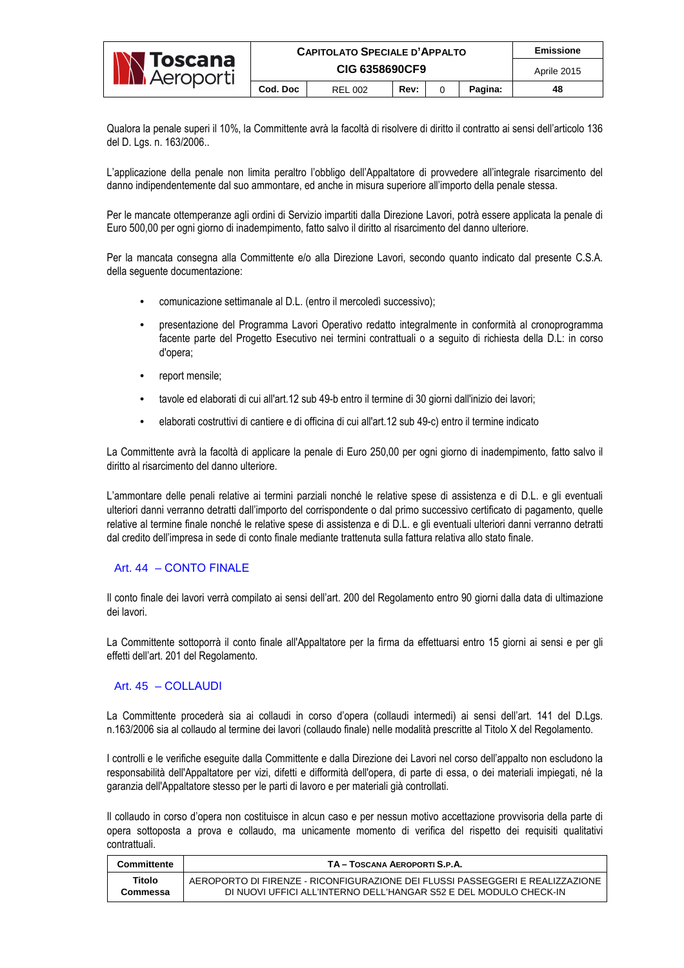|                                         | <b>CAPITOLATO SPECIALE D'APPALTO</b> | Emissione      |      |  |         |    |
|-----------------------------------------|--------------------------------------|----------------|------|--|---------|----|
| <b>N Toscana</b><br><b>AN</b> Aeroporti |                                      | Aprile 2015    |      |  |         |    |
|                                         | Cod. Doc                             | <b>REL 002</b> | Rev: |  | Pagina: | 48 |

Qualora la penale superi il 10%, la Committente avrà la facoltà di risolvere di diritto il contratto ai sensi dell'articolo 136 del D. Lgs. n. 163/2006..

L'applicazione della penale non limita peraltro l'obbligo dell'Appaltatore di provvedere all'integrale risarcimento del danno indipendentemente dal suo ammontare, ed anche in misura superiore all'importo della penale stessa.

Per le mancate ottemperanze agli ordini di Servizio impartiti dalla Direzione Lavori, potrà essere applicata la penale di Euro 500,00 per ogni giorno di inadempimento, fatto salvo il diritto al risarcimento del danno ulteriore.

Per la mancata consegna alla Committente e/o alla Direzione Lavori, secondo quanto indicato dal presente C.S.A. della seguente documentazione:

- comunicazione settimanale al D.L. (entro il mercoledì successivo);
- presentazione del Programma Lavori Operativo redatto integralmente in conformità al cronoprogramma facente parte del Progetto Esecutivo nei termini contrattuali o a seguito di richiesta della D.L: in corso d'opera;
- report mensile:
- tavole ed elaborati di cui all'art.12 sub 49-b entro il termine di 30 giorni dall'inizio dei lavori;
- elaborati costruttivi di cantiere e di officina di cui all'art.12 sub 49-c) entro il termine indicato

La Committente avrà la facoltà di applicare la penale di Euro 250,00 per ogni giorno di inadempimento, fatto salvo il diritto al risarcimento del danno ulteriore.

L'ammontare delle penali relative ai termini parziali nonché le relative spese di assistenza e di D.L. e gli eventuali ulteriori danni verranno detratti dall'importo del corrispondente o dal primo successivo certificato di pagamento, quelle relative al termine finale nonché le relative spese di assistenza e di D.L. e gli eventuali ulteriori danni verranno detratti dal credito dell'impresa in sede di conto finale mediante trattenuta sulla fattura relativa allo stato finale.

#### Art. 44 – CONTO FINALE

Il conto finale dei lavori verrà compilato ai sensi dell'art. 200 del Regolamento entro 90 giorni dalla data di ultimazione dei lavori.

La Committente sottoporrà il conto finale all'Appaltatore per la firma da effettuarsi entro 15 giorni ai sensi e per gli effetti dell'art. 201 del Regolamento.

#### Art. 45 – COLLAUDI

La Committente procederà sia ai collaudi in corso d'opera (collaudi intermedi) ai sensi dell'art. 141 del D.Lgs. n.163/2006 sia al collaudo al termine dei lavori (collaudo finale) nelle modalità prescritte al Titolo X del Regolamento.

I controlli e le verifiche eseguite dalla Committente e dalla Direzione dei Lavori nel corso dell'appalto non escludono la responsabilità dell'Appaltatore per vizi, difetti e difformità dell'opera, di parte di essa, o dei materiali impiegati, né la garanzia dell'Appaltatore stesso per le parti di lavoro e per materiali già controllati.

Il collaudo in corso d'opera non costituisce in alcun caso e per nessun motivo accettazione provvisoria della parte di opera sottoposta a prova e collaudo, ma unicamente momento di verifica del rispetto dei requisiti qualitativi contrattuali.

| Committente | TA – TOSCANA AEROPORTI S.P.A.                                                 |
|-------------|-------------------------------------------------------------------------------|
| Titolo      | AEROPORTO DI FIRENZE - RICONFIGURAZIONE DEI FLUSSI PASSEGGERI E REALIZZAZIONE |
| Commessa    | DI NUOVI UFFICI ALL'INTERNO DELL'HANGAR S52 E DEL MODULO CHECK-IN             |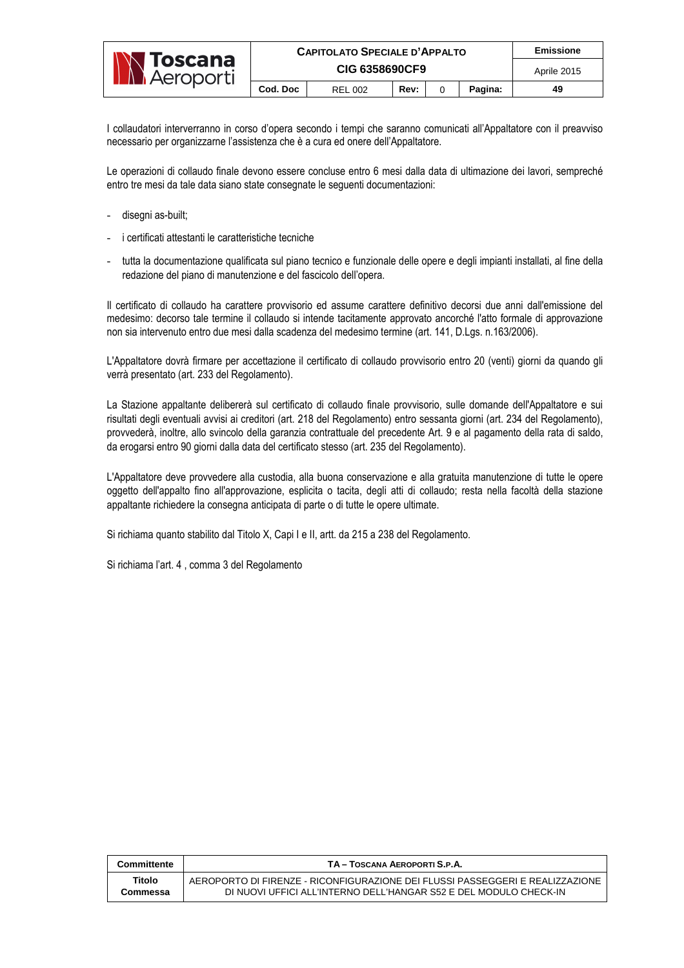|                                         | <b>CAPITOLATO SPECIALE D'APPALTO</b> |                |      |  |         | Emissione   |
|-----------------------------------------|--------------------------------------|----------------|------|--|---------|-------------|
| <b>N</b> Toscana<br><b>Ni Aeroporti</b> | CIG 6358690CF9                       |                |      |  |         | Aprile 2015 |
|                                         | Cod. Doc                             | <b>REL 002</b> | Rev: |  | Pagina: | 49          |

I collaudatori interverranno in corso d'opera secondo i tempi che saranno comunicati all'Appaltatore con il preavviso necessario per organizzarne l'assistenza che è a cura ed onere dell'Appaltatore.

Le operazioni di collaudo finale devono essere concluse entro 6 mesi dalla data di ultimazione dei lavori, sempreché entro tre mesi da tale data siano state consegnate le seguenti documentazioni:

- disegni as-built;
- i certificati attestanti le caratteristiche tecniche
- tutta la documentazione qualificata sul piano tecnico e funzionale delle opere e degli impianti installati, al fine della redazione del piano di manutenzione e del fascicolo dell'opera.

Il certificato di collaudo ha carattere provvisorio ed assume carattere definitivo decorsi due anni dall'emissione del medesimo: decorso tale termine il collaudo si intende tacitamente approvato ancorché l'atto formale di approvazione non sia intervenuto entro due mesi dalla scadenza del medesimo termine (art. 141, D.Lgs. n.163/2006).

L'Appaltatore dovrà firmare per accettazione il certificato di collaudo provvisorio entro 20 (venti) giorni da quando gli verrà presentato (art. 233 del Regolamento).

La Stazione appaltante delibererà sul certificato di collaudo finale provvisorio, sulle domande dell'Appaltatore e sui risultati degli eventuali avvisi ai creditori (art. 218 del Regolamento) entro sessanta giorni (art. 234 del Regolamento), provvederà, inoltre, allo svincolo della garanzia contrattuale del precedente Art. 9 e al pagamento della rata di saldo, da erogarsi entro 90 giorni dalla data del certificato stesso (art. 235 del Regolamento).

L'Appaltatore deve provvedere alla custodia, alla buona conservazione e alla gratuita manutenzione di tutte le opere oggetto dell'appalto fino all'approvazione, esplicita o tacita, degli atti di collaudo; resta nella facoltà della stazione appaltante richiedere la consegna anticipata di parte o di tutte le opere ultimate.

Si richiama quanto stabilito dal Titolo X, Capi I e II, artt. da 215 a 238 del Regolamento.

Si richiama l'art. 4 , comma 3 del Regolamento

| Committente | TA - TOSCANA AEROPORTI S.P.A.                                                 |
|-------------|-------------------------------------------------------------------------------|
| Titolo      | AEROPORTO DI FIRENZE - RICONFIGURAZIONE DEI FLUSSI PASSEGGERI E REALIZZAZIONE |
| Commessa    | DI NUOVI UFFICI ALL'INTERNO DELL'HANGAR S52 E DEL MODULO CHECK-IN             |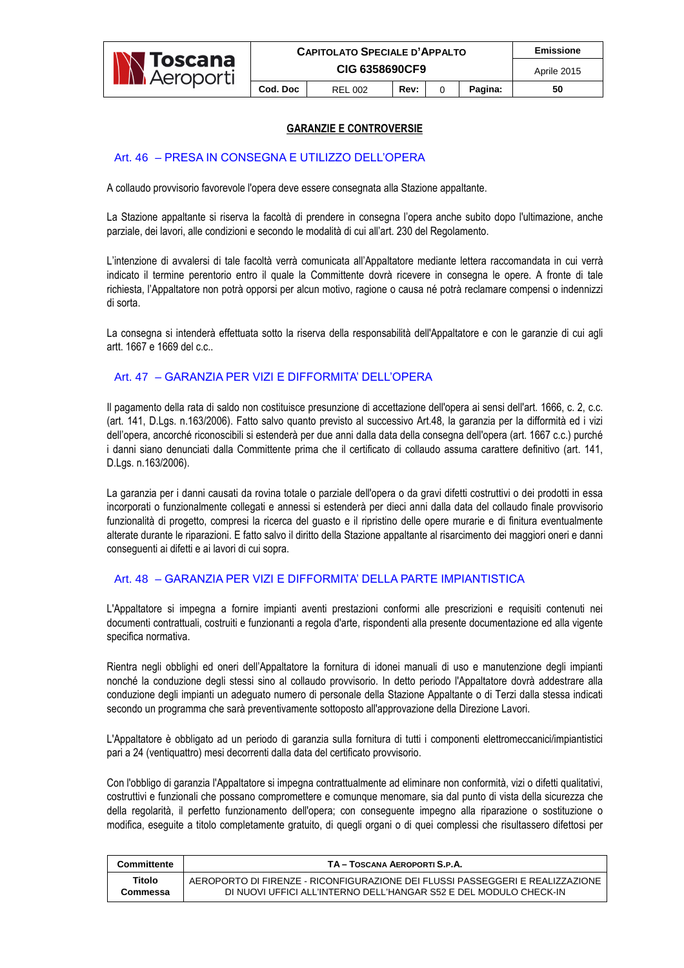

#### **GARANZIE E CONTROVERSIE**

#### Art. 46 – PRESA IN CONSEGNA E UTILIZZO DELL'OPERA

A collaudo provvisorio favorevole l'opera deve essere consegnata alla Stazione appaltante.

La Stazione appaltante si riserva la facoltà di prendere in consegna l'opera anche subito dopo l'ultimazione, anche parziale, dei lavori, alle condizioni e secondo le modalità di cui all'art. 230 del Regolamento.

L'intenzione di avvalersi di tale facoltà verrà comunicata all'Appaltatore mediante lettera raccomandata in cui verrà indicato il termine perentorio entro il quale la Committente dovrà ricevere in consegna le opere. A fronte di tale richiesta, l'Appaltatore non potrà opporsi per alcun motivo, ragione o causa né potrà reclamare compensi o indennizzi di sorta.

La consegna si intenderà effettuata sotto la riserva della responsabilità dell'Appaltatore e con le garanzie di cui agli artt. 1667 e 1669 del c.c..

#### Art. 47 – GARANZIA PER VIZI E DIFFORMITA' DELL'OPERA

Il pagamento della rata di saldo non costituisce presunzione di accettazione dell'opera ai sensi dell'art. 1666, c. 2, c.c. (art. 141, D.Lgs. n.163/2006). Fatto salvo quanto previsto al successivo Art.48, la garanzia per la difformità ed i vizi dell'opera, ancorché riconoscibili si estenderà per due anni dalla data della consegna dell'opera (art. 1667 c.c.) purché i danni siano denunciati dalla Committente prima che il certificato di collaudo assuma carattere definitivo (art. 141, D.Lgs. n.163/2006).

La garanzia per i danni causati da rovina totale o parziale dell'opera o da gravi difetti costruttivi o dei prodotti in essa incorporati o funzionalmente collegati e annessi si estenderà per dieci anni dalla data del collaudo finale provvisorio funzionalità di progetto, compresi la ricerca del guasto e il ripristino delle opere murarie e di finitura eventualmente alterate durante le riparazioni. E fatto salvo il diritto della Stazione appaltante al risarcimento dei maggiori oneri e danni conseguenti ai difetti e ai lavori di cui sopra.

#### Art. 48 – GARANZIA PER VIZI E DIFFORMITA' DELLA PARTE IMPIANTISTICA

L'Appaltatore si impegna a fornire impianti aventi prestazioni conformi alle prescrizioni e requisiti contenuti nei documenti contrattuali, costruiti e funzionanti a regola d'arte, rispondenti alla presente documentazione ed alla vigente specifica normativa.

Rientra negli obblighi ed oneri dell'Appaltatore la fornitura di idonei manuali di uso e manutenzione degli impianti nonché la conduzione degli stessi sino al collaudo provvisorio. In detto periodo l'Appaltatore dovrà addestrare alla conduzione degli impianti un adeguato numero di personale della Stazione Appaltante o di Terzi dalla stessa indicati secondo un programma che sarà preventivamente sottoposto all'approvazione della Direzione Lavori.

L'Appaltatore è obbligato ad un periodo di garanzia sulla fornitura di tutti i componenti elettromeccanici/impiantistici pari a 24 (ventiquattro) mesi decorrenti dalla data del certificato provvisorio.

Con l'obbligo di garanzia l'Appaltatore si impegna contrattualmente ad eliminare non conformità, vizi o difetti qualitativi, costruttivi e funzionali che possano compromettere e comunque menomare, sia dal punto di vista della sicurezza che della regolarità, il perfetto funzionamento dell'opera; con conseguente impegno alla riparazione o sostituzione o modifica, eseguite a titolo completamente gratuito, di quegli organi o di quei complessi che risultassero difettosi per

| Committente | TA - TOSCANA AEROPORTI S.P.A.                                                 |
|-------------|-------------------------------------------------------------------------------|
| Titolo      | AEROPORTO DI FIRENZE - RICONFIGURAZIONE DEI FLUSSI PASSEGGERI E REALIZZAZIONE |
| Commessa    | DI NUOVI UFFICI ALL'INTERNO DELL'HANGAR S52 E DEL MODULO CHECK-IN             |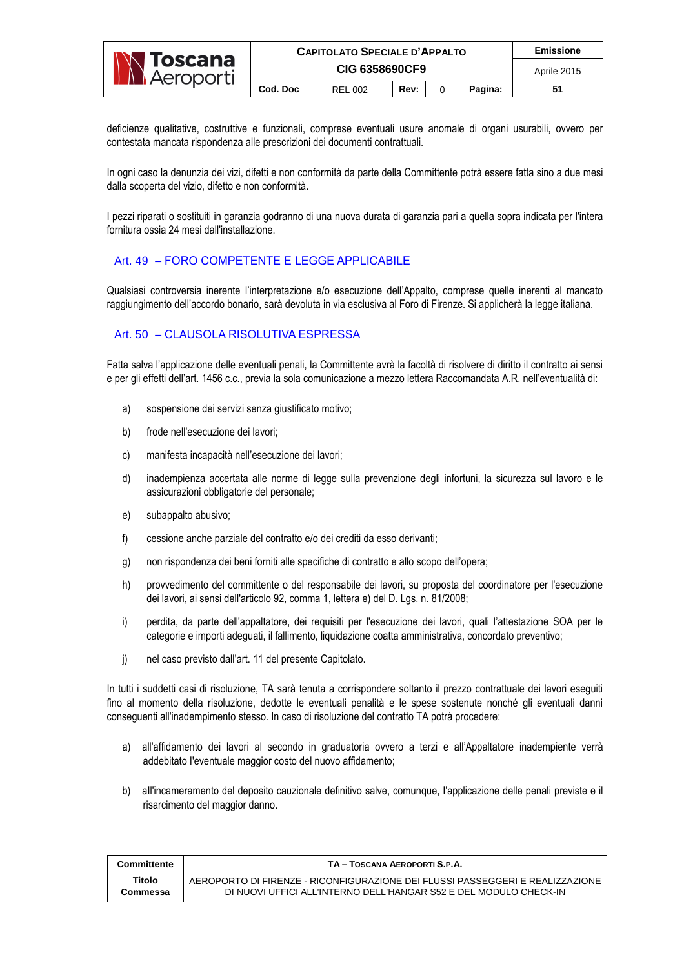|                                         | <b>CAPITOLATO SPECIALE D'APPALTO</b> |                |      |  |         | Emissione   |
|-----------------------------------------|--------------------------------------|----------------|------|--|---------|-------------|
| <b>N Toscana</b><br><b>Ni Aeroporti</b> | CIG 6358690CF9                       |                |      |  |         | Aprile 2015 |
|                                         | Cod. Doc                             | <b>REL 002</b> | Rev: |  | Pagina: | 51          |

deficienze qualitative, costruttive e funzionali, comprese eventuali usure anomale di organi usurabili, ovvero per contestata mancata rispondenza alle prescrizioni dei documenti contrattuali.

In ogni caso la denunzia dei vizi, difetti e non conformità da parte della Committente potrà essere fatta sino a due mesi dalla scoperta del vizio, difetto e non conformità.

I pezzi riparati o sostituiti in garanzia godranno di una nuova durata di garanzia pari a quella sopra indicata per l'intera fornitura ossia 24 mesi dall'installazione.

## Art. 49 – FORO COMPETENTE E LEGGE APPLICABILE

Qualsiasi controversia inerente l'interpretazione e/o esecuzione dell'Appalto, comprese quelle inerenti al mancato raggiungimento dell'accordo bonario, sarà devoluta in via esclusiva al Foro di Firenze. Si applicherà la legge italiana.

# Art. 50 – CLAUSOLA RISOLUTIVA ESPRESSA

Fatta salva l'applicazione delle eventuali penali, la Committente avrà la facoltà di risolvere di diritto il contratto ai sensi e per gli effetti dell'art. 1456 c.c., previa la sola comunicazione a mezzo lettera Raccomandata A.R. nell'eventualità di:

- a) sospensione dei servizi senza giustificato motivo;
- b) frode nell'esecuzione dei lavori;
- c) manifesta incapacità nell'esecuzione dei lavori;
- d) inadempienza accertata alle norme di legge sulla prevenzione degli infortuni, la sicurezza sul lavoro e le assicurazioni obbligatorie del personale;
- e) subappalto abusivo;
- f) cessione anche parziale del contratto e/o dei crediti da esso derivanti;
- g) non rispondenza dei beni forniti alle specifiche di contratto e allo scopo dell'opera;
- h) provvedimento del committente o del responsabile dei lavori, su proposta del coordinatore per l'esecuzione dei lavori, ai sensi dell'articolo 92, comma 1, lettera e) del D. Lgs. n. 81/2008;
- i) perdita, da parte dell'appaltatore, dei requisiti per l'esecuzione dei lavori, quali l'attestazione SOA per le categorie e importi adeguati, il fallimento, liquidazione coatta amministrativa, concordato preventivo;
- j) nel caso previsto dall'art. 11 del presente Capitolato.

In tutti i suddetti casi di risoluzione, TA sarà tenuta a corrispondere soltanto il prezzo contrattuale dei lavori eseguiti fino al momento della risoluzione, dedotte le eventuali penalità e le spese sostenute nonché gli eventuali danni conseguenti all'inadempimento stesso. In caso di risoluzione del contratto TA potrà procedere:

- a) all'affidamento dei lavori al secondo in graduatoria ovvero a terzi e all'Appaltatore inadempiente verrà addebitato I'eventuale maggior costo del nuovo affidamento;
- b) aIl'incameramento del deposito cauzionale definitivo salve, comunque, I'applicazione delle penali previste e il risarcimento del maggior danno.

| Committente | TA - TOSCANA AEROPORTI S.P.A.                                                 |
|-------------|-------------------------------------------------------------------------------|
| Titolo      | AEROPORTO DI FIRENZE - RICONFIGURAZIONE DEI FLUSSI PASSEGGERI E REALIZZAZIONE |
| Commessa    | DI NUOVI UFFICI ALL'INTERNO DELL'HANGAR S52 E DEL MODULO CHECK-IN             |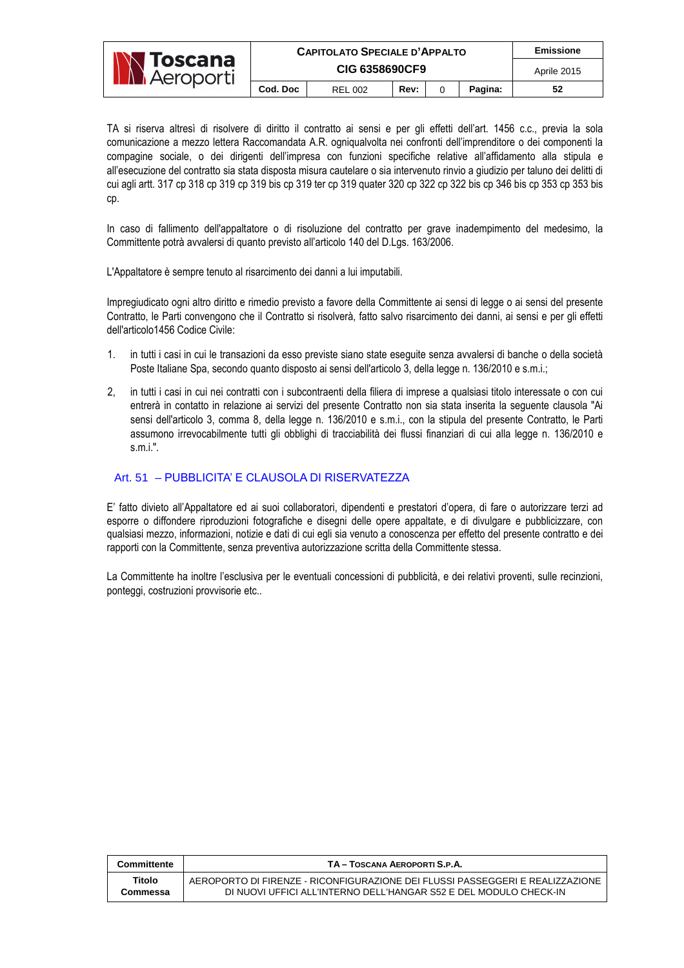|                                        | <b>CAPITOLATO SPECIALE D'APPALTO</b> | Emissione      |      |         |             |
|----------------------------------------|--------------------------------------|----------------|------|---------|-------------|
| <b>N Toscana</b><br><b>A</b> Aeroporti |                                      | CIG 6358690CF9 |      |         | Aprile 2015 |
|                                        | Cod. Doc                             | <b>REL 002</b> | Rev: | Pagina: | 52          |

TA si riserva altresì di risolvere di diritto il contratto ai sensi e per gli effetti dell'art. 1456 c.c., previa la sola comunicazione a mezzo lettera Raccomandata A.R. ogniqualvolta nei confronti dell'imprenditore o dei componenti la compagine sociale, o dei dirigenti dell'impresa con funzioni specifiche relative all'affidamento alla stipula e all'esecuzione del contratto sia stata disposta misura cautelare o sia intervenuto rinvio a giudizio per taluno dei delitti di cui agli artt. 317 cp 318 cp 319 cp 319 bis cp 319 ter cp 319 quater 320 cp 322 cp 322 bis cp 346 bis cp 353 cp 353 bis cp.

In caso di fallimento dell'appaltatore o di risoluzione del contratto per grave inadempimento del medesimo, la Committente potrà avvalersi di quanto previsto all'articolo 140 del D.Lgs. 163/2006.

L'Appaltatore è sempre tenuto al risarcimento dei danni a lui imputabili.

Impregiudicato ogni altro diritto e rimedio previsto a favore della Committente ai sensi di legge o ai sensi del presente Contratto, le Parti convengono che il Contratto si risolverà, fatto salvo risarcimento dei danni, ai sensi e per gli effetti dell'articolo1456 Codice Civile:

- 1. in tutti i casi in cui le transazioni da esso previste siano state eseguite senza avvalersi di banche o della società Poste Italiane Spa, secondo quanto disposto ai sensi dell'articolo 3, della legge n. 136/2010 e s.m.i.;
- 2, in tutti i casi in cui nei contratti con i subcontraenti della filiera di imprese a qualsiasi titolo interessate o con cui entrerà in contatto in relazione ai servizi del presente Contratto non sia stata inserita la seguente clausola "Ai sensi dell'articolo 3, comma 8, della legge n. 136/2010 e s.m.i., con la stipula del presente Contratto, le Parti assumono irrevocabilmente tutti gli obblighi di tracciabilità dei flussi finanziari di cui alla legge n. 136/2010 e s.m.i.".

# Art. 51 – PUBBLICITA' E CLAUSOLA DI RISERVATEZZA

E' fatto divieto all'Appaltatore ed ai suoi collaboratori, dipendenti e prestatori d'opera, di fare o autorizzare terzi ad esporre o diffondere riproduzioni fotografiche e disegni delle opere appaltate, e di divulgare e pubblicizzare, con qualsiasi mezzo, informazioni, notizie e dati di cui egli sia venuto a conoscenza per effetto del presente contratto e dei rapporti con la Committente, senza preventiva autorizzazione scritta della Committente stessa.

La Committente ha inoltre l'esclusiva per le eventuali concessioni di pubblicità, e dei relativi proventi, sulle recinzioni, ponteggi, costruzioni provvisorie etc..

| Committente | TA - TOSCANA AEROPORTI S.P.A.                                                 |
|-------------|-------------------------------------------------------------------------------|
| Titolo      | AEROPORTO DI FIRENZE - RICONFIGURAZIONE DEI FLUSSI PASSEGGERI E REALIZZAZIONE |
| Commessa    | DI NUOVI UFFICI ALL'INTERNO DELL'HANGAR S52 E DEL MODULO CHECK-IN             |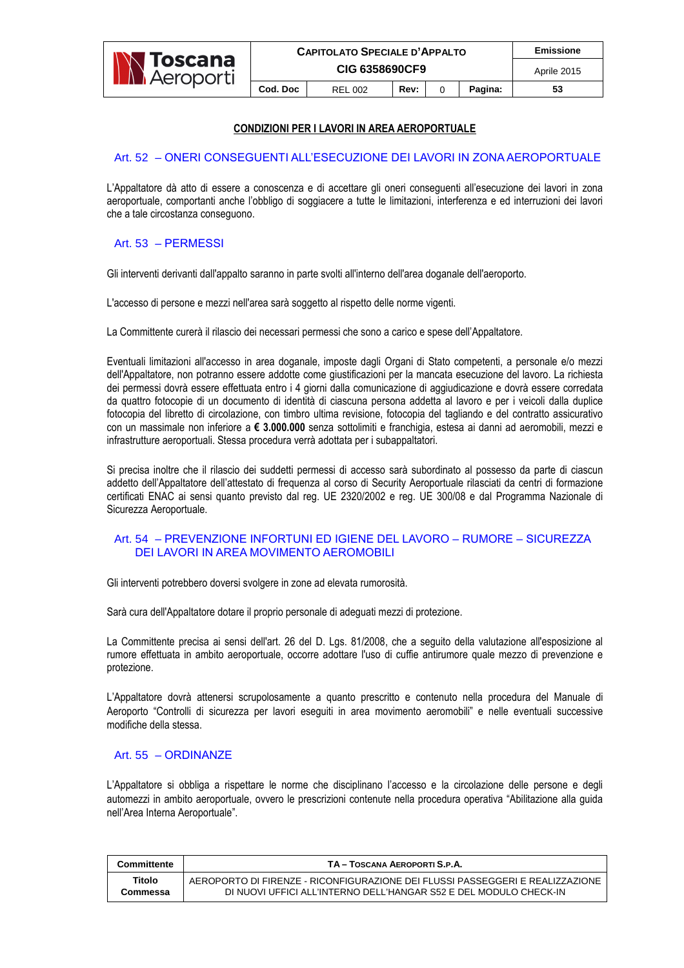

#### **CONDIZIONI PER I LAVORI IN AREA AEROPORTUALE**

#### Art. 52 – ONERI CONSEGUENTI ALL'ESECUZIONE DEI LAVORI IN ZONA AEROPORTUALE

L'Appaltatore dà atto di essere a conoscenza e di accettare gli oneri conseguenti all'esecuzione dei lavori in zona aeroportuale, comportanti anche l'obbligo di soggiacere a tutte le limitazioni, interferenza e ed interruzioni dei lavori che a tale circostanza conseguono.

## Art. 53 – PERMESSI

Gli interventi derivanti dall'appalto saranno in parte svolti all'interno dell'area doganale dell'aeroporto.

L'accesso di persone e mezzi nell'area sarà soggetto al rispetto delle norme vigenti.

La Committente curerà il rilascio dei necessari permessi che sono a carico e spese dell'Appaltatore.

Eventuali limitazioni all'accesso in area doganale, imposte dagli Organi di Stato competenti, a personale e/o mezzi dell'Appaltatore, non potranno essere addotte come giustificazioni per la mancata esecuzione del lavoro. La richiesta dei permessi dovrà essere effettuata entro i 4 giorni dalla comunicazione di aggiudicazione e dovrà essere corredata da quattro fotocopie di un documento di identità di ciascuna persona addetta al lavoro e per i veicoli dalla duplice fotocopia del libretto di circolazione, con timbro ultima revisione, fotocopia del tagliando e del contratto assicurativo con un massimale non inferiore a **€ 3.000.000** senza sottolimiti e franchigia, estesa ai danni ad aeromobili, mezzi e infrastrutture aeroportuali. Stessa procedura verrà adottata per i subappaltatori.

Si precisa inoltre che il rilascio dei suddetti permessi di accesso sarà subordinato al possesso da parte di ciascun addetto dell'Appaltatore dell'attestato di frequenza al corso di Security Aeroportuale rilasciati da centri di formazione certificati ENAC ai sensi quanto previsto dal reg. UE 2320/2002 e reg. UE 300/08 e dal Programma Nazionale di Sicurezza Aeroportuale.

#### Art. 54 – PREVENZIONE INFORTUNI ED IGIENE DEL LAVORO – RUMORE – SICUREZZA DEI LAVORI IN AREA MOVIMENTO AEROMOBILI

Gli interventi potrebbero doversi svolgere in zone ad elevata rumorosità.

Sarà cura dell'Appaltatore dotare il proprio personale di adeguati mezzi di protezione.

La Committente precisa ai sensi dell'art. 26 del D. Lgs. 81/2008, che a seguito della valutazione all'esposizione al rumore effettuata in ambito aeroportuale, occorre adottare l'uso di cuffie antirumore quale mezzo di prevenzione e protezione.

L'Appaltatore dovrà attenersi scrupolosamente a quanto prescritto e contenuto nella procedura del Manuale di Aeroporto "Controlli di sicurezza per lavori eseguiti in area movimento aeromobili" e nelle eventuali successive modifiche della stessa.

## Art. 55 – ORDINANZE

L'Appaltatore si obbliga a rispettare le norme che disciplinano l'accesso e la circolazione delle persone e degli automezzi in ambito aeroportuale, ovvero le prescrizioni contenute nella procedura operativa "Abilitazione alla guida nell'Area Interna Aeroportuale".

| Committente | TA - TOSCANA AEROPORTI S.P.A.                                                 |
|-------------|-------------------------------------------------------------------------------|
| Titolo      | AEROPORTO DI FIRENZE - RICONFIGURAZIONE DEI FLUSSI PASSEGGERI E REALIZZAZIONE |
| Commessa    | DI NUOVI UFFICI ALL'INTERNO DELL'HANGAR S52 E DEL MODULO CHECK-IN             |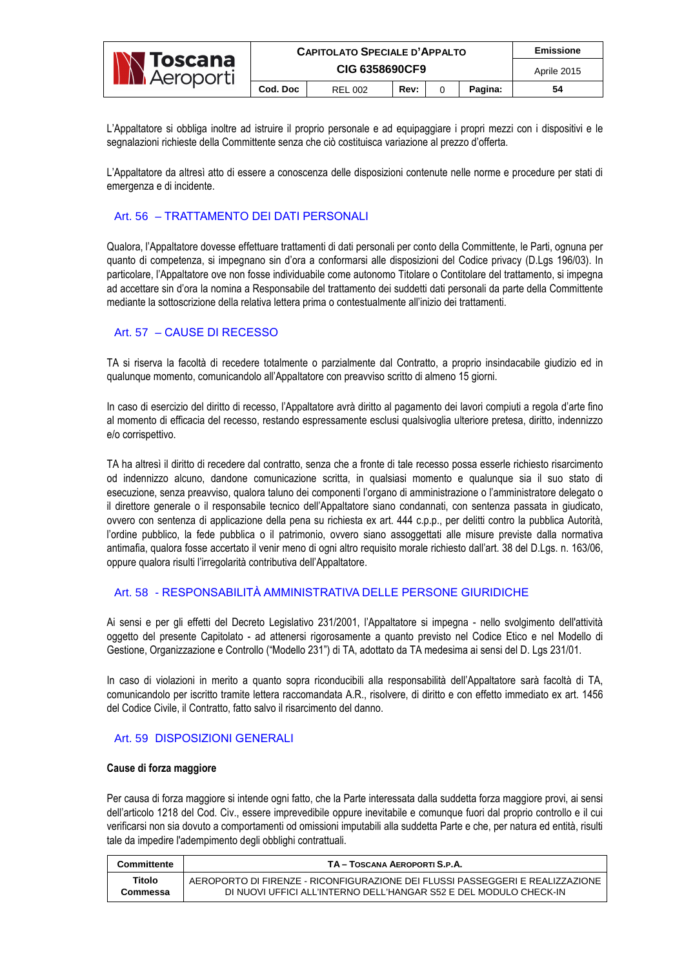|                                        | <b>CAPITOLATO SPECIALE D'APPALTO</b> |                |      |  |         | Emissione   |
|----------------------------------------|--------------------------------------|----------------|------|--|---------|-------------|
| <b>N</b> Toscana<br><b>N</b> Aeroporti | <b>CIG 6358690CF9</b>                |                |      |  |         | Aprile 2015 |
|                                        | Cod. Doc                             | <b>REL 002</b> | Rev: |  | Pagina: | 54          |

L'Appaltatore si obbliga inoltre ad istruire il proprio personale e ad equipaggiare i propri mezzi con i dispositivi e le segnalazioni richieste della Committente senza che ciò costituisca variazione al prezzo d'offerta.

L'Appaltatore da altresì atto di essere a conoscenza delle disposizioni contenute nelle norme e procedure per stati di emergenza e di incidente.

# Art. 56 – TRATTAMENTO DEI DATI PERSONALI

Qualora, l'Appaltatore dovesse effettuare trattamenti di dati personali per conto della Committente, le Parti, ognuna per quanto di competenza, si impegnano sin d'ora a conformarsi alle disposizioni del Codice privacy (D.Lgs 196/03). In particolare, l'Appaltatore ove non fosse individuabile come autonomo Titolare o Contitolare del trattamento. si impegna ad accettare sin d'ora la nomina a Responsabile del trattamento dei suddetti dati personali da parte della Committente mediante la sottoscrizione della relativa lettera prima o contestualmente all'inizio dei trattamenti.

# Art. 57 – CAUSE DI RECESSO

TA si riserva la facoltà di recedere totalmente o parzialmente dal Contratto, a proprio insindacabile giudizio ed in qualunque momento, comunicandolo all'Appaltatore con preavviso scritto di almeno 15 giorni.

In caso di esercizio del diritto di recesso, l'Appaltatore avrà diritto al pagamento dei lavori compiuti a regola d'arte fino al momento di efficacia del recesso, restando espressamente esclusi qualsivoglia ulteriore pretesa, diritto, indennizzo e/o corrispettivo.

TA ha altresì il diritto di recedere dal contratto, senza che a fronte di tale recesso possa esserle richiesto risarcimento od indennizzo alcuno, dandone comunicazione scritta, in qualsiasi momento e qualunque sia il suo stato di esecuzione, senza preavviso, qualora taluno dei componenti l'organo di amministrazione o l'amministratore delegato o il direttore generale o il responsabile tecnico dell'Appaltatore siano condannati, con sentenza passata in giudicato, ovvero con sentenza di applicazione della pena su richiesta ex art. 444 c.p.p., per delitti contro la pubblica Autorità, l'ordine pubblico, la fede pubblica o il patrimonio, ovvero siano assoggettati alle misure previste dalla normativa antimafia, qualora fosse accertato il venir meno di ogni altro requisito morale richiesto dall'art. 38 del D.Lgs. n. 163/06, oppure qualora risulti l'irregolarità contributiva dell'Appaltatore.

#### Art. 58 - RESPONSABILITÀ AMMINISTRATIVA DELLE PERSONE GIURIDICHE

Ai sensi e per gli effetti del Decreto Legislativo 231/2001, l'Appaltatore si impegna - nello svolgimento dell'attività oggetto del presente Capitolato - ad attenersi rigorosamente a quanto previsto nel Codice Etico e nel Modello di Gestione, Organizzazione e Controllo ("Modello 231") di TA, adottato da TA medesima ai sensi del D. Lgs 231/01.

In caso di violazioni in merito a quanto sopra riconducibili alla responsabilità dell'Appaltatore sarà facoltà di TA, comunicandolo per iscritto tramite lettera raccomandata A.R., risolvere, di diritto e con effetto immediato ex art. 1456 del Codice Civile, il Contratto, fatto salvo il risarcimento del danno.

## Art. 59 DISPOSIZIONI GENERALI

#### **Cause di forza maggiore**

Per causa di forza maggiore si intende ogni fatto, che la Parte interessata dalla suddetta forza maggiore provi, ai sensi dell'articolo 1218 del Cod. Civ., essere imprevedibile oppure inevitabile e comunque fuori dal proprio controllo e il cui verificarsi non sia dovuto a comportamenti od omissioni imputabili alla suddetta Parte e che, per natura ed entità, risulti tale da impedire l'adempimento degli obblighi contrattuali.

| Committente | TA - TOSCANA AEROPORTI S.P.A.                                                 |
|-------------|-------------------------------------------------------------------------------|
| Titolo      | AEROPORTO DI FIRENZE - RICONFIGURAZIONE DEI FLUSSI PASSEGGERI E REALIZZAZIONE |
| Commessa    | DI NUOVI UFFICI ALL'INTERNO DELL'HANGAR S52 E DEL MODULO CHECK-IN             |